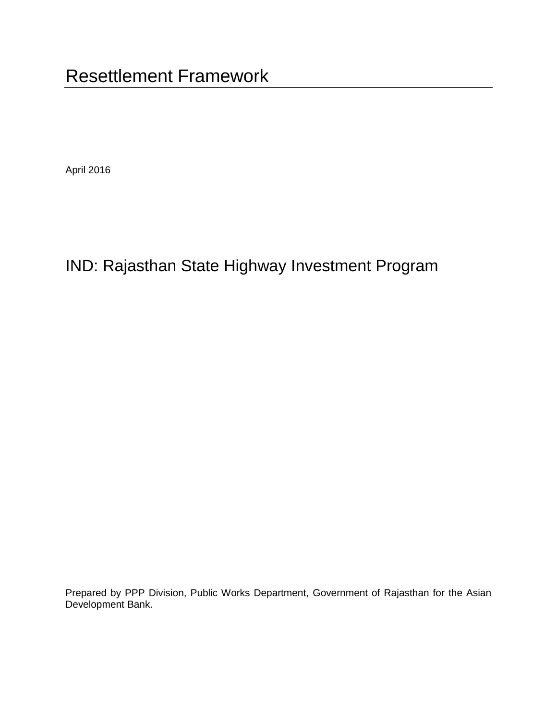April 2016

# IND: Rajasthan State Highway Investment Program

Prepared by PPP Division, Public Works Department, Government of Rajasthan for the Asian Development Bank.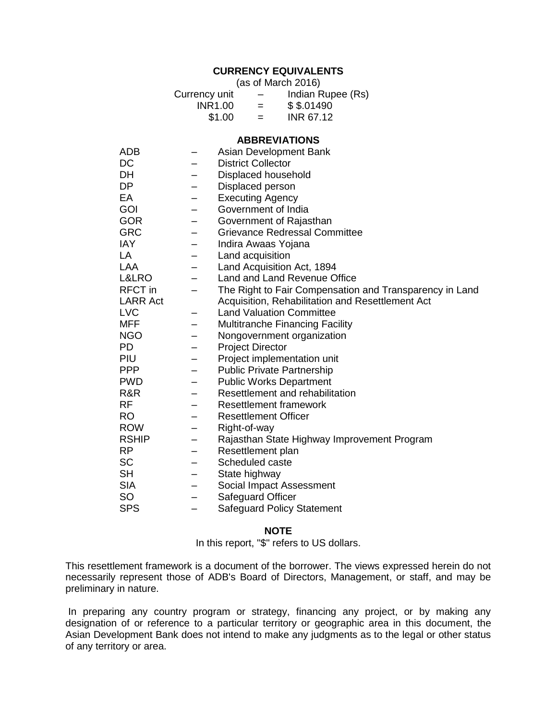## **CURRENCY EQUIVALENTS**

(as of March 2016)

| Currency unit | $\overline{\phantom{m}}$ | Indian Rupee (Rs) |
|---------------|--------------------------|-------------------|
| INR1.00       | $=$                      | \$ \$.01490       |
| \$1.00        | $=$                      | INR 67.12         |

#### **ABBREVIATIONS**

| ADB             |                          | Asian Development Bank                                  |
|-----------------|--------------------------|---------------------------------------------------------|
| DC              |                          | <b>District Collector</b>                               |
| DH              |                          | Displaced household                                     |
| DP              |                          | Displaced person                                        |
| EA              | —                        | <b>Executing Agency</b>                                 |
| GOI             |                          | Government of India                                     |
| <b>GOR</b>      |                          | Government of Rajasthan                                 |
| <b>GRC</b>      |                          | <b>Grievance Redressal Committee</b>                    |
| IAY             | -                        | Indira Awaas Yojana                                     |
| LA              |                          | Land acquisition                                        |
| <b>LAA</b>      |                          | Land Acquisition Act, 1894                              |
| L&LRO           | -                        | Land and Land Revenue Office                            |
| <b>RFCT</b> in  |                          | The Right to Fair Compensation and Transparency in Land |
| <b>LARR Act</b> |                          | Acquisition, Rehabilitation and Resettlement Act        |
| <b>LVC</b>      |                          | <b>Land Valuation Committee</b>                         |
| MFF             |                          | Multitranche Financing Facility                         |
| <b>NGO</b>      |                          | Nongovernment organization                              |
| <b>PD</b>       |                          | <b>Project Director</b>                                 |
| PIU             |                          | Project implementation unit                             |
| <b>PPP</b>      | $\overline{\phantom{0}}$ | <b>Public Private Partnership</b>                       |
| <b>PWD</b>      | -                        | <b>Public Works Department</b>                          |
| R&R             |                          | Resettlement and rehabilitation                         |
| <b>RF</b>       |                          | <b>Resettlement framework</b>                           |
| <b>RO</b>       |                          | <b>Resettlement Officer</b>                             |
| <b>ROW</b>      |                          | Right-of-way                                            |
| <b>RSHIP</b>    |                          | Rajasthan State Highway Improvement Program             |
| <b>RP</b>       | -                        | Resettlement plan                                       |
| <b>SC</b>       | -                        | Scheduled caste                                         |
| <b>SH</b>       | -                        | State highway                                           |
| <b>SIA</b>      |                          | Social Impact Assessment                                |
| <b>SO</b>       |                          | Safeguard Officer                                       |
| <b>SPS</b>      |                          | <b>Safeguard Policy Statement</b>                       |

#### **NOTE**

In this report, "\$" refers to US dollars.

This resettlement framework is a document of the borrower. The views expressed herein do not necessarily represent those of ADB's Board of Directors, Management, or staff, and may be preliminary in nature.

In preparing any country program or strategy, financing any project, or by making any designation of or reference to a particular territory or geographic area in this document, the Asian Development Bank does not intend to make any judgments as to the legal or other status of any territory or area.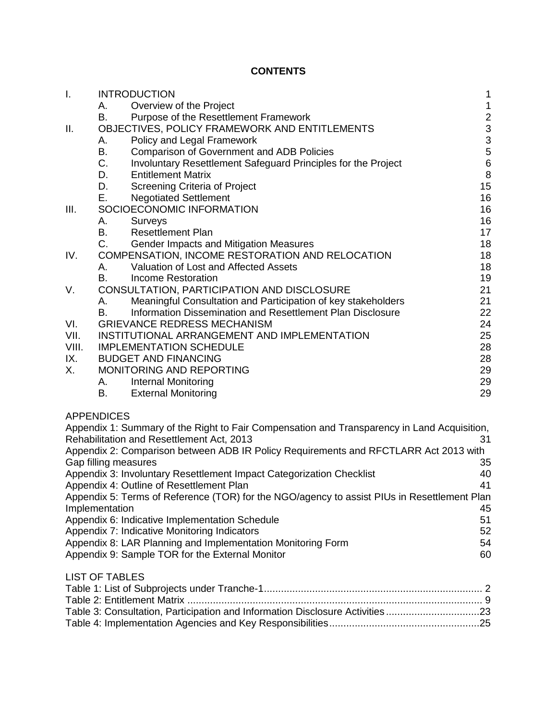# **CONTENTS**

| Ι.    | <b>INTRODUCTION</b><br>$\mathbf 1$ |                                                                                             |                                                   |  |  |  |
|-------|------------------------------------|---------------------------------------------------------------------------------------------|---------------------------------------------------|--|--|--|
|       | А.                                 | Overview of the Project                                                                     | $\mathbf{1}$                                      |  |  |  |
|       | В.                                 | Purpose of the Resettlement Framework                                                       |                                                   |  |  |  |
| ΙΙ.   |                                    | OBJECTIVES, POLICY FRAMEWORK AND ENTITLEMENTS                                               |                                                   |  |  |  |
|       | А.                                 | Policy and Legal Framework                                                                  | $\begin{array}{c}\n2 \\ 3 \\ 3 \\ 5\n\end{array}$ |  |  |  |
|       | В.                                 | <b>Comparison of Government and ADB Policies</b>                                            |                                                   |  |  |  |
|       | C.                                 | Involuntary Resettlement Safeguard Principles for the Project                               | $\,6$                                             |  |  |  |
|       | D.                                 | <b>Entitlement Matrix</b>                                                                   | $\,8\,$                                           |  |  |  |
|       | D.                                 | Screening Criteria of Project                                                               | 15                                                |  |  |  |
|       | Е.                                 | <b>Negotiated Settlement</b>                                                                | 16                                                |  |  |  |
| Ш.    |                                    | SOCIOECONOMIC INFORMATION                                                                   | 16                                                |  |  |  |
|       | А.                                 | Surveys                                                                                     | 16                                                |  |  |  |
|       | B.                                 | <b>Resettlement Plan</b>                                                                    | 17                                                |  |  |  |
|       | C.                                 | Gender Impacts and Mitigation Measures                                                      | 18                                                |  |  |  |
| IV.   |                                    | COMPENSATION, INCOME RESTORATION AND RELOCATION                                             | 18                                                |  |  |  |
|       | А.                                 | Valuation of Lost and Affected Assets                                                       | 18                                                |  |  |  |
|       | B.                                 | <b>Income Restoration</b>                                                                   | 19                                                |  |  |  |
| V.    |                                    | CONSULTATION, PARTICIPATION AND DISCLOSURE                                                  | 21                                                |  |  |  |
|       | А.                                 | Meaningful Consultation and Participation of key stakeholders                               | 21                                                |  |  |  |
|       | В.                                 | Information Dissemination and Resettlement Plan Disclosure                                  | 22                                                |  |  |  |
| VI.   |                                    | <b>GRIEVANCE REDRESS MECHANISM</b>                                                          | 24                                                |  |  |  |
| VII.  |                                    | INSTITUTIONAL ARRANGEMENT AND IMPLEMENTATION                                                | 25                                                |  |  |  |
| VIII. |                                    | <b>IMPLEMENTATION SCHEDULE</b>                                                              | 28                                                |  |  |  |
| IX.   |                                    | <b>BUDGET AND FINANCING</b>                                                                 | 28                                                |  |  |  |
| Χ.    |                                    | MONITORING AND REPORTING                                                                    | 29                                                |  |  |  |
|       |                                    | Internal Monitoring                                                                         | 29                                                |  |  |  |
|       | В.                                 | <b>External Monitoring</b>                                                                  | 29                                                |  |  |  |
|       |                                    |                                                                                             |                                                   |  |  |  |
|       | <b>APPENDICES</b>                  |                                                                                             |                                                   |  |  |  |
|       |                                    | Appendix 1: Summary of the Right to Fair Compensation and Transparency in Land Acquisition, |                                                   |  |  |  |
|       |                                    | Rehabilitation and Resettlement Act, 2013                                                   | 31                                                |  |  |  |
|       |                                    | Appendix 2: Comparison between ADB IR Policy Requirements and RFCTLARR Act 2013 with        |                                                   |  |  |  |
|       | Gap filling measures               |                                                                                             | 35                                                |  |  |  |
|       |                                    | Appendix 3: Involuntary Resettlement Impact Categorization Checklist                        | 40                                                |  |  |  |
|       |                                    | Appendix 4: Outline of Resettlement Plan                                                    | 41                                                |  |  |  |
|       |                                    | Appendix 5: Terms of Reference (TOR) for the NGO/agency to assist PIUs in Resettlement Plan |                                                   |  |  |  |
|       | Implementation                     |                                                                                             | 45                                                |  |  |  |
|       |                                    | Appendix 6: Indicative Implementation Schedule                                              | 51                                                |  |  |  |
|       |                                    | Appendix 7: Indicative Monitoring Indicators                                                | 52                                                |  |  |  |
|       |                                    | Appendix 8: LAR Planning and Implementation Monitoring Form                                 | 54                                                |  |  |  |
|       |                                    | Appendix 9: Sample TOR for the External Monitor                                             | 60                                                |  |  |  |
|       |                                    |                                                                                             |                                                   |  |  |  |
|       | <b>LIST OF TABLES</b>              |                                                                                             |                                                   |  |  |  |
|       |                                    |                                                                                             |                                                   |  |  |  |
|       |                                    |                                                                                             |                                                   |  |  |  |
|       |                                    | Table 3: Consultation, Participation and Information Disclosure Activities23                |                                                   |  |  |  |
|       |                                    |                                                                                             |                                                   |  |  |  |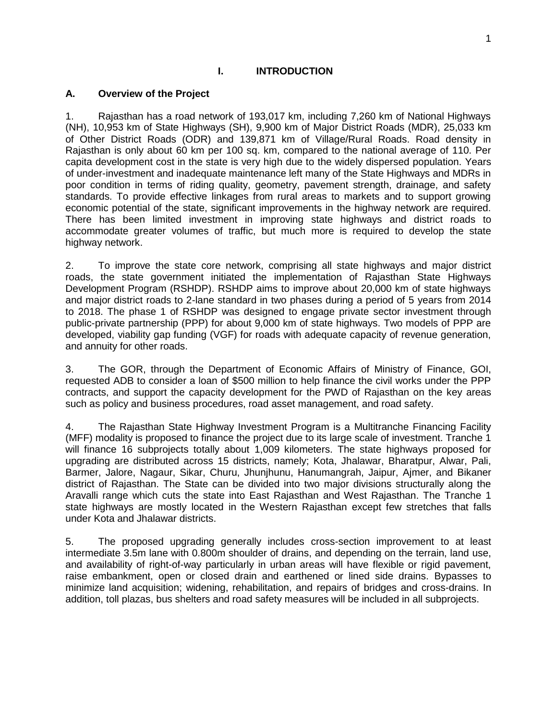#### **I. INTRODUCTION**

#### <span id="page-3-1"></span><span id="page-3-0"></span>**A. Overview of the Project**

1. Rajasthan has a road network of 193,017 km, including 7,260 km of National Highways (NH), 10,953 km of State Highways (SH), 9,900 km of Major District Roads (MDR), 25,033 km of Other District Roads (ODR) and 139,871 km of Village/Rural Roads. Road density in Rajasthan is only about 60 km per 100 sq. km, compared to the national average of 110. Per capita development cost in the state is very high due to the widely dispersed population. Years of under-investment and inadequate maintenance left many of the State Highways and MDRs in poor condition in terms of riding quality, geometry, pavement strength, drainage, and safety standards. To provide effective linkages from rural areas to markets and to support growing economic potential of the state, significant improvements in the highway network are required. There has been limited investment in improving state highways and district roads to accommodate greater volumes of traffic, but much more is required to develop the state highway network.

2. To improve the state core network, comprising all state highways and major district roads, the state government initiated the implementation of Rajasthan State Highways Development Program (RSHDP). RSHDP aims to improve about 20,000 km of state highways and major district roads to 2-lane standard in two phases during a period of 5 years from 2014 to 2018. The phase 1 of RSHDP was designed to engage private sector investment through public-private partnership (PPP) for about 9,000 km of state highways. Two models of PPP are developed, viability gap funding (VGF) for roads with adequate capacity of revenue generation, and annuity for other roads.

3. The GOR, through the Department of Economic Affairs of Ministry of Finance, GOI, requested ADB to consider a loan of \$500 million to help finance the civil works under the PPP contracts, and support the capacity development for the PWD of Rajasthan on the key areas such as policy and business procedures, road asset management, and road safety.

4. The Rajasthan State Highway Investment Program is a Multitranche Financing Facility (MFF) modality is proposed to finance the project due to its large scale of investment. Tranche 1 will finance 16 subprojects totally about 1,009 kilometers. The state highways proposed for upgrading are distributed across 15 districts, namely; Kota, Jhalawar, Bharatpur, Alwar, Pali, Barmer, Jalore, Nagaur, Sikar, Churu, Jhunjhunu, Hanumangrah, Jaipur, Ajmer, and Bikaner district of Rajasthan. The State can be divided into two major divisions structurally along the Aravalli range which cuts the state into East Rajasthan and West Rajasthan. The Tranche 1 state highways are mostly located in the Western Rajasthan except few stretches that falls under Kota and Jhalawar districts.

5. The proposed upgrading generally includes cross-section improvement to at least intermediate 3.5m lane with 0.800m shoulder of drains, and depending on the terrain, land use, and availability of right-of-way particularly in urban areas will have flexible or rigid pavement, raise embankment, open or closed drain and earthened or lined side drains. Bypasses to minimize land acquisition; widening, rehabilitation, and repairs of bridges and cross-drains. In addition, toll plazas, bus shelters and road safety measures will be included in all subprojects.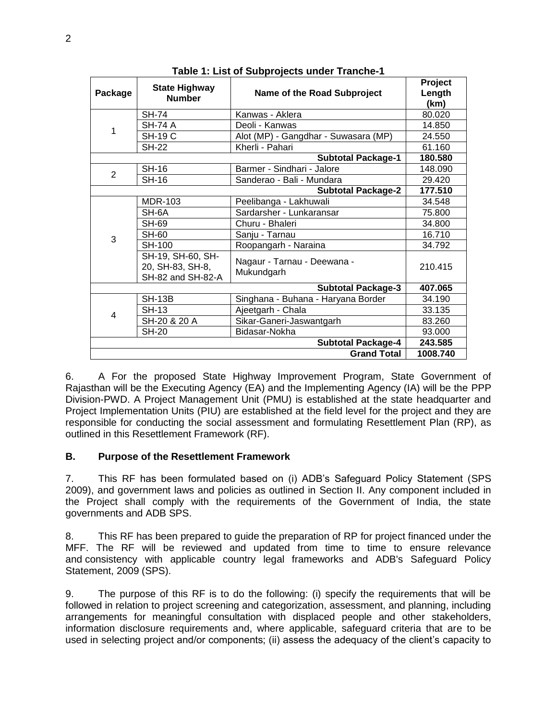| Package                   | <b>State Highway</b><br><b>Number</b>                      | Name of the Road Subproject               | Project<br>Length<br>(km) |  |  |  |
|---------------------------|------------------------------------------------------------|-------------------------------------------|---------------------------|--|--|--|
|                           | <b>SH-74</b>                                               | Kanwas - Aklera                           | 80.020                    |  |  |  |
| 1                         | SH-74 A                                                    | Deoli - Kanwas                            | 14.850                    |  |  |  |
|                           | <b>SH-19 C</b>                                             | Alot (MP) - Gangdhar - Suwasara (MP)      | 24.550                    |  |  |  |
|                           | <b>SH-22</b>                                               | Kherli - Pahari                           | 61.160                    |  |  |  |
|                           | 180.580                                                    |                                           |                           |  |  |  |
| $\overline{2}$            | <b>SH-16</b>                                               | Barmer - Sindhari - Jalore                | 148.090                   |  |  |  |
|                           | <b>SH-16</b>                                               | Sanderao - Bali - Mundara                 | 29.420                    |  |  |  |
|                           | 177.510                                                    |                                           |                           |  |  |  |
|                           | <b>MDR-103</b>                                             | Peelibanga - Lakhuwali                    | 34.548                    |  |  |  |
|                           | SH-6A                                                      | Sardarsher - Lunkaransar                  | 75.800                    |  |  |  |
|                           | SH-69                                                      | Churu - Bhaleri                           | 34.800                    |  |  |  |
| 3                         | <b>SH-60</b>                                               | Sanju - Tarnau                            | 16.710                    |  |  |  |
|                           | <b>SH-100</b>                                              | Roopangarh - Naraina                      | 34.792                    |  |  |  |
|                           | SH-19, SH-60, SH-<br>20, SH-83, SH-8,<br>SH-82 and SH-82-A | Nagaur - Tarnau - Deewana -<br>Mukundgarh | 210.415                   |  |  |  |
|                           |                                                            | <b>Subtotal Package-3</b>                 | 407.065                   |  |  |  |
|                           | <b>SH-13B</b>                                              | Singhana - Buhana - Haryana Border        | 34.190                    |  |  |  |
| 4                         | <b>SH-13</b>                                               | Ajeetgarh - Chala                         | 33.135                    |  |  |  |
|                           | SH-20 & 20 A                                               | Sikar-Ganeri-Jaswantgarh                  | 83.260                    |  |  |  |
|                           | <b>SH-20</b>                                               | Bidasar-Nokha                             |                           |  |  |  |
| <b>Subtotal Package-4</b> |                                                            |                                           |                           |  |  |  |
|                           |                                                            | <b>Grand Total</b>                        | 1008.740                  |  |  |  |

**Table 1: List of Subprojects under Tranche-1**

6. A For the proposed State Highway Improvement Program, State Government of Rajasthan will be the Executing Agency (EA) and the Implementing Agency (IA) will be the PPP Division-PWD. A Project Management Unit (PMU) is established at the state headquarter and Project Implementation Units (PIU) are established at the field level for the project and they are responsible for conducting the social assessment and formulating Resettlement Plan (RP), as outlined in this Resettlement Framework (RF).

#### <span id="page-4-0"></span>**B. Purpose of the Resettlement Framework**

7. This RF has been formulated based on (i) ADB's Safeguard Policy Statement (SPS 2009), and government laws and policies as outlined in Section II. Any component included in the Project shall comply with the requirements of the Government of India, the state governments and ADB SPS.

8. This RF has been prepared to guide the preparation of RP for project financed under the MFF. The RF will be reviewed and updated from time to time to ensure relevance and consistency with applicable country legal frameworks and ADB's Safeguard Policy Statement, 2009 (SPS).

9. The purpose of this RF is to do the following: (i) specify the requirements that will be followed in relation to project screening and categorization, assessment, and planning, including arrangements for meaningful consultation with displaced people and other stakeholders, information disclosure requirements and, where applicable, safeguard criteria that are to be used in selecting project and/or components; (ii) assess the adequacy of the client's capacity to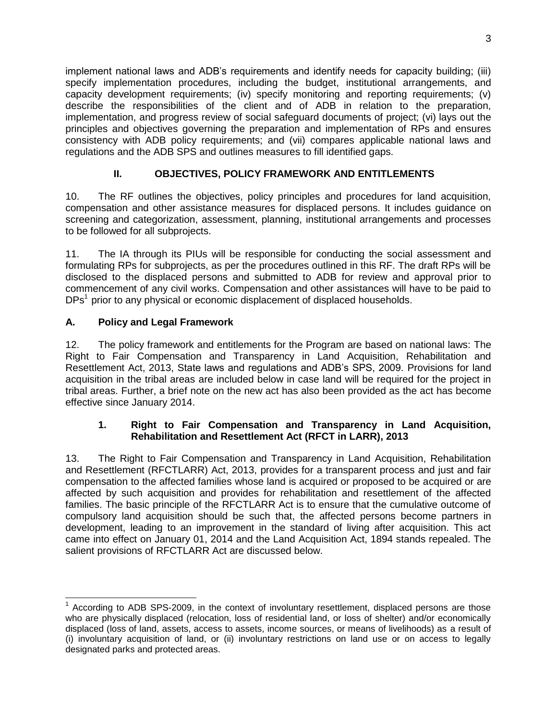implement national laws and ADB's requirements and identify needs for capacity building; (iii) specify implementation procedures, including the budget, institutional arrangements, and capacity development requirements; (iv) specify monitoring and reporting requirements; (v) describe the responsibilities of the client and of ADB in relation to the preparation, implementation, and progress review of social safeguard documents of project; (vi) lays out the principles and objectives governing the preparation and implementation of RPs and ensures consistency with ADB policy requirements; and (vii) compares applicable national laws and regulations and the ADB SPS and outlines measures to fill identified gaps.

# **II. OBJECTIVES, POLICY FRAMEWORK AND ENTITLEMENTS**

<span id="page-5-0"></span>10. The RF outlines the objectives, policy principles and procedures for land acquisition, compensation and other assistance measures for displaced persons. It includes guidance on screening and categorization, assessment, planning, institutional arrangements and processes to be followed for all subprojects.

11. The IA through its PIUs will be responsible for conducting the social assessment and formulating RPs for subprojects, as per the procedures outlined in this RF. The draft RPs will be disclosed to the displaced persons and submitted to ADB for review and approval prior to commencement of any civil works. Compensation and other assistances will have to be paid to DPs<sup>1</sup> prior to any physical or economic displacement of displaced households.

# <span id="page-5-1"></span>**A. Policy and Legal Framework**

12. The policy framework and entitlements for the Program are based on national laws: The Right to Fair Compensation and Transparency in Land Acquisition, Rehabilitation and Resettlement Act, 2013, State laws and regulations and ADB's SPS, 2009. Provisions for land acquisition in the tribal areas are included below in case land will be required for the project in tribal areas. Further, a brief note on the new act has also been provided as the act has become effective since January 2014.

## **1. Right to Fair Compensation and Transparency in Land Acquisition, Rehabilitation and Resettlement Act (RFCT in LARR), 2013**

13. The Right to Fair Compensation and Transparency in Land Acquisition, Rehabilitation and Resettlement (RFCTLARR) Act, 2013, provides for a transparent process and just and fair compensation to the affected families whose land is acquired or proposed to be acquired or are affected by such acquisition and provides for rehabilitation and resettlement of the affected families. The basic principle of the RFCTLARR Act is to ensure that the cumulative outcome of compulsory land acquisition should be such that, the affected persons become partners in development, leading to an improvement in the standard of living after acquisition. This act came into effect on January 01, 2014 and the Land Acquisition Act, 1894 stands repealed. The salient provisions of RFCTLARR Act are discussed below.

  $1$  According to ADB SPS-2009, in the context of involuntary resettlement, displaced persons are those who are physically displaced (relocation, loss of residential land, or loss of shelter) and/or economically displaced (loss of land, assets, access to assets, income sources, or means of livelihoods) as a result of (i) involuntary acquisition of land, or (ii) involuntary restrictions on land use or on access to legally designated parks and protected areas.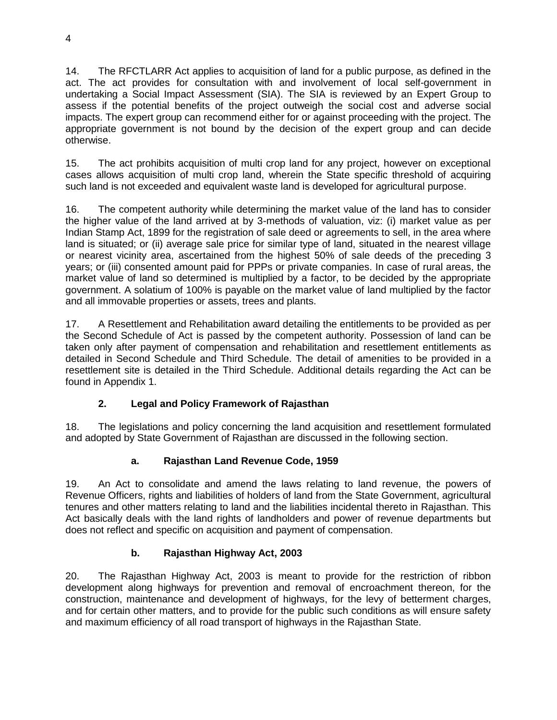14. The RFCTLARR Act applies to acquisition of land for a public purpose, as defined in the act. The act provides for consultation with and involvement of local self-government in undertaking a Social Impact Assessment (SIA). The SIA is reviewed by an Expert Group to assess if the potential benefits of the project outweigh the social cost and adverse social impacts. The expert group can recommend either for or against proceeding with the project. The appropriate government is not bound by the decision of the expert group and can decide otherwise.

15. The act prohibits acquisition of multi crop land for any project, however on exceptional cases allows acquisition of multi crop land, wherein the State specific threshold of acquiring such land is not exceeded and equivalent waste land is developed for agricultural purpose.

16. The competent authority while determining the market value of the land has to consider the higher value of the land arrived at by 3-methods of valuation, viz: (i) market value as per Indian Stamp Act, 1899 for the registration of sale deed or agreements to sell, in the area where land is situated; or (ii) average sale price for similar type of land, situated in the nearest village or nearest vicinity area, ascertained from the highest 50% of sale deeds of the preceding 3 years; or (iii) consented amount paid for PPPs or private companies. In case of rural areas, the market value of land so determined is multiplied by a factor, to be decided by the appropriate government. A solatium of 100% is payable on the market value of land multiplied by the factor and all immovable properties or assets, trees and plants.

17. A Resettlement and Rehabilitation award detailing the entitlements to be provided as per the Second Schedule of Act is passed by the competent authority. Possession of land can be taken only after payment of compensation and rehabilitation and resettlement entitlements as detailed in Second Schedule and Third Schedule. The detail of amenities to be provided in a resettlement site is detailed in the Third Schedule. Additional details regarding the Act can be found in Appendix 1.

# **2. Legal and Policy Framework of Rajasthan**

18. The legislations and policy concerning the land acquisition and resettlement formulated and adopted by State Government of Rajasthan are discussed in the following section.

# **a. Rajasthan Land Revenue Code, 1959**

19. An Act to consolidate and amend the laws relating to land revenue, the powers of Revenue Officers, rights and liabilities of holders of land from the State Government, agricultural tenures and other matters relating to land and the liabilities incidental thereto in Rajasthan. This Act basically deals with the land rights of landholders and power of revenue departments but does not reflect and specific on acquisition and payment of compensation.

# **b. Rajasthan Highway Act, 2003**

20. The Rajasthan Highway Act, 2003 is meant to provide for the restriction of ribbon development along highways for prevention and removal of encroachment thereon, for the construction, maintenance and development of highways, for the levy of betterment charges, and for certain other matters, and to provide for the public such conditions as will ensure safety and maximum efficiency of all road transport of highways in the Rajasthan State.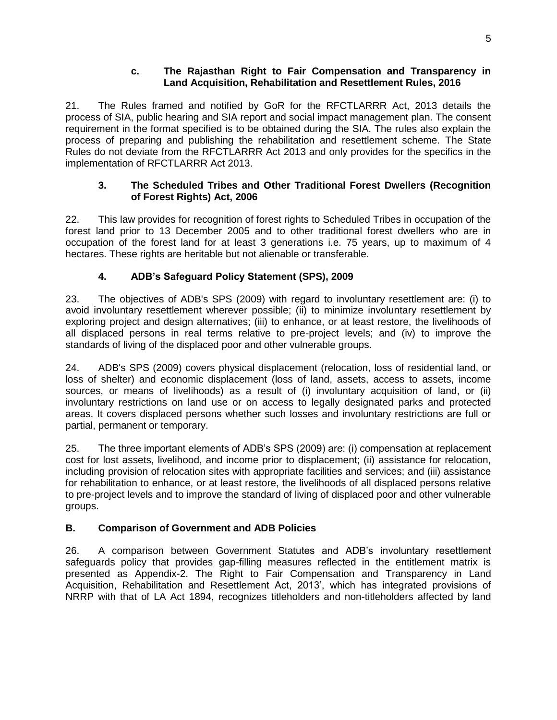#### **c. The Rajasthan Right to Fair Compensation and Transparency in Land Acquisition, Rehabilitation and Resettlement Rules, 2016**

21. The Rules framed and notified by GoR for the RFCTLARRR Act, 2013 details the process of SIA, public hearing and SIA report and social impact management plan. The consent requirement in the format specified is to be obtained during the SIA. The rules also explain the process of preparing and publishing the rehabilitation and resettlement scheme. The State Rules do not deviate from the RFCTLARRR Act 2013 and only provides for the specifics in the implementation of RFCTLARRR Act 2013.

## **3. The Scheduled Tribes and Other Traditional Forest Dwellers (Recognition of Forest Rights) Act, 2006**

22. This law provides for recognition of forest rights to Scheduled Tribes in occupation of the forest land prior to 13 December 2005 and to other traditional forest dwellers who are in occupation of the forest land for at least 3 generations i.e. 75 years, up to maximum of 4 hectares. These rights are heritable but not alienable or transferable.

# **4. ADB's Safeguard Policy Statement (SPS), 2009**

23. The objectives of ADB's SPS (2009) with regard to involuntary resettlement are: (i) to avoid involuntary resettlement wherever possible; (ii) to minimize involuntary resettlement by exploring project and design alternatives; (iii) to enhance, or at least restore, the livelihoods of all displaced persons in real terms relative to pre-project levels; and (iv) to improve the standards of living of the displaced poor and other vulnerable groups.

24. ADB's SPS (2009) covers physical displacement (relocation, loss of residential land, or loss of shelter) and economic displacement (loss of land, assets, access to assets, income sources, or means of livelihoods) as a result of (i) involuntary acquisition of land, or (ii) involuntary restrictions on land use or on access to legally designated parks and protected areas. It covers displaced persons whether such losses and involuntary restrictions are full or partial, permanent or temporary.

25. The three important elements of ADB's SPS (2009) are: (i) compensation at replacement cost for lost assets, livelihood, and income prior to displacement; (ii) assistance for relocation, including provision of relocation sites with appropriate facilities and services; and (iii) assistance for rehabilitation to enhance, or at least restore, the livelihoods of all displaced persons relative to pre-project levels and to improve the standard of living of displaced poor and other vulnerable groups.

# <span id="page-7-0"></span>**B. Comparison of Government and ADB Policies**

26. A comparison between Government Statutes and ADB's involuntary resettlement safeguards policy that provides gap-filling measures reflected in the entitlement matrix is presented as Appendix-2. The Right to Fair Compensation and Transparency in Land Acquisition, Rehabilitation and Resettlement Act, 2013', which has integrated provisions of NRRP with that of LA Act 1894, recognizes titleholders and non-titleholders affected by land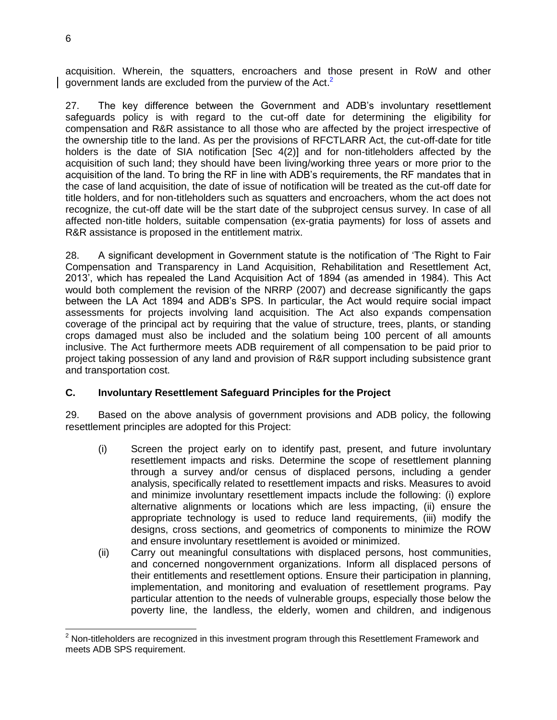acquisition. Wherein, the squatters, encroachers and those present in RoW and other government lands are excluded from the purview of the Act.<sup>2</sup>

27. The key difference between the Government and ADB's involuntary resettlement safeguards policy is with regard to the cut-off date for determining the eligibility for compensation and R&R assistance to all those who are affected by the project irrespective of the ownership title to the land. As per the provisions of RFCTLARR Act, the cut-off-date for title holders is the date of SIA notification [Sec 4(2)] and for non-titleholders affected by the acquisition of such land; they should have been living/working three years or more prior to the acquisition of the land. To bring the RF in line with ADB's requirements, the RF mandates that in the case of land acquisition, the date of issue of notification will be treated as the cut-off date for title holders, and for non-titleholders such as squatters and encroachers, whom the act does not recognize, the cut-off date will be the start date of the subproject census survey. In case of all affected non-title holders, suitable compensation (ex-gratia payments) for loss of assets and R&R assistance is proposed in the entitlement matrix.

28. A significant development in Government statute is the notification of 'The Right to Fair Compensation and Transparency in Land Acquisition, Rehabilitation and Resettlement Act, 2013', which has repealed the Land Acquisition Act of 1894 (as amended in 1984). This Act would both complement the revision of the NRRP (2007) and decrease significantly the gaps between the LA Act 1894 and ADB's SPS. In particular, the Act would require social impact assessments for projects involving land acquisition. The Act also expands compensation coverage of the principal act by requiring that the value of structure, trees, plants, or standing crops damaged must also be included and the solatium being 100 percent of all amounts inclusive. The Act furthermore meets ADB requirement of all compensation to be paid prior to project taking possession of any land and provision of R&R support including subsistence grant and transportation cost.

#### <span id="page-8-0"></span>**C. Involuntary Resettlement Safeguard Principles for the Project**

29. Based on the above analysis of government provisions and ADB policy, the following resettlement principles are adopted for this Project:

- (i) Screen the project early on to identify past, present, and future involuntary resettlement impacts and risks. Determine the scope of resettlement planning through a survey and/or census of displaced persons, including a gender analysis, specifically related to resettlement impacts and risks. Measures to avoid and minimize involuntary resettlement impacts include the following: (i) explore alternative alignments or locations which are less impacting, (ii) ensure the appropriate technology is used to reduce land requirements, (iii) modify the designs, cross sections, and geometrics of components to minimize the ROW and ensure involuntary resettlement is avoided or minimized.
- (ii) Carry out meaningful consultations with displaced persons, host communities, and concerned nongovernment organizations. Inform all displaced persons of their entitlements and resettlement options. Ensure their participation in planning, implementation, and monitoring and evaluation of resettlement programs. Pay particular attention to the needs of vulnerable groups, especially those below the poverty line, the landless, the elderly, women and children, and indigenous

 $2$  Non-titleholders are recognized in this investment program through this Resettlement Framework and meets ADB SPS requirement.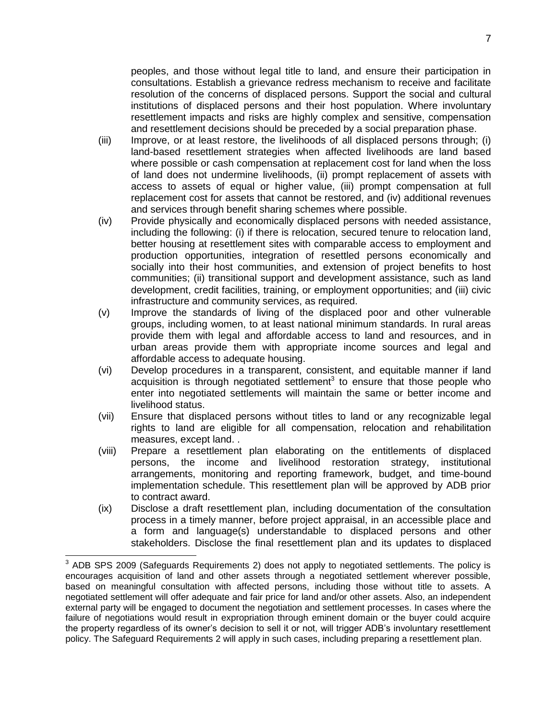peoples, and those without legal title to land, and ensure their participation in consultations. Establish a grievance redress mechanism to receive and facilitate resolution of the concerns of displaced persons. Support the social and cultural institutions of displaced persons and their host population. Where involuntary resettlement impacts and risks are highly complex and sensitive, compensation and resettlement decisions should be preceded by a social preparation phase.

- (iii) Improve, or at least restore, the livelihoods of all displaced persons through; (i) land-based resettlement strategies when affected livelihoods are land based where possible or cash compensation at replacement cost for land when the loss of land does not undermine livelihoods, (ii) prompt replacement of assets with access to assets of equal or higher value, (iii) prompt compensation at full replacement cost for assets that cannot be restored, and (iv) additional revenues and services through benefit sharing schemes where possible.
- (iv) Provide physically and economically displaced persons with needed assistance, including the following: (i) if there is relocation, secured tenure to relocation land, better housing at resettlement sites with comparable access to employment and production opportunities, integration of resettled persons economically and socially into their host communities, and extension of project benefits to host communities; (ii) transitional support and development assistance, such as land development, credit facilities, training, or employment opportunities; and (iii) civic infrastructure and community services, as required.
- (v) Improve the standards of living of the displaced poor and other vulnerable groups, including women, to at least national minimum standards. In rural areas provide them with legal and affordable access to land and resources, and in urban areas provide them with appropriate income sources and legal and affordable access to adequate housing.
- (vi) Develop procedures in a transparent, consistent, and equitable manner if land acquisition is through negotiated settlement<sup>3</sup> to ensure that those people who enter into negotiated settlements will maintain the same or better income and livelihood status.
- (vii) Ensure that displaced persons without titles to land or any recognizable legal rights to land are eligible for all compensation, relocation and rehabilitation measures, except land. .
- (viii) Prepare a resettlement plan elaborating on the entitlements of displaced persons, the income and livelihood restoration strategy, institutional arrangements, monitoring and reporting framework, budget, and time-bound implementation schedule. This resettlement plan will be approved by ADB prior to contract award.
- (ix) Disclose a draft resettlement plan, including documentation of the consultation process in a timely manner, before project appraisal, in an accessible place and a form and language(s) understandable to displaced persons and other stakeholders. Disclose the final resettlement plan and its updates to displaced

 $3$  ADB SPS 2009 (Safeguards Requirements 2) does not apply to negotiated settlements. The policy is encourages acquisition of land and other assets through a negotiated settlement wherever possible, based on meaningful consultation with affected persons, including those without title to assets. A negotiated settlement will offer adequate and fair price for land and/or other assets. Also, an independent external party will be engaged to document the negotiation and settlement processes. In cases where the failure of negotiations would result in expropriation through eminent domain or the buyer could acquire the property regardless of its owner's decision to sell it or not, will trigger ADB's involuntary resettlement policy. The Safeguard Requirements 2 will apply in such cases, including preparing a resettlement plan.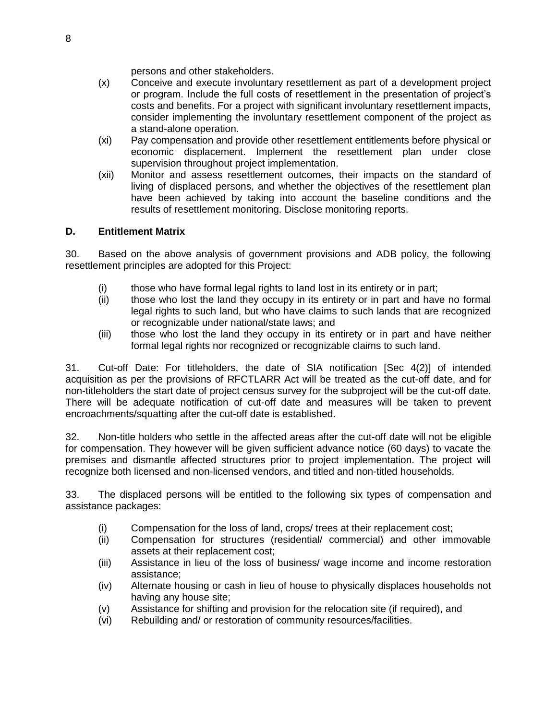persons and other stakeholders.

- (x) Conceive and execute involuntary resettlement as part of a development project or program. Include the full costs of resettlement in the presentation of project's costs and benefits. For a project with significant involuntary resettlement impacts, consider implementing the involuntary resettlement component of the project as a stand-alone operation.
- (xi) Pay compensation and provide other resettlement entitlements before physical or economic displacement. Implement the resettlement plan under close supervision throughout project implementation.
- (xii) Monitor and assess resettlement outcomes, their impacts on the standard of living of displaced persons, and whether the objectives of the resettlement plan have been achieved by taking into account the baseline conditions and the results of resettlement monitoring. Disclose monitoring reports.

# <span id="page-10-0"></span>**D. Entitlement Matrix**

30. Based on the above analysis of government provisions and ADB policy, the following resettlement principles are adopted for this Project:

- (i) those who have formal legal rights to land lost in its entirety or in part;
- (ii) those who lost the land they occupy in its entirety or in part and have no formal legal rights to such land, but who have claims to such lands that are recognized or recognizable under national/state laws; and
- (iii) those who lost the land they occupy in its entirety or in part and have neither formal legal rights nor recognized or recognizable claims to such land.

31. Cut-off Date: For titleholders, the date of SIA notification [Sec 4(2)] of intended acquisition as per the provisions of RFCTLARR Act will be treated as the cut-off date, and for non-titleholders the start date of project census survey for the subproject will be the cut-off date. There will be adequate notification of cut-off date and measures will be taken to prevent encroachments/squatting after the cut-off date is established.

32. Non-title holders who settle in the affected areas after the cut-off date will not be eligible for compensation. They however will be given sufficient advance notice (60 days) to vacate the premises and dismantle affected structures prior to project implementation. The project will recognize both licensed and non-licensed vendors, and titled and non-titled households.

33. The displaced persons will be entitled to the following six types of compensation and assistance packages:

- (i) Compensation for the loss of land, crops/ trees at their replacement cost;
- (ii) Compensation for structures (residential/ commercial) and other immovable assets at their replacement cost;
- (iii) Assistance in lieu of the loss of business/ wage income and income restoration assistance;
- (iv) Alternate housing or cash in lieu of house to physically displaces households not having any house site;
- (v) Assistance for shifting and provision for the relocation site (if required), and
- (vi) Rebuilding and/ or restoration of community resources/facilities.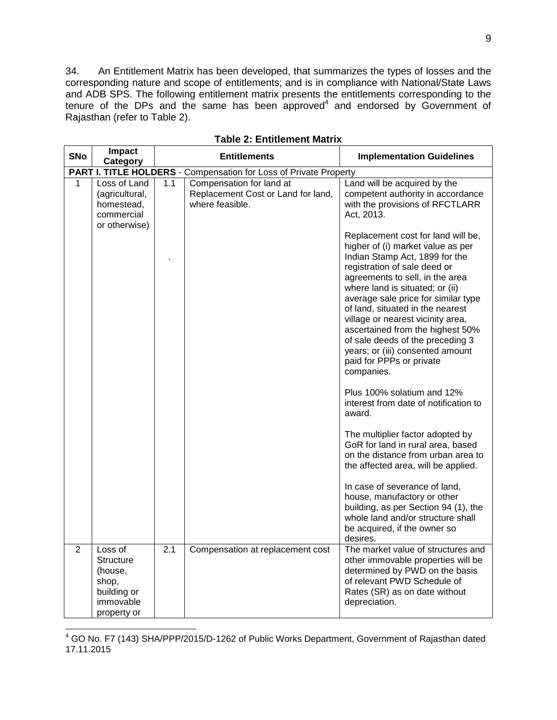34. An Entitlement Matrix has been developed, that summarizes the types of losses and the corresponding nature and scope of entitlements; and is in compliance with National/State Laws and ADB SPS. The following entitlement matrix presents the entitlements corresponding to the tenure of the DPs and the same has been approved $4$  and endorsed by Government of Rajasthan (refer to Table 2).

| <b>SNo</b>     | Impact<br>Category                                                                         |                                                                   | <b>Entitlements</b>                                                               | <b>Implementation Guidelines</b>                                                                                                                                                                                                                                                                                                                                                                                                                                                      |  |
|----------------|--------------------------------------------------------------------------------------------|-------------------------------------------------------------------|-----------------------------------------------------------------------------------|---------------------------------------------------------------------------------------------------------------------------------------------------------------------------------------------------------------------------------------------------------------------------------------------------------------------------------------------------------------------------------------------------------------------------------------------------------------------------------------|--|
|                |                                                                                            | PART I. TITLE HOLDERS - Compensation for Loss of Private Property |                                                                                   |                                                                                                                                                                                                                                                                                                                                                                                                                                                                                       |  |
| 1              | Loss of Land<br>(agricultural,<br>homestead,<br>commercial<br>or otherwise)                | 1.1                                                               | Compensation for land at<br>Replacement Cost or Land for land,<br>where feasible. | Land will be acquired by the<br>competent authority in accordance<br>with the provisions of RFCTLARR<br>Act, 2013.                                                                                                                                                                                                                                                                                                                                                                    |  |
|                |                                                                                            |                                                                   |                                                                                   | Replacement cost for land will be,<br>higher of (i) market value as per<br>Indian Stamp Act, 1899 for the<br>registration of sale deed or<br>agreements to sell, in the area<br>where land is situated; or (ii)<br>average sale price for similar type<br>of land, situated in the nearest<br>village or nearest vicinity area,<br>ascertained from the highest 50%<br>of sale deeds of the preceding 3<br>years; or (iii) consented amount<br>paid for PPPs or private<br>companies. |  |
|                |                                                                                            |                                                                   |                                                                                   | Plus 100% solatium and 12%<br>interest from date of notification to<br>award.                                                                                                                                                                                                                                                                                                                                                                                                         |  |
|                |                                                                                            |                                                                   |                                                                                   | The multiplier factor adopted by<br>GoR for land in rural area, based<br>on the distance from urban area to<br>the affected area, will be applied.                                                                                                                                                                                                                                                                                                                                    |  |
|                |                                                                                            |                                                                   |                                                                                   | In case of severance of land,<br>house, manufactory or other<br>building, as per Section 94 (1), the<br>whole land and/or structure shall<br>be acquired, if the owner so<br>desires.                                                                                                                                                                                                                                                                                                 |  |
| $\overline{2}$ | Loss of<br><b>Structure</b><br>(house,<br>shop,<br>building or<br>immovable<br>property or | 2.1                                                               | Compensation at replacement cost                                                  | The market value of structures and<br>other immovable properties will be<br>determined by PWD on the basis<br>of relevant PWD Schedule of<br>Rates (SR) as on date without<br>depreciation.                                                                                                                                                                                                                                                                                           |  |

**Table 2: Entitlement Matrix**

 $\overline{\phantom{0}}$ 

 $4$  GO No. F7 (143) SHA/PPP/2015/D-1262 of Public Works Department, Government of Rajasthan dated 17.11.2015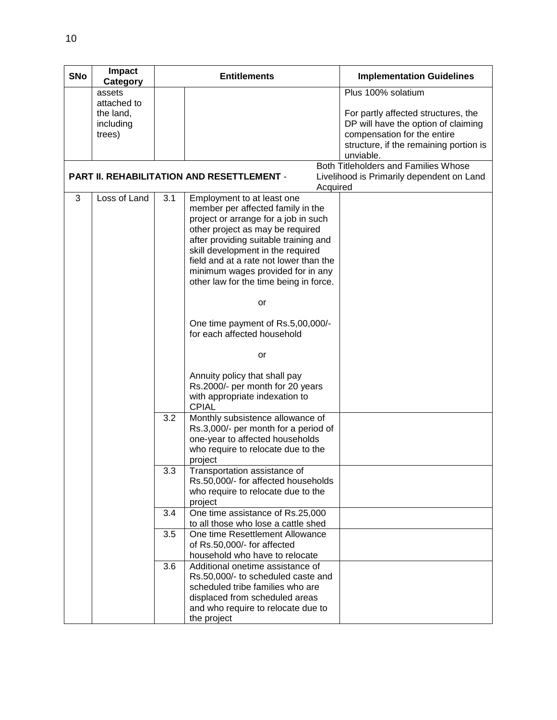| <b>SNo</b> | Impact<br>Category |     | <b>Entitlements</b>                                                       | <b>Implementation Guidelines</b>          |
|------------|--------------------|-----|---------------------------------------------------------------------------|-------------------------------------------|
|            | assets             |     |                                                                           | Plus 100% solatium                        |
|            | attached to        |     |                                                                           |                                           |
|            | the land,          |     |                                                                           | For partly affected structures, the       |
|            | including          |     |                                                                           | DP will have the option of claiming       |
|            | trees)             |     |                                                                           | compensation for the entire               |
|            |                    |     |                                                                           | structure, if the remaining portion is    |
|            |                    |     |                                                                           | unviable.                                 |
|            |                    |     | <b>PART II. REHABILITATION AND RESETTLEMENT -</b>                         | Both Titleholders and Families Whose      |
|            |                    |     | Acquired                                                                  | Livelihood is Primarily dependent on Land |
| 3          | Loss of Land       | 3.1 | Employment to at least one                                                |                                           |
|            |                    |     | member per affected family in the                                         |                                           |
|            |                    |     | project or arrange for a job in such                                      |                                           |
|            |                    |     | other project as may be required                                          |                                           |
|            |                    |     | after providing suitable training and                                     |                                           |
|            |                    |     | skill development in the required                                         |                                           |
|            |                    |     | field and at a rate not lower than the                                    |                                           |
|            |                    |     | minimum wages provided for in any                                         |                                           |
|            |                    |     | other law for the time being in force.                                    |                                           |
|            |                    |     |                                                                           |                                           |
|            |                    |     | or                                                                        |                                           |
|            |                    |     | One time payment of Rs.5,00,000/-                                         |                                           |
|            |                    |     | for each affected household                                               |                                           |
|            |                    |     |                                                                           |                                           |
|            |                    |     | or                                                                        |                                           |
|            |                    |     | Annuity policy that shall pay                                             |                                           |
|            |                    |     | Rs.2000/- per month for 20 years                                          |                                           |
|            |                    |     | with appropriate indexation to                                            |                                           |
|            |                    |     | <b>CPIAL</b>                                                              |                                           |
|            |                    | 3.2 | Monthly subsistence allowance of                                          |                                           |
|            |                    |     | Rs.3,000/- per month for a period of                                      |                                           |
|            |                    |     | one-year to affected households                                           |                                           |
|            |                    |     | who require to relocate due to the                                        |                                           |
|            |                    |     | project                                                                   |                                           |
|            |                    | 3.3 | Transportation assistance of                                              |                                           |
|            |                    |     | Rs.50,000/- for affected households<br>who require to relocate due to the |                                           |
|            |                    |     | project                                                                   |                                           |
|            |                    | 3.4 | One time assistance of Rs.25,000                                          |                                           |
|            |                    |     | to all those who lose a cattle shed                                       |                                           |
|            |                    | 3.5 | One time Resettlement Allowance                                           |                                           |
|            |                    |     | of Rs.50,000/- for affected                                               |                                           |
|            |                    |     | household who have to relocate                                            |                                           |
|            |                    | 3.6 | Additional onetime assistance of                                          |                                           |
|            |                    |     | Rs.50,000/- to scheduled caste and                                        |                                           |
|            |                    |     | scheduled tribe families who are                                          |                                           |
|            |                    |     | displaced from scheduled areas                                            |                                           |
|            |                    |     | and who require to relocate due to                                        |                                           |
|            |                    |     | the project                                                               |                                           |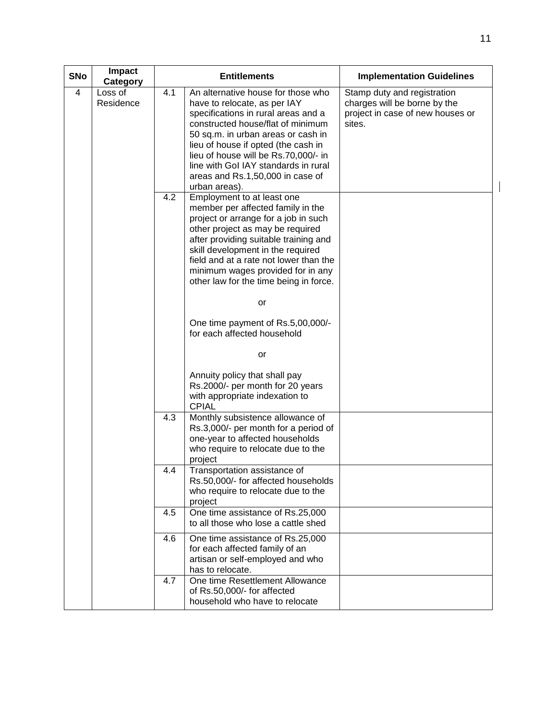| <b>SNo</b> | Impact<br>Category   |     | <b>Entitlements</b>                                                                                                                                                                                                                                                                                                                                              | <b>Implementation Guidelines</b>                                                                          |  |
|------------|----------------------|-----|------------------------------------------------------------------------------------------------------------------------------------------------------------------------------------------------------------------------------------------------------------------------------------------------------------------------------------------------------------------|-----------------------------------------------------------------------------------------------------------|--|
| 4          | Loss of<br>Residence | 4.1 | An alternative house for those who<br>have to relocate, as per IAY<br>specifications in rural areas and a<br>constructed house/flat of minimum<br>50 sq.m. in urban areas or cash in<br>lieu of house if opted (the cash in<br>lieu of house will be Rs.70,000/- in<br>line with Gol IAY standards in rural<br>areas and Rs.1,50,000 in case of<br>urban areas). | Stamp duty and registration<br>charges will be borne by the<br>project in case of new houses or<br>sites. |  |
|            |                      | 4.2 | Employment to at least one<br>member per affected family in the<br>project or arrange for a job in such<br>other project as may be required<br>after providing suitable training and<br>skill development in the required<br>field and at a rate not lower than the<br>minimum wages provided for in any<br>other law for the time being in force.               |                                                                                                           |  |
|            |                      |     | or                                                                                                                                                                                                                                                                                                                                                               |                                                                                                           |  |
|            |                      |     | One time payment of Rs.5,00,000/-<br>for each affected household                                                                                                                                                                                                                                                                                                 |                                                                                                           |  |
|            |                      |     | or                                                                                                                                                                                                                                                                                                                                                               |                                                                                                           |  |
|            |                      |     | Annuity policy that shall pay<br>Rs.2000/- per month for 20 years<br>with appropriate indexation to<br><b>CPIAL</b>                                                                                                                                                                                                                                              |                                                                                                           |  |
|            |                      | 4.3 | Monthly subsistence allowance of<br>Rs.3,000/- per month for a period of<br>one-year to affected households<br>who require to relocate due to the<br>project                                                                                                                                                                                                     |                                                                                                           |  |
|            |                      | 4.4 | Transportation assistance of<br>Rs.50,000/- for affected households<br>who require to relocate due to the<br>project                                                                                                                                                                                                                                             |                                                                                                           |  |
|            |                      | 4.5 | One time assistance of Rs.25,000<br>to all those who lose a cattle shed                                                                                                                                                                                                                                                                                          |                                                                                                           |  |
|            |                      | 4.6 | One time assistance of Rs.25,000<br>for each affected family of an<br>artisan or self-employed and who<br>has to relocate.                                                                                                                                                                                                                                       |                                                                                                           |  |
|            |                      | 4.7 | One time Resettlement Allowance<br>of Rs.50,000/- for affected<br>household who have to relocate                                                                                                                                                                                                                                                                 |                                                                                                           |  |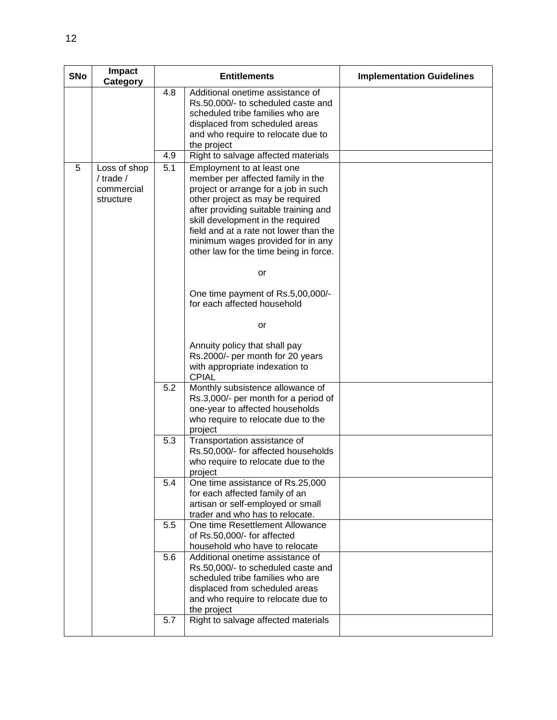| <b>SNo</b> | Impact<br>Category                                       | <b>Entitlements</b> |                                                                                                                                                                                                                                                                                                                                                    | <b>Implementation Guidelines</b> |
|------------|----------------------------------------------------------|---------------------|----------------------------------------------------------------------------------------------------------------------------------------------------------------------------------------------------------------------------------------------------------------------------------------------------------------------------------------------------|----------------------------------|
|            |                                                          | 4.8                 | Additional onetime assistance of<br>Rs.50,000/- to scheduled caste and<br>scheduled tribe families who are<br>displaced from scheduled areas<br>and who require to relocate due to<br>the project                                                                                                                                                  |                                  |
|            |                                                          | 4.9                 | Right to salvage affected materials                                                                                                                                                                                                                                                                                                                |                                  |
| 5          | Loss of shop<br>$/$ trade $/$<br>commercial<br>structure | 5.1                 | Employment to at least one<br>member per affected family in the<br>project or arrange for a job in such<br>other project as may be required<br>after providing suitable training and<br>skill development in the required<br>field and at a rate not lower than the<br>minimum wages provided for in any<br>other law for the time being in force. |                                  |
|            |                                                          |                     | or                                                                                                                                                                                                                                                                                                                                                 |                                  |
|            |                                                          |                     | One time payment of Rs.5,00,000/-<br>for each affected household                                                                                                                                                                                                                                                                                   |                                  |
|            |                                                          |                     | or                                                                                                                                                                                                                                                                                                                                                 |                                  |
|            |                                                          |                     | Annuity policy that shall pay<br>Rs.2000/- per month for 20 years<br>with appropriate indexation to<br><b>CPIAL</b>                                                                                                                                                                                                                                |                                  |
|            |                                                          | 5.2                 | Monthly subsistence allowance of<br>Rs.3,000/- per month for a period of<br>one-year to affected households<br>who require to relocate due to the<br>project                                                                                                                                                                                       |                                  |
|            |                                                          | 5.3                 | Transportation assistance of<br>Rs.50,000/- for affected households<br>who require to relocate due to the<br>project                                                                                                                                                                                                                               |                                  |
|            |                                                          | 5.4                 | One time assistance of Rs.25,000<br>for each affected family of an<br>artisan or self-employed or small<br>trader and who has to relocate.                                                                                                                                                                                                         |                                  |
|            |                                                          | 5.5                 | One time Resettlement Allowance<br>of Rs.50,000/- for affected<br>household who have to relocate                                                                                                                                                                                                                                                   |                                  |
|            |                                                          | 5.6<br>5.7          | Additional onetime assistance of<br>Rs.50,000/- to scheduled caste and<br>scheduled tribe families who are<br>displaced from scheduled areas<br>and who require to relocate due to<br>the project<br>Right to salvage affected materials                                                                                                           |                                  |
|            |                                                          |                     |                                                                                                                                                                                                                                                                                                                                                    |                                  |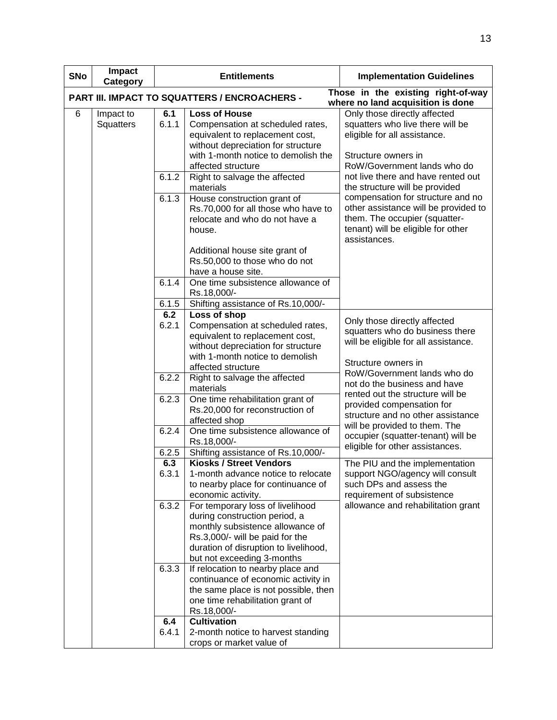| <b>SNo</b> | Impact<br>Category     |                | <b>Entitlements</b>                                                                                                                                                                                             | <b>Implementation Guidelines</b>                                                                                                                                                                                                         |
|------------|------------------------|----------------|-----------------------------------------------------------------------------------------------------------------------------------------------------------------------------------------------------------------|------------------------------------------------------------------------------------------------------------------------------------------------------------------------------------------------------------------------------------------|
|            |                        |                | PART III. IMPACT TO SQUATTERS / ENCROACHERS -                                                                                                                                                                   | Those in the existing right-of-way<br>where no land acquisition is done                                                                                                                                                                  |
| 6          | Impact to<br>Squatters | 6.1<br>6.1.1   | <b>Loss of House</b><br>Compensation at scheduled rates,<br>equivalent to replacement cost,<br>without depreciation for structure<br>with 1-month notice to demolish the<br>affected structure                  | Only those directly affected<br>squatters who live there will be<br>eligible for all assistance.<br>Structure owners in<br>RoW/Government lands who do                                                                                   |
|            |                        | 6.1.2<br>6.1.3 | Right to salvage the affected<br>materials<br>House construction grant of<br>Rs.70,000 for all those who have to<br>relocate and who do not have a<br>house.                                                    | not live there and have rented out<br>the structure will be provided<br>compensation for structure and no<br>other assistance will be provided to<br>them. The occupier (squatter-<br>tenant) will be eligible for other<br>assistances. |
|            |                        | 6.1.4          | Additional house site grant of<br>Rs.50,000 to those who do not<br>have a house site.<br>One time subsistence allowance of<br>Rs.18,000/-                                                                       |                                                                                                                                                                                                                                          |
|            |                        | 6.1.5          | Shifting assistance of Rs.10,000/-                                                                                                                                                                              |                                                                                                                                                                                                                                          |
|            |                        | 6.2            | Loss of shop                                                                                                                                                                                                    |                                                                                                                                                                                                                                          |
|            |                        | 6.2.1          | Compensation at scheduled rates,<br>equivalent to replacement cost,<br>without depreciation for structure                                                                                                       | Only those directly affected<br>squatters who do business there<br>will be eligible for all assistance.                                                                                                                                  |
|            |                        |                | with 1-month notice to demolish<br>affected structure                                                                                                                                                           | Structure owners in<br>RoW/Government lands who do                                                                                                                                                                                       |
|            |                        | 6.2.2          | Right to salvage the affected<br>materials                                                                                                                                                                      | not do the business and have                                                                                                                                                                                                             |
|            |                        | 6.2.3          | One time rehabilitation grant of<br>Rs.20,000 for reconstruction of<br>affected shop                                                                                                                            | rented out the structure will be<br>provided compensation for<br>structure and no other assistance<br>will be provided to them. The                                                                                                      |
|            |                        | 6.2.4          | One time subsistence allowance of<br>Rs.18,000/-                                                                                                                                                                | occupier (squatter-tenant) will be<br>eligible for other assistances.                                                                                                                                                                    |
|            |                        | 6.2.5          | Shifting assistance of Rs.10,000/-                                                                                                                                                                              |                                                                                                                                                                                                                                          |
|            |                        | 6.3<br>6.3.1   | <b>Kiosks / Street Vendors</b><br>1-month advance notice to relocate<br>to nearby place for continuance of<br>economic activity.                                                                                | The PIU and the implementation<br>support NGO/agency will consult<br>such DPs and assess the<br>requirement of subsistence                                                                                                               |
|            |                        | 6.3.2          | For temporary loss of livelihood<br>during construction period, a<br>monthly subsistence allowance of<br>Rs.3,000/- will be paid for the<br>duration of disruption to livelihood,<br>but not exceeding 3-months | allowance and rehabilitation grant                                                                                                                                                                                                       |
|            |                        | 6.3.3          | If relocation to nearby place and<br>continuance of economic activity in<br>the same place is not possible, then<br>one time rehabilitation grant of<br>Rs.18,000/-                                             |                                                                                                                                                                                                                                          |
|            |                        | 6.4<br>6.4.1   | <b>Cultivation</b><br>2-month notice to harvest standing<br>crops or market value of                                                                                                                            |                                                                                                                                                                                                                                          |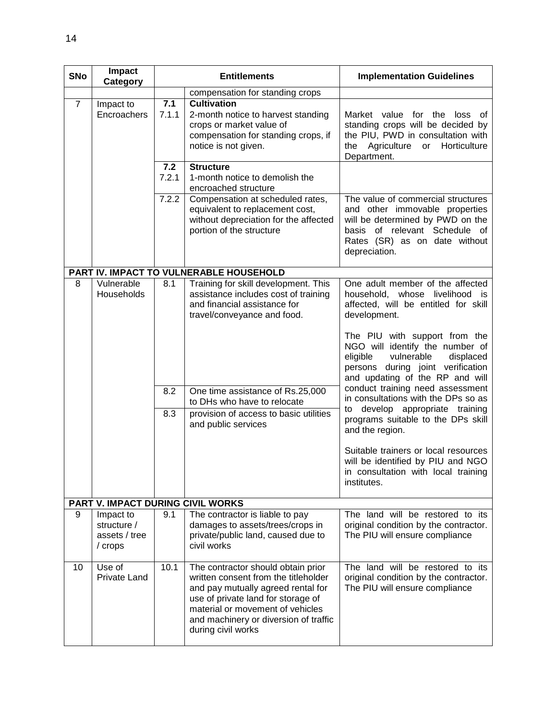| <b>SNo</b>     | Impact<br>Category                                                                                                                                                                                             | <b>Entitlements</b> |                                                                                                                                                                                                                                                                                 | <b>Implementation Guidelines</b>                                                                                                                                                                                                                                                                                                                                                                                                                                                                                                                                                                                        |
|----------------|----------------------------------------------------------------------------------------------------------------------------------------------------------------------------------------------------------------|---------------------|---------------------------------------------------------------------------------------------------------------------------------------------------------------------------------------------------------------------------------------------------------------------------------|-------------------------------------------------------------------------------------------------------------------------------------------------------------------------------------------------------------------------------------------------------------------------------------------------------------------------------------------------------------------------------------------------------------------------------------------------------------------------------------------------------------------------------------------------------------------------------------------------------------------------|
|                |                                                                                                                                                                                                                |                     | compensation for standing crops                                                                                                                                                                                                                                                 |                                                                                                                                                                                                                                                                                                                                                                                                                                                                                                                                                                                                                         |
| $\overline{7}$ | 7.1<br><b>Cultivation</b><br>Impact to<br>Encroachers<br>7.1.1<br>2-month notice to harvest standing<br>crops or market value of<br>compensation for standing crops, if<br>notice is not given.<br>Department. |                     | Market value for the loss of<br>standing crops will be decided by<br>the PIU, PWD in consultation with<br>the Agriculture or<br>Horticulture                                                                                                                                    |                                                                                                                                                                                                                                                                                                                                                                                                                                                                                                                                                                                                                         |
|                |                                                                                                                                                                                                                | 7.2<br>7.2.1        | <b>Structure</b><br>1-month notice to demolish the<br>encroached structure                                                                                                                                                                                                      |                                                                                                                                                                                                                                                                                                                                                                                                                                                                                                                                                                                                                         |
|                |                                                                                                                                                                                                                | 7.2.2               | Compensation at scheduled rates,<br>equivalent to replacement cost,<br>without depreciation for the affected<br>portion of the structure                                                                                                                                        | The value of commercial structures<br>and other immovable properties<br>will be determined by PWD on the<br>basis of relevant Schedule of<br>Rates (SR) as on date without<br>depreciation.                                                                                                                                                                                                                                                                                                                                                                                                                             |
|                |                                                                                                                                                                                                                |                     | PART IV. IMPACT TO VULNERABLE HOUSEHOLD                                                                                                                                                                                                                                         |                                                                                                                                                                                                                                                                                                                                                                                                                                                                                                                                                                                                                         |
| 8              | Vulnerable<br>Households                                                                                                                                                                                       | 8.1<br>8.2<br>8.3   | Training for skill development. This<br>assistance includes cost of training<br>and financial assistance for<br>travel/conveyance and food.<br>One time assistance of Rs.25,000<br>to DHs who have to relocate<br>provision of access to basic utilities<br>and public services | One adult member of the affected<br>household, whose livelihood is<br>affected, will be entitled for skill<br>development.<br>The PIU with support from the<br>NGO will identify the number of<br>vulnerable<br>eligible<br>displaced<br>persons during joint verification<br>and updating of the RP and will<br>conduct training need assessment<br>in consultations with the DPs so as<br>to develop appropriate training<br>programs suitable to the DPs skill<br>and the region.<br>Suitable trainers or local resources<br>will be identified by PIU and NGO<br>in consultation with local training<br>institutes. |
|                | PART V. IMPACT DURING CIVIL WORKS                                                                                                                                                                              |                     |                                                                                                                                                                                                                                                                                 |                                                                                                                                                                                                                                                                                                                                                                                                                                                                                                                                                                                                                         |
| 9              | Impact to<br>structure /<br>assets / tree<br>/ crops                                                                                                                                                           | 9.1                 | The contractor is liable to pay<br>damages to assets/trees/crops in<br>private/public land, caused due to<br>civil works                                                                                                                                                        | The land will be restored to its<br>original condition by the contractor.<br>The PIU will ensure compliance                                                                                                                                                                                                                                                                                                                                                                                                                                                                                                             |
| 10             | Use of<br><b>Private Land</b>                                                                                                                                                                                  | 10.1                | The contractor should obtain prior<br>written consent from the titleholder<br>and pay mutually agreed rental for<br>use of private land for storage of<br>material or movement of vehicles<br>and machinery or diversion of traffic<br>during civil works                       | The land will be restored to its<br>original condition by the contractor.<br>The PIU will ensure compliance                                                                                                                                                                                                                                                                                                                                                                                                                                                                                                             |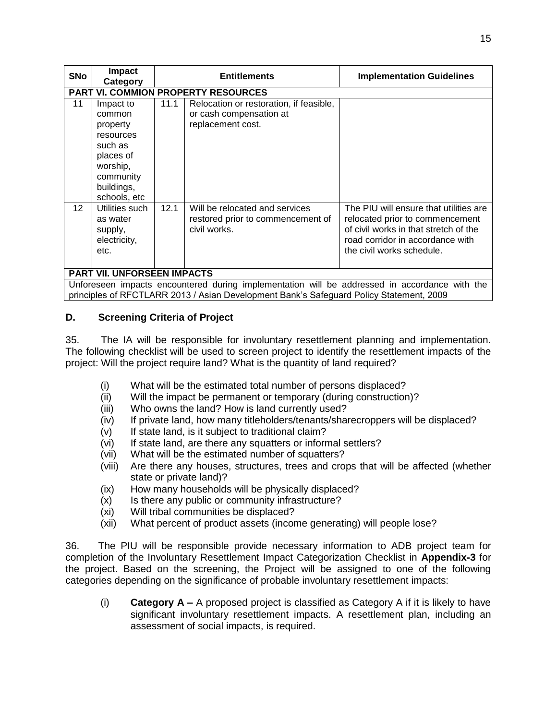| <b>SNo</b>                                                                                                                                                                               | <b>Impact</b><br>Category                                                                                                   | <b>Entitlements</b> |                                                                                         | <b>Implementation Guidelines</b>                                                                                                                                                    |  |
|------------------------------------------------------------------------------------------------------------------------------------------------------------------------------------------|-----------------------------------------------------------------------------------------------------------------------------|---------------------|-----------------------------------------------------------------------------------------|-------------------------------------------------------------------------------------------------------------------------------------------------------------------------------------|--|
|                                                                                                                                                                                          |                                                                                                                             |                     | <b>PART VI. COMMION PROPERTY RESOURCES</b>                                              |                                                                                                                                                                                     |  |
| 11                                                                                                                                                                                       | Impact to<br>common<br>property<br>resources<br>such as<br>places of<br>worship,<br>community<br>buildings,<br>schools, etc | 11.1                | Relocation or restoration, if feasible,<br>or cash compensation at<br>replacement cost. |                                                                                                                                                                                     |  |
| 12 <sup>°</sup>                                                                                                                                                                          | Utilities such<br>as water<br>supply,<br>electricity,<br>etc.                                                               | 12.1                | Will be relocated and services<br>restored prior to commencement of<br>civil works.     | The PIU will ensure that utilities are<br>relocated prior to commencement<br>of civil works in that stretch of the<br>road corridor in accordance with<br>the civil works schedule. |  |
| <b>PART VII. UNFORSEEN IMPACTS</b>                                                                                                                                                       |                                                                                                                             |                     |                                                                                         |                                                                                                                                                                                     |  |
| Unforeseen impacts encountered during implementation will be addressed in accordance with the<br>principles of RFCTLARR 2013 / Asian Development Bank's Safeguard Policy Statement, 2009 |                                                                                                                             |                     |                                                                                         |                                                                                                                                                                                     |  |

## <span id="page-17-0"></span>**D. Screening Criteria of Project**

35. The IA will be responsible for involuntary resettlement planning and implementation. The following checklist will be used to screen project to identify the resettlement impacts of the project: Will the project require land? What is the quantity of land required?

- (i) What will be the estimated total number of persons displaced?
- (ii) Will the impact be permanent or temporary (during construction)?
- (iii) Who owns the land? How is land currently used?
- (iv) If private land, how many titleholders/tenants/sharecroppers will be displaced?
- (v) If state land, is it subject to traditional claim?
- (vi) If state land, are there any squatters or informal settlers?
- (vii) What will be the estimated number of squatters?
- (viii) Are there any houses, structures, trees and crops that will be affected (whether state or private land)?
- (ix) How many households will be physically displaced?
- (x) Is there any public or community infrastructure?
- (xi) Will tribal communities be displaced?
- (xii) What percent of product assets (income generating) will people lose?

36. The PIU will be responsible provide necessary information to ADB project team for completion of the Involuntary Resettlement Impact Categorization Checklist in **Appendix-3** for the project. Based on the screening, the Project will be assigned to one of the following categories depending on the significance of probable involuntary resettlement impacts:

(i) **Category A –** A proposed project is classified as Category A if it is likely to have significant involuntary resettlement impacts. A resettlement plan, including an assessment of social impacts, is required.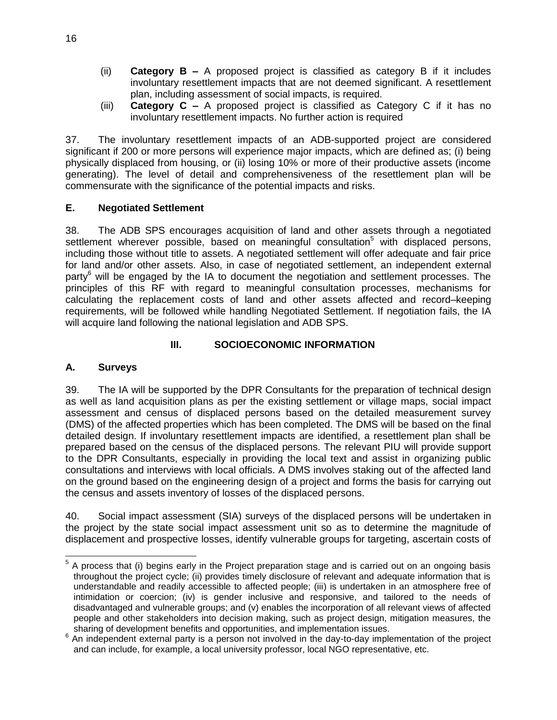- (ii) **Category B –** A proposed project is classified as category B if it includes involuntary resettlement impacts that are not deemed significant. A resettlement plan, including assessment of social impacts, is required.
- (iii) **Category C –** A proposed project is classified as Category C if it has no involuntary resettlement impacts. No further action is required

37. The involuntary resettlement impacts of an ADB-supported project are considered significant if 200 or more persons will experience major impacts, which are defined as; (i) being physically displaced from housing, or (ii) losing 10% or more of their productive assets (income generating). The level of detail and comprehensiveness of the resettlement plan will be commensurate with the significance of the potential impacts and risks.

## <span id="page-18-0"></span>**E. Negotiated Settlement**

38. The ADB SPS encourages acquisition of land and other assets through a negotiated settlement wherever possible, based on meaningful consultation<sup>5</sup> with displaced persons, including those without title to assets. A negotiated settlement will offer adequate and fair price for land and/or other assets. Also, in case of negotiated settlement, an independent external party<sup>6</sup> will be engaged by the IA to document the negotiation and settlement processes. The principles of this RF with regard to meaningful consultation processes, mechanisms for calculating the replacement costs of land and other assets affected and record–keeping requirements, will be followed while handling Negotiated Settlement. If negotiation fails, the IA will acquire land following the national legislation and ADB SPS.

## **III. SOCIOECONOMIC INFORMATION**

# <span id="page-18-2"></span><span id="page-18-1"></span>**A. Surveys**

39. The IA will be supported by the DPR Consultants for the preparation of technical design as well as land acquisition plans as per the existing settlement or village maps, social impact assessment and census of displaced persons based on the detailed measurement survey (DMS) of the affected properties which has been completed. The DMS will be based on the final detailed design. If involuntary resettlement impacts are identified, a resettlement plan shall be prepared based on the census of the displaced persons. The relevant PIU will provide support to the DPR Consultants, especially in providing the local text and assist in organizing public consultations and interviews with local officials. A DMS involves staking out of the affected land on the ground based on the engineering design of a project and forms the basis for carrying out the census and assets inventory of losses of the displaced persons.

40. Social impact assessment (SIA) surveys of the displaced persons will be undertaken in the project by the state social impact assessment unit so as to determine the magnitude of displacement and prospective losses, identify vulnerable groups for targeting, ascertain costs of

 5 A process that (i) begins early in the Project preparation stage and is carried out on an ongoing basis throughout the project cycle; (ii) provides timely disclosure of relevant and adequate information that is understandable and readily accessible to affected people; (iii) is undertaken in an atmosphere free of intimidation or coercion; (iv) is gender inclusive and responsive, and tailored to the needs of disadvantaged and vulnerable groups; and (v) enables the incorporation of all relevant views of affected people and other stakeholders into decision making, such as project design, mitigation measures, the sharing of development benefits and opportunities, and implementation issues.

<sup>6</sup> An independent external party is a person not involved in the day-to-day implementation of the project and can include, for example, a local university professor, local NGO representative, etc.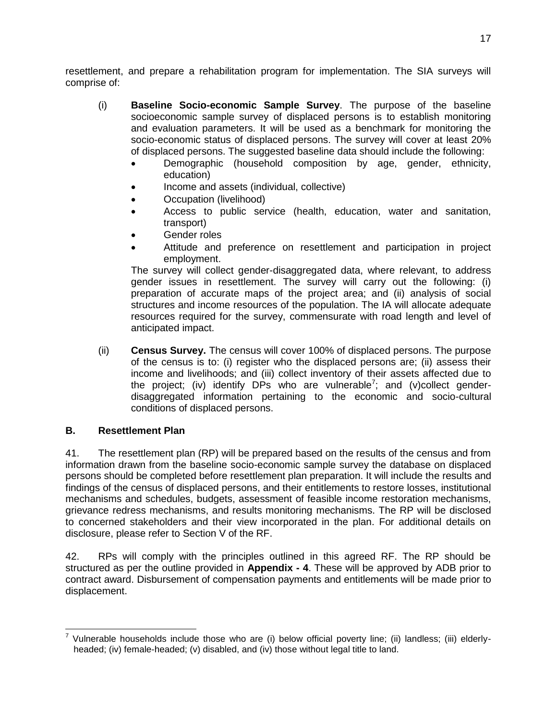resettlement, and prepare a rehabilitation program for implementation. The SIA surveys will comprise of:

- (i) **Baseline Socio-economic Sample Survey**. The purpose of the baseline socioeconomic sample survey of displaced persons is to establish monitoring and evaluation parameters. It will be used as a benchmark for monitoring the socio-economic status of displaced persons. The survey will cover at least 20% of displaced persons. The suggested baseline data should include the following:
	- Demographic (household composition by age, gender, ethnicity, education)
	- Income and assets (individual, collective)
	- Occupation (livelihood)
	- Access to public service (health, education, water and sanitation, transport)
	- Gender roles
	- Attitude and preference on resettlement and participation in project employment.

The survey will collect gender-disaggregated data, where relevant, to address gender issues in resettlement. The survey will carry out the following: (i) preparation of accurate maps of the project area; and (ii) analysis of social structures and income resources of the population. The IA will allocate adequate resources required for the survey, commensurate with road length and level of anticipated impact.

(ii) **Census Survey.** The census will cover 100% of displaced persons. The purpose of the census is to: (i) register who the displaced persons are; (ii) assess their income and livelihoods; and (iii) collect inventory of their assets affected due to the project; (iv) identify DPs who are vulnerable<sup>7</sup>; and (v)collect genderdisaggregated information pertaining to the economic and socio-cultural conditions of displaced persons.

#### <span id="page-19-0"></span>**B. Resettlement Plan**

41. The resettlement plan (RP) will be prepared based on the results of the census and from information drawn from the baseline socio-economic sample survey the database on displaced persons should be completed before resettlement plan preparation. It will include the results and findings of the census of displaced persons, and their entitlements to restore losses, institutional mechanisms and schedules, budgets, assessment of feasible income restoration mechanisms, grievance redress mechanisms, and results monitoring mechanisms. The RP will be disclosed to concerned stakeholders and their view incorporated in the plan. For additional details on disclosure, please refer to Section V of the RF.

42. RPs will comply with the principles outlined in this agreed RF. The RP should be structured as per the outline provided in **Appendix - 4**. These will be approved by ADB prior to contract award. Disbursement of compensation payments and entitlements will be made prior to displacement.

 7 Vulnerable households include those who are (i) below official poverty line; (ii) landless; (iii) elderlyheaded; (iv) female-headed; (v) disabled, and (iv) those without legal title to land.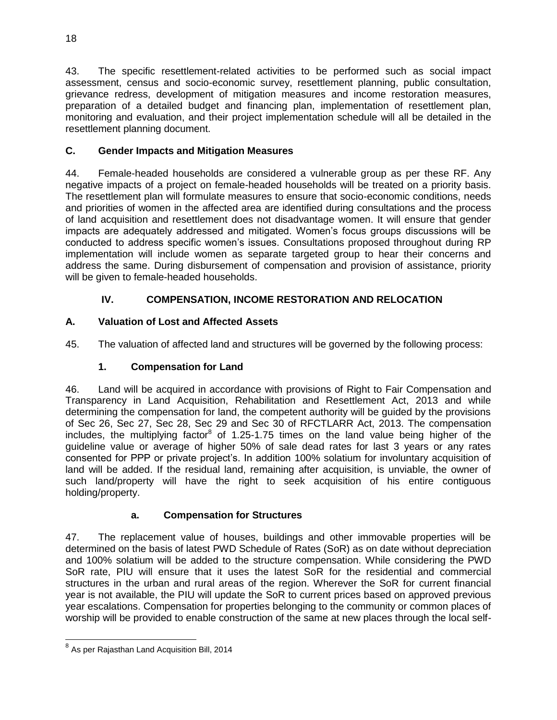43. The specific resettlement-related activities to be performed such as social impact assessment, census and socio-economic survey, resettlement planning, public consultation, grievance redress, development of mitigation measures and income restoration measures, preparation of a detailed budget and financing plan, implementation of resettlement plan, monitoring and evaluation, and their project implementation schedule will all be detailed in the resettlement planning document.

# <span id="page-20-0"></span>**C. Gender Impacts and Mitigation Measures**

44. Female-headed households are considered a vulnerable group as per these RF. Any negative impacts of a project on female-headed households will be treated on a priority basis. The resettlement plan will formulate measures to ensure that socio-economic conditions, needs and priorities of women in the affected area are identified during consultations and the process of land acquisition and resettlement does not disadvantage women. It will ensure that gender impacts are adequately addressed and mitigated. Women's focus groups discussions will be conducted to address specific women's issues. Consultations proposed throughout during RP implementation will include women as separate targeted group to hear their concerns and address the same. During disbursement of compensation and provision of assistance, priority will be given to female-headed households.

# **IV. COMPENSATION, INCOME RESTORATION AND RELOCATION**

# <span id="page-20-2"></span><span id="page-20-1"></span>**A. Valuation of Lost and Affected Assets**

45. The valuation of affected land and structures will be governed by the following process:

# **1. Compensation for Land**

46. Land will be acquired in accordance with provisions of Right to Fair Compensation and Transparency in Land Acquisition, Rehabilitation and Resettlement Act, 2013 and while determining the compensation for land, the competent authority will be guided by the provisions of Sec 26, Sec 27, Sec 28, Sec 29 and Sec 30 of RFCTLARR Act, 2013. The compensation includes, the multiplying factor<sup>8</sup> of 1.25-1.75 times on the land value being higher of the guideline value or average of higher 50% of sale dead rates for last 3 years or any rates consented for PPP or private project's. In addition 100% solatium for involuntary acquisition of land will be added. If the residual land, remaining after acquisition, is unviable, the owner of such land/property will have the right to seek acquisition of his entire contiguous holding/property.

# **a. Compensation for Structures**

47. The replacement value of houses, buildings and other immovable properties will be determined on the basis of latest PWD Schedule of Rates (SoR) as on date without depreciation and 100% solatium will be added to the structure compensation. While considering the PWD SoR rate, PIU will ensure that it uses the latest SoR for the residential and commercial structures in the urban and rural areas of the region. Wherever the SoR for current financial year is not available, the PIU will update the SoR to current prices based on approved previous year escalations. Compensation for properties belonging to the community or common places of worship will be provided to enable construction of the same at new places through the local self-

<sup>&</sup>lt;sup>8</sup> As per Rajasthan Land Acquisition Bill, 2014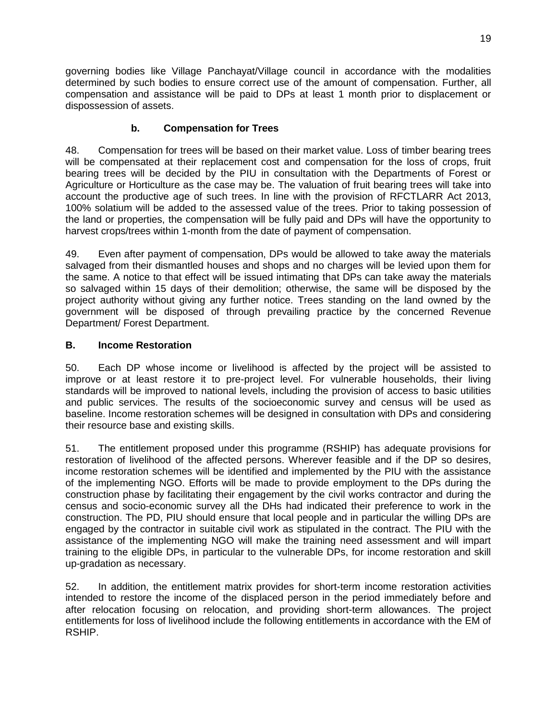governing bodies like Village Panchayat/Village council in accordance with the modalities determined by such bodies to ensure correct use of the amount of compensation. Further, all compensation and assistance will be paid to DPs at least 1 month prior to displacement or dispossession of assets.

# **b. Compensation for Trees**

48. Compensation for trees will be based on their market value. Loss of timber bearing trees will be compensated at their replacement cost and compensation for the loss of crops, fruit bearing trees will be decided by the PIU in consultation with the Departments of Forest or Agriculture or Horticulture as the case may be. The valuation of fruit bearing trees will take into account the productive age of such trees. In line with the provision of RFCTLARR Act 2013, 100% solatium will be added to the assessed value of the trees. Prior to taking possession of the land or properties, the compensation will be fully paid and DPs will have the opportunity to harvest crops/trees within 1-month from the date of payment of compensation.

49. Even after payment of compensation, DPs would be allowed to take away the materials salvaged from their dismantled houses and shops and no charges will be levied upon them for the same. A notice to that effect will be issued intimating that DPs can take away the materials so salvaged within 15 days of their demolition; otherwise, the same will be disposed by the project authority without giving any further notice. Trees standing on the land owned by the government will be disposed of through prevailing practice by the concerned Revenue Department/ Forest Department.

# <span id="page-21-0"></span>**B. Income Restoration**

50. Each DP whose income or livelihood is affected by the project will be assisted to improve or at least restore it to pre-project level. For vulnerable households, their living standards will be improved to national levels, including the provision of access to basic utilities and public services. The results of the socioeconomic survey and census will be used as baseline. Income restoration schemes will be designed in consultation with DPs and considering their resource base and existing skills.

51. The entitlement proposed under this programme (RSHIP) has adequate provisions for restoration of livelihood of the affected persons. Wherever feasible and if the DP so desires, income restoration schemes will be identified and implemented by the PIU with the assistance of the implementing NGO. Efforts will be made to provide employment to the DPs during the construction phase by facilitating their engagement by the civil works contractor and during the census and socio-economic survey all the DHs had indicated their preference to work in the construction. The PD, PIU should ensure that local people and in particular the willing DPs are engaged by the contractor in suitable civil work as stipulated in the contract. The PIU with the assistance of the implementing NGO will make the training need assessment and will impart training to the eligible DPs, in particular to the vulnerable DPs, for income restoration and skill up-gradation as necessary.

52. In addition, the entitlement matrix provides for short-term income restoration activities intended to restore the income of the displaced person in the period immediately before and after relocation focusing on relocation, and providing short-term allowances. The project entitlements for loss of livelihood include the following entitlements in accordance with the EM of RSHIP.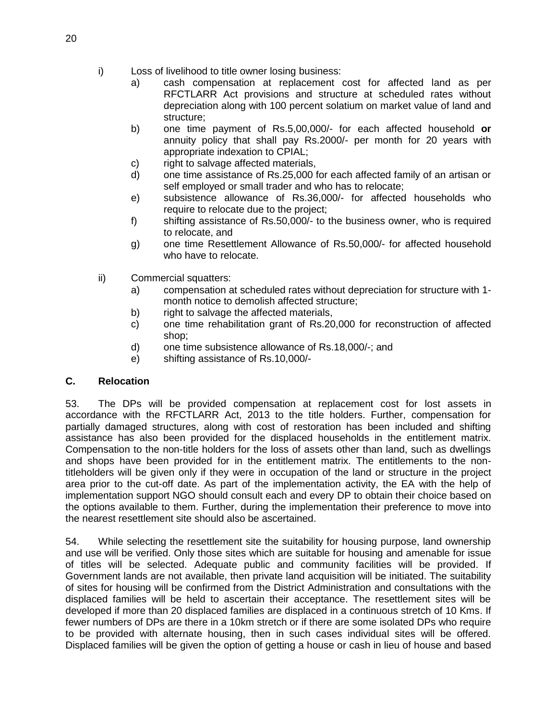- i) Loss of livelihood to title owner losing business:
	- a) cash compensation at replacement cost for affected land as per RFCTLARR Act provisions and structure at scheduled rates without depreciation along with 100 percent solatium on market value of land and structure;
	- b) one time payment of Rs.5,00,000/- for each affected household **or** annuity policy that shall pay Rs.2000/- per month for 20 years with appropriate indexation to CPIAL;
	- c) right to salvage affected materials,
	- d) one time assistance of Rs.25,000 for each affected family of an artisan or self employed or small trader and who has to relocate;
	- e) subsistence allowance of Rs.36,000/- for affected households who require to relocate due to the project;
	- f) shifting assistance of Rs.50,000/- to the business owner, who is required to relocate, and
	- g) one time Resettlement Allowance of Rs.50,000/- for affected household who have to relocate.
- ii) Commercial squatters:
	- a) compensation at scheduled rates without depreciation for structure with 1 month notice to demolish affected structure;
	- b) right to salvage the affected materials,
	- c) one time rehabilitation grant of Rs.20,000 for reconstruction of affected shop;
	- d) one time subsistence allowance of Rs.18,000/-; and
	- e) shifting assistance of Rs.10,000/-

#### **C. Relocation**

53. The DPs will be provided compensation at replacement cost for lost assets in accordance with the RFCTLARR Act, 2013 to the title holders. Further, compensation for partially damaged structures, along with cost of restoration has been included and shifting assistance has also been provided for the displaced households in the entitlement matrix. Compensation to the non-title holders for the loss of assets other than land, such as dwellings and shops have been provided for in the entitlement matrix. The entitlements to the nontitleholders will be given only if they were in occupation of the land or structure in the project area prior to the cut-off date. As part of the implementation activity, the EA with the help of implementation support NGO should consult each and every DP to obtain their choice based on the options available to them. Further, during the implementation their preference to move into the nearest resettlement site should also be ascertained.

54. While selecting the resettlement site the suitability for housing purpose, land ownership and use will be verified. Only those sites which are suitable for housing and amenable for issue of titles will be selected. Adequate public and community facilities will be provided. If Government lands are not available, then private land acquisition will be initiated. The suitability of sites for housing will be confirmed from the District Administration and consultations with the displaced families will be held to ascertain their acceptance. The resettlement sites will be developed if more than 20 displaced families are displaced in a continuous stretch of 10 Kms. If fewer numbers of DPs are there in a 10km stretch or if there are some isolated DPs who require to be provided with alternate housing, then in such cases individual sites will be offered. Displaced families will be given the option of getting a house or cash in lieu of house and based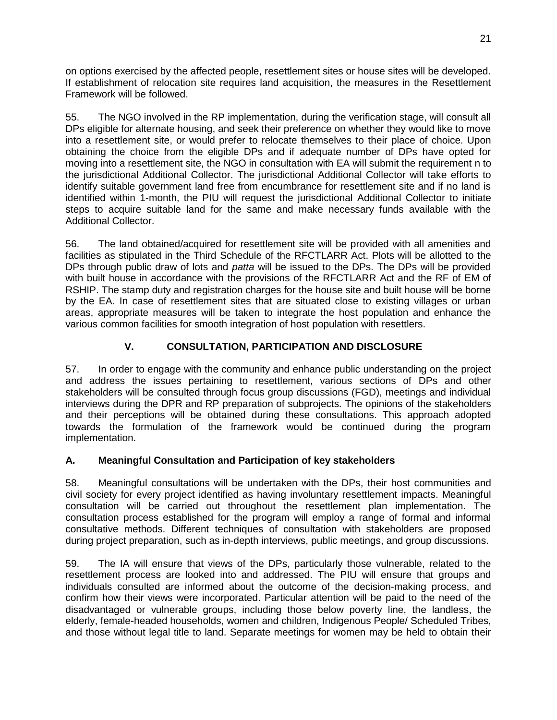on options exercised by the affected people, resettlement sites or house sites will be developed. If establishment of relocation site requires land acquisition, the measures in the Resettlement Framework will be followed.

55. The NGO involved in the RP implementation, during the verification stage, will consult all DPs eligible for alternate housing, and seek their preference on whether they would like to move into a resettlement site, or would prefer to relocate themselves to their place of choice. Upon obtaining the choice from the eligible DPs and if adequate number of DPs have opted for moving into a resettlement site, the NGO in consultation with EA will submit the requirement n to the jurisdictional Additional Collector. The jurisdictional Additional Collector will take efforts to identify suitable government land free from encumbrance for resettlement site and if no land is identified within 1-month, the PIU will request the jurisdictional Additional Collector to initiate steps to acquire suitable land for the same and make necessary funds available with the Additional Collector.

56. The land obtained/acquired for resettlement site will be provided with all amenities and facilities as stipulated in the Third Schedule of the RFCTLARR Act. Plots will be allotted to the DPs through public draw of lots and *patta* will be issued to the DPs. The DPs will be provided with built house in accordance with the provisions of the RFCTLARR Act and the RF of EM of RSHIP. The stamp duty and registration charges for the house site and built house will be borne by the EA. In case of resettlement sites that are situated close to existing villages or urban areas, appropriate measures will be taken to integrate the host population and enhance the various common facilities for smooth integration of host population with resettlers.

# **V. CONSULTATION, PARTICIPATION AND DISCLOSURE**

<span id="page-23-0"></span>57. In order to engage with the community and enhance public understanding on the project and address the issues pertaining to resettlement, various sections of DPs and other stakeholders will be consulted through focus group discussions (FGD), meetings and individual interviews during the DPR and RP preparation of subprojects. The opinions of the stakeholders and their perceptions will be obtained during these consultations. This approach adopted towards the formulation of the framework would be continued during the program implementation.

# <span id="page-23-1"></span>**A. Meaningful Consultation and Participation of key stakeholders**

58. Meaningful consultations will be undertaken with the DPs, their host communities and civil society for every project identified as having involuntary resettlement impacts. Meaningful consultation will be carried out throughout the resettlement plan implementation. The consultation process established for the program will employ a range of formal and informal consultative methods. Different techniques of consultation with stakeholders are proposed during project preparation, such as in-depth interviews, public meetings, and group discussions.

59. The IA will ensure that views of the DPs, particularly those vulnerable, related to the resettlement process are looked into and addressed. The PIU will ensure that groups and individuals consulted are informed about the outcome of the decision-making process, and confirm how their views were incorporated. Particular attention will be paid to the need of the disadvantaged or vulnerable groups, including those below poverty line, the landless, the elderly, female-headed households, women and children, Indigenous People/ Scheduled Tribes, and those without legal title to land. Separate meetings for women may be held to obtain their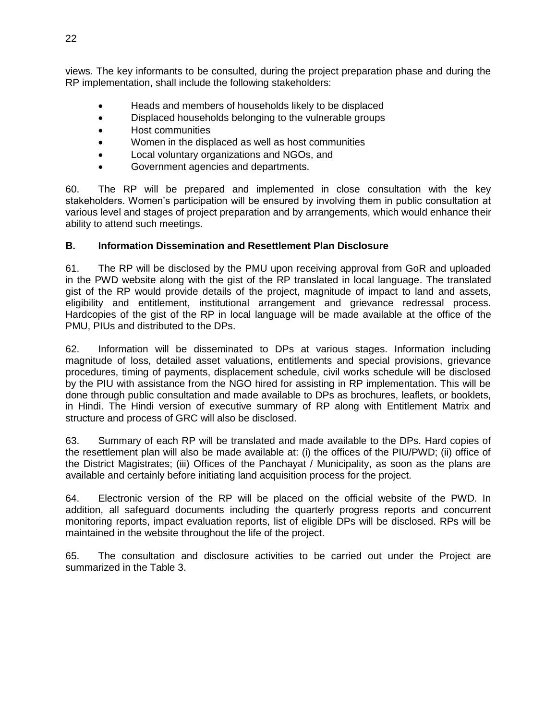views. The key informants to be consulted, during the project preparation phase and during the RP implementation, shall include the following stakeholders:

- Heads and members of households likely to be displaced
- Displaced households belonging to the vulnerable groups
- Host communities
- Women in the displaced as well as host communities
- Local voluntary organizations and NGOs, and
- Government agencies and departments.

60. The RP will be prepared and implemented in close consultation with the key stakeholders. Women's participation will be ensured by involving them in public consultation at various level and stages of project preparation and by arrangements, which would enhance their ability to attend such meetings.

#### <span id="page-24-0"></span>**B. Information Dissemination and Resettlement Plan Disclosure**

61. The RP will be disclosed by the PMU upon receiving approval from GoR and uploaded in the PWD website along with the gist of the RP translated in local language. The translated gist of the RP would provide details of the project, magnitude of impact to land and assets, eligibility and entitlement, institutional arrangement and grievance redressal process. Hardcopies of the gist of the RP in local language will be made available at the office of the PMU, PIUs and distributed to the DPs.

62. Information will be disseminated to DPs at various stages. Information including magnitude of loss, detailed asset valuations, entitlements and special provisions, grievance procedures, timing of payments, displacement schedule, civil works schedule will be disclosed by the PIU with assistance from the NGO hired for assisting in RP implementation. This will be done through public consultation and made available to DPs as brochures, leaflets, or booklets, in Hindi. The Hindi version of executive summary of RP along with Entitlement Matrix and structure and process of GRC will also be disclosed.

63. Summary of each RP will be translated and made available to the DPs. Hard copies of the resettlement plan will also be made available at: (i) the offices of the PIU/PWD; (ii) office of the District Magistrates; (iii) Offices of the Panchayat / Municipality, as soon as the plans are available and certainly before initiating land acquisition process for the project.

64. Electronic version of the RP will be placed on the official website of the PWD. In addition, all safeguard documents including the quarterly progress reports and concurrent monitoring reports, impact evaluation reports, list of eligible DPs will be disclosed. RPs will be maintained in the website throughout the life of the project.

65. The consultation and disclosure activities to be carried out under the Project are summarized in the Table 3.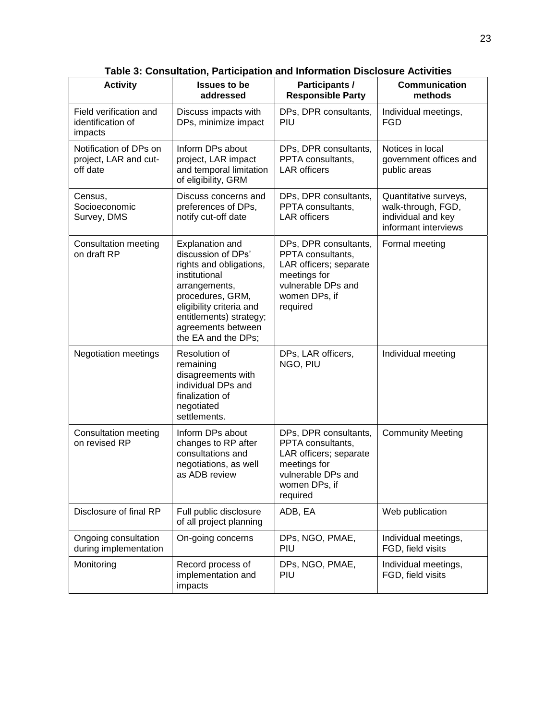| <b>Activity</b>                                             | <b>Issues to be</b><br>addressed                                                                                                                                                                                                  | Participants /<br><b>Responsible Party</b>                                                                                              | <b>Communication</b><br>methods                                                           |
|-------------------------------------------------------------|-----------------------------------------------------------------------------------------------------------------------------------------------------------------------------------------------------------------------------------|-----------------------------------------------------------------------------------------------------------------------------------------|-------------------------------------------------------------------------------------------|
| Field verification and<br>identification of<br>impacts      | Discuss impacts with<br>DPs, minimize impact                                                                                                                                                                                      | DPs, DPR consultants,<br>PIU                                                                                                            | Individual meetings,<br>FGD                                                               |
| Notification of DPs on<br>project, LAR and cut-<br>off date | Inform DPs about<br>project, LAR impact<br>and temporal limitation<br>of eligibility, GRM                                                                                                                                         | DPs, DPR consultants,<br>PPTA consultants,<br><b>LAR</b> officers                                                                       | Notices in local<br>government offices and<br>public areas                                |
| Census,<br>Socioeconomic<br>Survey, DMS                     | Discuss concerns and<br>preferences of DPs,<br>notify cut-off date                                                                                                                                                                | DPs, DPR consultants,<br>PPTA consultants.<br><b>LAR</b> officers                                                                       | Quantitative surveys,<br>walk-through, FGD,<br>individual and key<br>informant interviews |
| Consultation meeting<br>on draft RP                         | <b>Explanation and</b><br>discussion of DPs'<br>rights and obligations,<br>institutional<br>arrangements,<br>procedures, GRM,<br>eligibility criteria and<br>entitlements) strategy;<br>agreements between<br>the EA and the DPs; | DPs, DPR consultants,<br>PPTA consultants,<br>LAR officers; separate<br>meetings for<br>vulnerable DPs and<br>women DPs, if<br>required | Formal meeting                                                                            |
| <b>Negotiation meetings</b>                                 | Resolution of<br>remaining<br>disagreements with<br>individual DPs and<br>finalization of<br>negotiated<br>settlements.                                                                                                           | DPs, LAR officers,<br>NGO, PIU                                                                                                          | Individual meeting                                                                        |
| Consultation meeting<br>on revised RP                       | Inform DPs about<br>changes to RP after<br>consultations and<br>negotiations, as well<br>as ADB review                                                                                                                            | DPs, DPR consultants,<br>PPTA consultants,<br>LAR officers; separate<br>meetings for<br>vulnerable DPs and<br>women DPs, if<br>required | <b>Community Meeting</b>                                                                  |
| Disclosure of final RP                                      | Full public disclosure<br>of all project planning                                                                                                                                                                                 | ADB, EA                                                                                                                                 | Web publication                                                                           |
| Ongoing consultation<br>during implementation               | On-going concerns                                                                                                                                                                                                                 | DPs, NGO, PMAE,<br>PIU                                                                                                                  | Individual meetings,<br>FGD, field visits                                                 |
| Monitoring                                                  | Record process of<br>implementation and<br>impacts                                                                                                                                                                                | DPs, NGO, PMAE,<br>PIU                                                                                                                  | Individual meetings,<br>FGD, field visits                                                 |

**Table 3: Consultation, Participation and Information Disclosure Activities**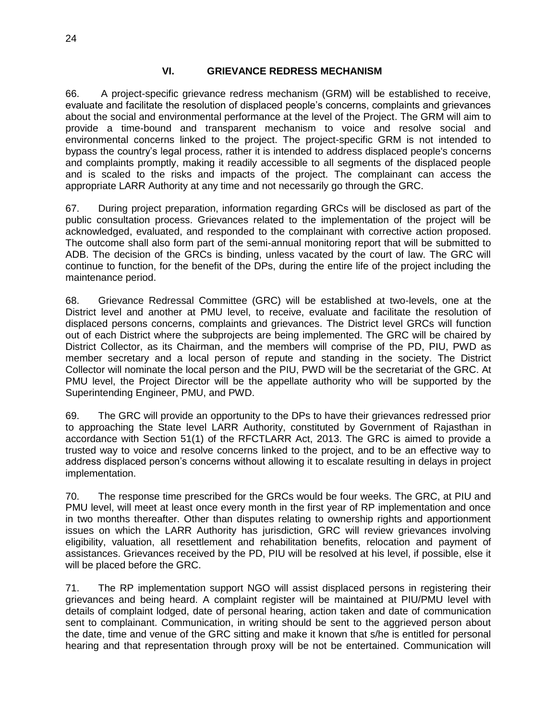#### **VI. GRIEVANCE REDRESS MECHANISM**

<span id="page-26-0"></span>66. A project-specific grievance redress mechanism (GRM) will be established to receive, evaluate and facilitate the resolution of displaced people's concerns, complaints and grievances about the social and environmental performance at the level of the Project. The GRM will aim to provide a time-bound and transparent mechanism to voice and resolve social and environmental concerns linked to the project. The project-specific GRM is not intended to bypass the country's legal process, rather it is intended to address displaced people's concerns and complaints promptly, making it readily accessible to all segments of the displaced people and is scaled to the risks and impacts of the project. The complainant can access the appropriate LARR Authority at any time and not necessarily go through the GRC.

67. During project preparation, information regarding GRCs will be disclosed as part of the public consultation process. Grievances related to the implementation of the project will be acknowledged, evaluated, and responded to the complainant with corrective action proposed. The outcome shall also form part of the semi-annual monitoring report that will be submitted to ADB. The decision of the GRCs is binding, unless vacated by the court of law. The GRC will continue to function, for the benefit of the DPs, during the entire life of the project including the maintenance period.

68. Grievance Redressal Committee (GRC) will be established at two-levels, one at the District level and another at PMU level, to receive, evaluate and facilitate the resolution of displaced persons concerns, complaints and grievances. The District level GRCs will function out of each District where the subprojects are being implemented. The GRC will be chaired by District Collector, as its Chairman, and the members will comprise of the PD, PIU, PWD as member secretary and a local person of repute and standing in the society. The District Collector will nominate the local person and the PIU, PWD will be the secretariat of the GRC. At PMU level, the Project Director will be the appellate authority who will be supported by the Superintending Engineer, PMU, and PWD.

69. The GRC will provide an opportunity to the DPs to have their grievances redressed prior to approaching the State level LARR Authority, constituted by Government of Rajasthan in accordance with Section 51(1) of the RFCTLARR Act, 2013. The GRC is aimed to provide a trusted way to voice and resolve concerns linked to the project, and to be an effective way to address displaced person's concerns without allowing it to escalate resulting in delays in project implementation.

70. The response time prescribed for the GRCs would be four weeks. The GRC, at PIU and PMU level, will meet at least once every month in the first year of RP implementation and once in two months thereafter. Other than disputes relating to ownership rights and apportionment issues on which the LARR Authority has jurisdiction, GRC will review grievances involving eligibility, valuation, all resettlement and rehabilitation benefits, relocation and payment of assistances. Grievances received by the PD, PIU will be resolved at his level, if possible, else it will be placed before the GRC.

71. The RP implementation support NGO will assist displaced persons in registering their grievances and being heard. A complaint register will be maintained at PIU/PMU level with details of complaint lodged, date of personal hearing, action taken and date of communication sent to complainant. Communication, in writing should be sent to the aggrieved person about the date, time and venue of the GRC sitting and make it known that s/he is entitled for personal hearing and that representation through proxy will be not be entertained. Communication will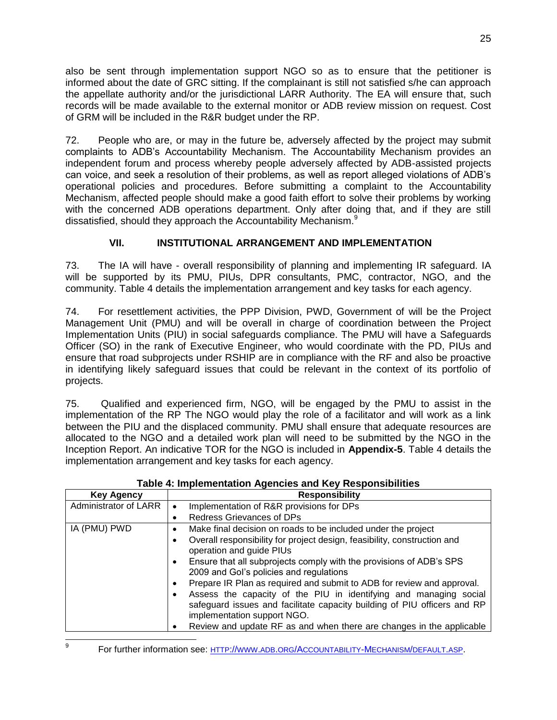also be sent through implementation support NGO so as to ensure that the petitioner is informed about the date of GRC sitting. If the complainant is still not satisfied s/he can approach the appellate authority and/or the jurisdictional LARR Authority. The EA will ensure that, such records will be made available to the external monitor or ADB review mission on request. Cost of GRM will be included in the R&R budget under the RP.

72. People who are, or may in the future be, adversely affected by the project may submit complaints to ADB's Accountability Mechanism. The Accountability Mechanism provides an independent forum and process whereby people adversely affected by ADB-assisted projects can voice, and seek a resolution of their problems, as well as report alleged violations of ADB's operational policies and procedures. Before submitting a complaint to the Accountability Mechanism, affected people should make a good faith effort to solve their problems by working with the concerned ADB operations department. Only after doing that, and if they are still dissatisfied, should they approach the Accountability Mechanism.<sup>9</sup>

# **VII. INSTITUTIONAL ARRANGEMENT AND IMPLEMENTATION**

<span id="page-27-0"></span>73. The IA will have - overall responsibility of planning and implementing IR safeguard. IA will be supported by its PMU, PIUs, DPR consultants, PMC, contractor, NGO, and the community. Table 4 details the implementation arrangement and key tasks for each agency.

74. For resettlement activities, the PPP Division, PWD, Government of will be the Project Management Unit (PMU) and will be overall in charge of coordination between the Project Implementation Units (PIU) in social safeguards compliance. The PMU will have a Safeguards Officer (SO) in the rank of Executive Engineer, who would coordinate with the PD, PIUs and ensure that road subprojects under RSHIP are in compliance with the RF and also be proactive in identifying likely safeguard issues that could be relevant in the context of its portfolio of projects.

75. Qualified and experienced firm, NGO, will be engaged by the PMU to assist in the implementation of the RP The NGO would play the role of a facilitator and will work as a link between the PIU and the displaced community. PMU shall ensure that adequate resources are allocated to the NGO and a detailed work plan will need to be submitted by the NGO in the Inception Report. An indicative TOR for the NGO is included in **Appendix-5**. Table 4 details the implementation arrangement and key tasks for each agency.

| <b>Key Agency</b>     | <b>Responsibility</b>                                                                                                                                                        |
|-----------------------|------------------------------------------------------------------------------------------------------------------------------------------------------------------------------|
| Administrator of LARR | Implementation of R&R provisions for DPs<br>$\bullet$                                                                                                                        |
|                       | <b>Redress Grievances of DPs</b><br>٠                                                                                                                                        |
| IA (PMU) PWD          | Make final decision on roads to be included under the project<br>٠                                                                                                           |
|                       | Overall responsibility for project design, feasibility, construction and<br>operation and guide PIUs                                                                         |
|                       | Ensure that all subprojects comply with the provisions of ADB's SPS<br>2009 and Gol's policies and regulations                                                               |
|                       | Prepare IR Plan as required and submit to ADB for review and approval.                                                                                                       |
|                       | Assess the capacity of the PIU in identifying and managing social<br>safeguard issues and facilitate capacity building of PIU officers and RP<br>implementation support NGO. |
|                       | Review and update RF as and when there are changes in the applicable<br>٠                                                                                                    |

**Table 4: Implementation Agencies and Key Responsibilities**

-<br>9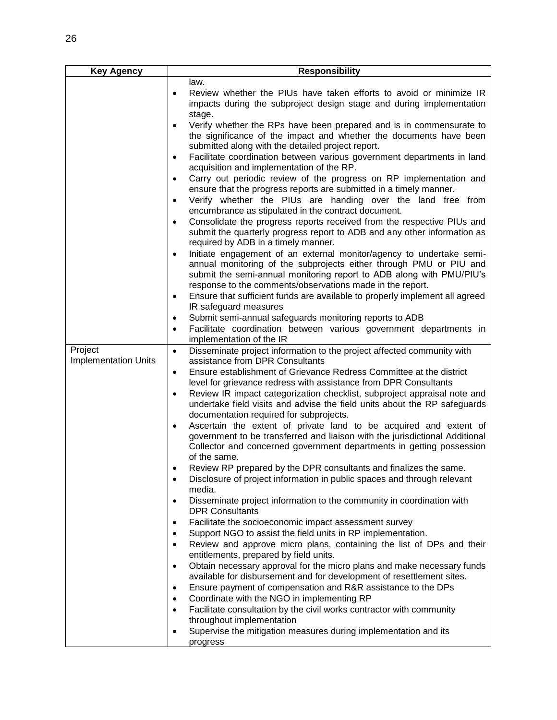| <b>Key Agency</b>           | <b>Responsibility</b>                                                                                                                                                                                         |
|-----------------------------|---------------------------------------------------------------------------------------------------------------------------------------------------------------------------------------------------------------|
|                             | law.                                                                                                                                                                                                          |
|                             | Review whether the PIUs have taken efforts to avoid or minimize IR<br>$\bullet$<br>impacts during the subproject design stage and during implementation                                                       |
|                             | stage.                                                                                                                                                                                                        |
|                             | Verify whether the RPs have been prepared and is in commensurate to<br>$\bullet$<br>the significance of the impact and whether the documents have been<br>submitted along with the detailed project report.   |
|                             | Facilitate coordination between various government departments in land<br>$\bullet$                                                                                                                           |
|                             | acquisition and implementation of the RP.                                                                                                                                                                     |
|                             | Carry out periodic review of the progress on RP implementation and                                                                                                                                            |
|                             | ensure that the progress reports are submitted in a timely manner.                                                                                                                                            |
|                             | Verify whether the PIUs are handing over the land free from<br>encumbrance as stipulated in the contract document.                                                                                            |
|                             | Consolidate the progress reports received from the respective PIUs and<br>submit the quarterly progress report to ADB and any other information as<br>required by ADB in a timely manner.                     |
|                             | Initiate engagement of an external monitor/agency to undertake semi-                                                                                                                                          |
|                             | annual monitoring of the subprojects either through PMU or PIU and<br>submit the semi-annual monitoring report to ADB along with PMU/PIU's<br>response to the comments/observations made in the report.       |
|                             | Ensure that sufficient funds are available to properly implement all agreed<br>$\bullet$<br>IR safeguard measures                                                                                             |
|                             | Submit semi-annual safeguards monitoring reports to ADB<br>$\bullet$                                                                                                                                          |
|                             | Facilitate coordination between various government departments in<br>$\bullet$                                                                                                                                |
|                             | implementation of the IR                                                                                                                                                                                      |
| Project                     | Disseminate project information to the project affected community with<br>$\bullet$                                                                                                                           |
| <b>Implementation Units</b> | assistance from DPR Consultants                                                                                                                                                                               |
|                             | Ensure establishment of Grievance Redress Committee at the district<br>$\bullet$                                                                                                                              |
|                             | level for grievance redress with assistance from DPR Consultants                                                                                                                                              |
|                             | Review IR impact categorization checklist, subproject appraisal note and<br>$\bullet$<br>undertake field visits and advise the field units about the RP safeguards<br>documentation required for subprojects. |
|                             | Ascertain the extent of private land to be acquired and extent of<br>$\bullet$                                                                                                                                |
|                             | government to be transferred and liaison with the jurisdictional Additional<br>Collector and concerned government departments in getting possession<br>of the same.                                           |
|                             | Review RP prepared by the DPR consultants and finalizes the same.                                                                                                                                             |
|                             | Disclosure of project information in public spaces and through relevant<br>$\bullet$<br>media.                                                                                                                |
|                             | Disseminate project information to the community in coordination with<br>$\bullet$<br><b>DPR Consultants</b>                                                                                                  |
|                             | Facilitate the socioeconomic impact assessment survey<br>٠                                                                                                                                                    |
|                             | Support NGO to assist the field units in RP implementation.                                                                                                                                                   |
|                             | Review and approve micro plans, containing the list of DPs and their                                                                                                                                          |
|                             | entitlements, prepared by field units.                                                                                                                                                                        |
|                             | Obtain necessary approval for the micro plans and make necessary funds<br>$\bullet$<br>available for disbursement and for development of resettlement sites.                                                  |
|                             | Ensure payment of compensation and R&R assistance to the DPs                                                                                                                                                  |
|                             | Coordinate with the NGO in implementing RP                                                                                                                                                                    |
|                             | Facilitate consultation by the civil works contractor with community<br>throughout implementation                                                                                                             |
|                             | Supervise the mitigation measures during implementation and its                                                                                                                                               |
|                             | progress                                                                                                                                                                                                      |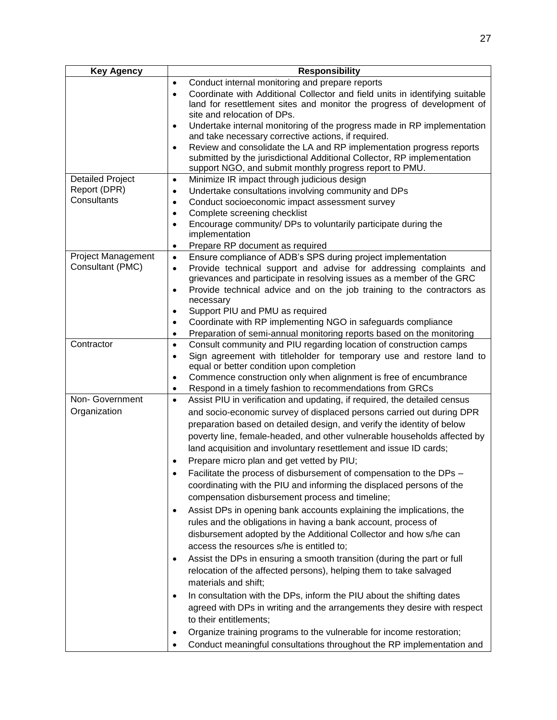| <b>Key Agency</b>              | <b>Responsibility</b>                                                                                                                                                                                                                                              |  |  |  |
|--------------------------------|--------------------------------------------------------------------------------------------------------------------------------------------------------------------------------------------------------------------------------------------------------------------|--|--|--|
|                                | Conduct internal monitoring and prepare reports<br>$\bullet$<br>Coordinate with Additional Collector and field units in identifying suitable<br>$\bullet$<br>land for resettlement sites and monitor the progress of development of<br>site and relocation of DPs. |  |  |  |
|                                | Undertake internal monitoring of the progress made in RP implementation<br>٠<br>and take necessary corrective actions, if required.                                                                                                                                |  |  |  |
|                                | Review and consolidate the LA and RP implementation progress reports<br>٠<br>submitted by the jurisdictional Additional Collector, RP implementation<br>support NGO, and submit monthly progress report to PMU.                                                    |  |  |  |
| <b>Detailed Project</b>        | Minimize IR impact through judicious design<br>$\bullet$                                                                                                                                                                                                           |  |  |  |
| Report (DPR)<br>Consultants    | Undertake consultations involving community and DPs<br>$\bullet$                                                                                                                                                                                                   |  |  |  |
|                                | Conduct socioeconomic impact assessment survey<br>$\bullet$                                                                                                                                                                                                        |  |  |  |
|                                | Complete screening checklist<br>$\bullet$<br>Encourage community/ DPs to voluntarily participate during the<br>$\bullet$                                                                                                                                           |  |  |  |
|                                | implementation                                                                                                                                                                                                                                                     |  |  |  |
|                                | Prepare RP document as required<br>٠                                                                                                                                                                                                                               |  |  |  |
| <b>Project Management</b>      | Ensure compliance of ADB's SPS during project implementation<br>$\bullet$                                                                                                                                                                                          |  |  |  |
| Consultant (PMC)               | Provide technical support and advise for addressing complaints and<br>٠<br>grievances and participate in resolving issues as a member of the GRC                                                                                                                   |  |  |  |
|                                | Provide technical advice and on the job training to the contractors as<br>٠<br>necessary                                                                                                                                                                           |  |  |  |
|                                | Support PIU and PMU as required<br>٠<br>Coordinate with RP implementing NGO in safeguards compliance<br>٠                                                                                                                                                          |  |  |  |
|                                | Preparation of semi-annual monitoring reports based on the monitoring<br>$\bullet$                                                                                                                                                                                 |  |  |  |
| Contractor                     | Consult community and PIU regarding location of construction camps<br>$\bullet$                                                                                                                                                                                    |  |  |  |
|                                | Sign agreement with titleholder for temporary use and restore land to<br>$\bullet$                                                                                                                                                                                 |  |  |  |
|                                | equal or better condition upon completion                                                                                                                                                                                                                          |  |  |  |
|                                | Commence construction only when alignment is free of encumbrance<br>٠                                                                                                                                                                                              |  |  |  |
|                                | Respond in a timely fashion to recommendations from GRCs<br>٠                                                                                                                                                                                                      |  |  |  |
| Non-Government<br>Organization | Assist PIU in verification and updating, if required, the detailed census<br>$\bullet$                                                                                                                                                                             |  |  |  |
|                                | and socio-economic survey of displaced persons carried out during DPR                                                                                                                                                                                              |  |  |  |
|                                | preparation based on detailed design, and verify the identity of below                                                                                                                                                                                             |  |  |  |
|                                | poverty line, female-headed, and other vulnerable households affected by                                                                                                                                                                                           |  |  |  |
|                                | land acquisition and involuntary resettlement and issue ID cards;                                                                                                                                                                                                  |  |  |  |
|                                | Prepare micro plan and get vetted by PIU;<br>٠                                                                                                                                                                                                                     |  |  |  |
|                                | Facilitate the process of disbursement of compensation to the DPs                                                                                                                                                                                                  |  |  |  |
|                                | coordinating with the PIU and informing the displaced persons of the<br>compensation disbursement process and timeline;                                                                                                                                            |  |  |  |
|                                | Assist DPs in opening bank accounts explaining the implications, the<br>٠                                                                                                                                                                                          |  |  |  |
|                                | rules and the obligations in having a bank account, process of                                                                                                                                                                                                     |  |  |  |
|                                | disbursement adopted by the Additional Collector and how s/he can                                                                                                                                                                                                  |  |  |  |
|                                | access the resources s/he is entitled to;                                                                                                                                                                                                                          |  |  |  |
|                                | Assist the DPs in ensuring a smooth transition (during the part or full<br>٠                                                                                                                                                                                       |  |  |  |
|                                | relocation of the affected persons), helping them to take salvaged<br>materials and shift;                                                                                                                                                                         |  |  |  |
|                                | In consultation with the DPs, inform the PIU about the shifting dates<br>٠                                                                                                                                                                                         |  |  |  |
|                                | agreed with DPs in writing and the arrangements they desire with respect                                                                                                                                                                                           |  |  |  |
|                                | to their entitlements;                                                                                                                                                                                                                                             |  |  |  |
|                                | Organize training programs to the vulnerable for income restoration;<br>٠                                                                                                                                                                                          |  |  |  |
|                                | Conduct meaningful consultations throughout the RP implementation and                                                                                                                                                                                              |  |  |  |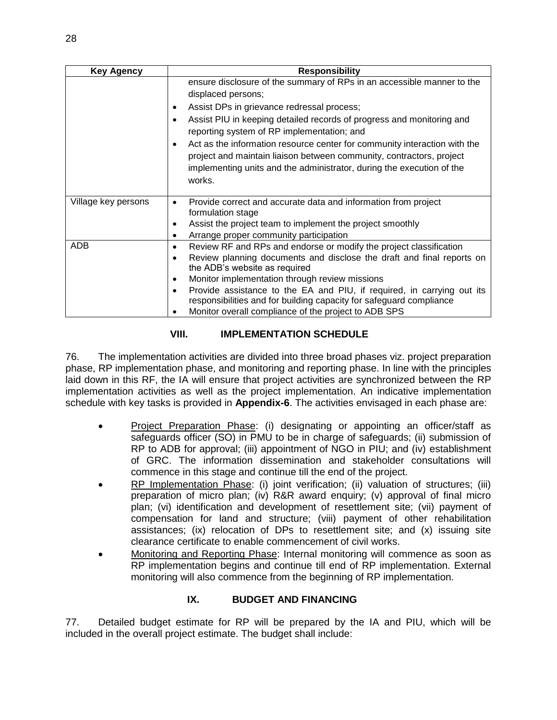| <b>Key Agency</b>   | <b>Responsibility</b>                                                                                                                                          |  |  |  |  |
|---------------------|----------------------------------------------------------------------------------------------------------------------------------------------------------------|--|--|--|--|
|                     | ensure disclosure of the summary of RPs in an accessible manner to the<br>displaced persons;                                                                   |  |  |  |  |
|                     | Assist DPs in grievance redressal process;<br>٠                                                                                                                |  |  |  |  |
|                     | Assist PIU in keeping detailed records of progress and monitoring and<br>reporting system of RP implementation; and                                            |  |  |  |  |
|                     | Act as the information resource center for community interaction with the<br>$\bullet$<br>project and maintain liaison between community, contractors, project |  |  |  |  |
|                     | implementing units and the administrator, during the execution of the<br>works.                                                                                |  |  |  |  |
| Village key persons | Provide correct and accurate data and information from project<br>$\bullet$<br>formulation stage                                                               |  |  |  |  |
|                     | Assist the project team to implement the project smoothly<br>Arrange proper community participation<br>٠                                                       |  |  |  |  |
| <b>ADB</b>          | Review RF and RPs and endorse or modify the project classification<br>٠                                                                                        |  |  |  |  |
|                     | Review planning documents and disclose the draft and final reports on<br>the ADB's website as required                                                         |  |  |  |  |
|                     | Monitor implementation through review missions<br>٠                                                                                                            |  |  |  |  |
|                     | Provide assistance to the EA and PIU, if required, in carrying out its<br>٠<br>responsibilities and for building capacity for safeguard compliance             |  |  |  |  |
|                     | Monitor overall compliance of the project to ADB SPS                                                                                                           |  |  |  |  |

# **VIII. IMPLEMENTATION SCHEDULE**

<span id="page-30-0"></span>76. The implementation activities are divided into three broad phases viz. project preparation phase, RP implementation phase, and monitoring and reporting phase. In line with the principles laid down in this RF, the IA will ensure that project activities are synchronized between the RP implementation activities as well as the project implementation. An indicative implementation schedule with key tasks is provided in **Appendix-6**. The activities envisaged in each phase are:

- Project Preparation Phase: (i) designating or appointing an officer/staff as safeguards officer (SO) in PMU to be in charge of safeguards; (ii) submission of RP to ADB for approval; (iii) appointment of NGO in PIU; and (iv) establishment of GRC. The information dissemination and stakeholder consultations will commence in this stage and continue till the end of the project.
- RP Implementation Phase: (i) joint verification; (ii) valuation of structures; (iii) preparation of micro plan; (iv) R&R award enquiry; (v) approval of final micro plan; (vi) identification and development of resettlement site; (vii) payment of compensation for land and structure; (viii) payment of other rehabilitation assistances; (ix) relocation of DPs to resettlement site; and (x) issuing site clearance certificate to enable commencement of civil works.
- Monitoring and Reporting Phase: Internal monitoring will commence as soon as RP implementation begins and continue till end of RP implementation. External monitoring will also commence from the beginning of RP implementation.

# **IX. BUDGET AND FINANCING**

<span id="page-30-1"></span>77. Detailed budget estimate for RP will be prepared by the IA and PIU, which will be included in the overall project estimate. The budget shall include: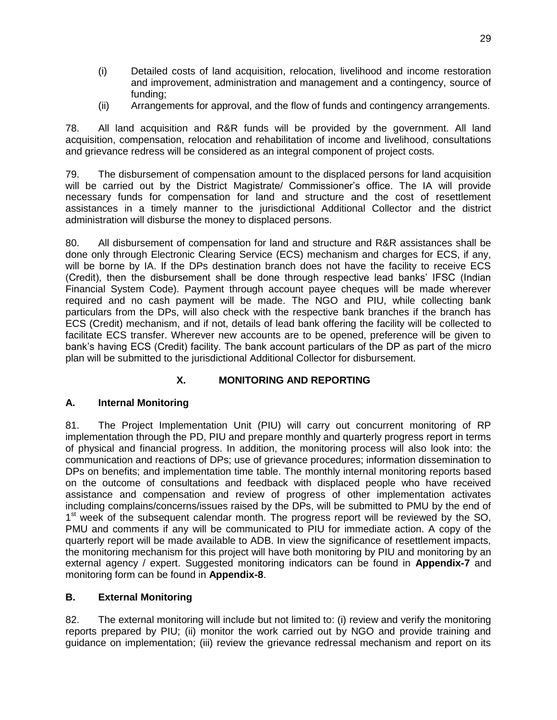- (i) Detailed costs of land acquisition, relocation, livelihood and income restoration and improvement, administration and management and a contingency, source of funding;
- (ii) Arrangements for approval, and the flow of funds and contingency arrangements.

78. All land acquisition and R&R funds will be provided by the government. All land acquisition, compensation, relocation and rehabilitation of income and livelihood, consultations and grievance redress will be considered as an integral component of project costs.

79. The disbursement of compensation amount to the displaced persons for land acquisition will be carried out by the District Magistrate/ Commissioner's office. The IA will provide necessary funds for compensation for land and structure and the cost of resettlement assistances in a timely manner to the jurisdictional Additional Collector and the district administration will disburse the money to displaced persons.

80. All disbursement of compensation for land and structure and R&R assistances shall be done only through Electronic Clearing Service (ECS) mechanism and charges for ECS, if any, will be borne by IA. If the DPs destination branch does not have the facility to receive ECS (Credit), then the disbursement shall be done through respective lead banks' IFSC (Indian Financial System Code). Payment through account payee cheques will be made wherever required and no cash payment will be made. The NGO and PIU, while collecting bank particulars from the DPs, will also check with the respective bank branches if the branch has ECS (Credit) mechanism, and if not, details of lead bank offering the facility will be collected to facilitate ECS transfer. Wherever new accounts are to be opened, preference will be given to bank's having ECS (Credit) facility. The bank account particulars of the DP as part of the micro plan will be submitted to the jurisdictional Additional Collector for disbursement.

# **X. MONITORING AND REPORTING**

# <span id="page-31-1"></span><span id="page-31-0"></span>**A. Internal Monitoring**

81. The Project Implementation Unit (PIU) will carry out concurrent monitoring of RP implementation through the PD, PIU and prepare monthly and quarterly progress report in terms of physical and financial progress. In addition, the monitoring process will also look into: the communication and reactions of DPs; use of grievance procedures; information dissemination to DPs on benefits; and implementation time table. The monthly internal monitoring reports based on the outcome of consultations and feedback with displaced people who have received assistance and compensation and review of progress of other implementation activates including complains/concerns/issues raised by the DPs, will be submitted to PMU by the end of 1<sup>st</sup> week of the subsequent calendar month. The progress report will be reviewed by the SO, PMU and comments if any will be communicated to PIU for immediate action. A copy of the quarterly report will be made available to ADB. In view the significance of resettlement impacts, the monitoring mechanism for this project will have both monitoring by PIU and monitoring by an external agency / expert. Suggested monitoring indicators can be found in **Appendix-7** and monitoring form can be found in **Appendix-8**.

# <span id="page-31-2"></span>**B. External Monitoring**

82. The external monitoring will include but not limited to: (i) review and verify the monitoring reports prepared by PIU; (ii) monitor the work carried out by NGO and provide training and guidance on implementation; (iii) review the grievance redressal mechanism and report on its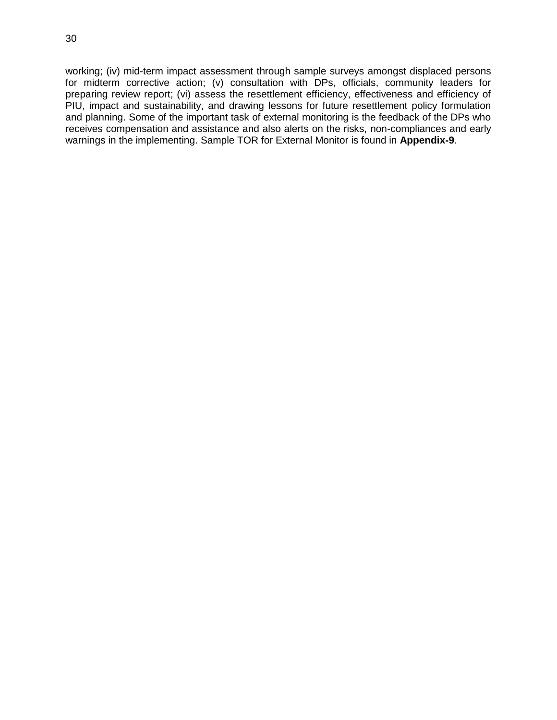working; (iv) mid-term impact assessment through sample surveys amongst displaced persons for midterm corrective action; (v) consultation with DPs, officials, community leaders for preparing review report; (vi) assess the resettlement efficiency, effectiveness and efficiency of PIU, impact and sustainability, and drawing lessons for future resettlement policy formulation and planning. Some of the important task of external monitoring is the feedback of the DPs who receives compensation and assistance and also alerts on the risks, non-compliances and early warnings in the implementing. Sample TOR for External Monitor is found in **Appendix-9**.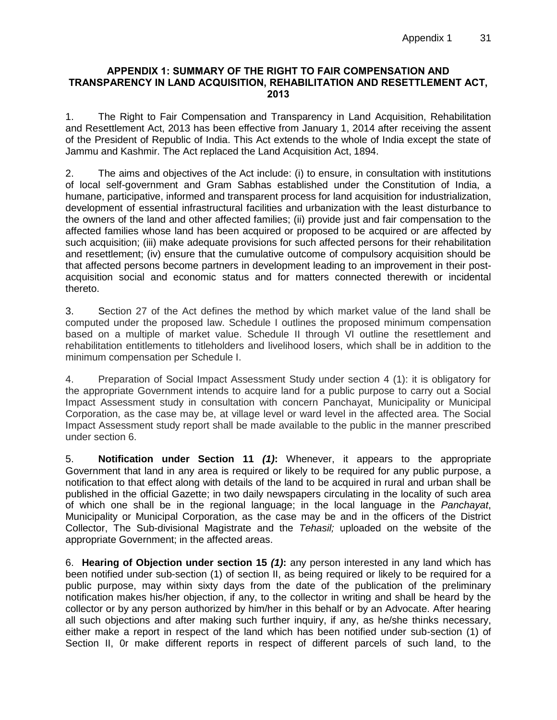#### <span id="page-33-0"></span>**APPENDIX 1: SUMMARY OF THE RIGHT TO FAIR COMPENSATION AND TRANSPARENCY IN LAND ACQUISITION, REHABILITATION AND RESETTLEMENT ACT, 2013**

1. The Right to Fair Compensation and Transparency in Land Acquisition, Rehabilitation and Resettlement Act, 2013 has been effective from January 1, 2014 after receiving the assent of the President of Republic of India. This Act extends to the whole of India except the state of Jammu and Kashmir. The Act replaced the Land Acquisition Act, 1894.

2. The aims and objectives of the Act include: (i) to ensure, in consultation with institutions of local self-government and Gram Sabhas established under the Constitution of India, a humane, participative, informed and transparent process for land acquisition for industrialization, development of essential infrastructural facilities and urbanization with the least disturbance to the owners of the land and other affected families; (ii) provide just and fair compensation to the affected families whose land has been acquired or proposed to be acquired or are affected by such acquisition; (iii) make adequate provisions for such affected persons for their rehabilitation and resettlement; (iv) ensure that the cumulative outcome of compulsory acquisition should be that affected persons become partners in development leading to an improvement in their postacquisition social and economic status and for matters connected therewith or incidental thereto.

3. Section 27 of the Act defines the method by which market value of the land shall be computed under the proposed law. Schedule I outlines the proposed minimum compensation based on a multiple of market value. Schedule II through VI outline the resettlement and rehabilitation entitlements to titleholders and livelihood losers, which shall be in addition to the minimum compensation per Schedule I.

4. Preparation of Social Impact Assessment Study under section 4 (1): it is obligatory for the appropriate Government intends to acquire land for a public purpose to carry out a Social Impact Assessment study in consultation with concern Panchayat, Municipality or Municipal Corporation, as the case may be, at village level or ward level in the affected area. The Social Impact Assessment study report shall be made available to the public in the manner prescribed under section 6.

5. **Notification under Section 11** *(1)***:** Whenever, it appears to the appropriate Government that land in any area is required or likely to be required for any public purpose, a notification to that effect along with details of the land to be acquired in rural and urban shall be published in the official Gazette; in two daily newspapers circulating in the locality of such area of which one shall be in the regional language; in the local language in the *Panchayat*, Municipality or Municipal Corporation, as the case may be and in the officers of the District Collector, The Sub-divisional Magistrate and the *Tehasil;* uploaded on the website of the appropriate Government; in the affected areas.

6. **Hearing of Objection under section 15** *(1)***:** any person interested in any land which has been notified under sub-section (1) of section II, as being required or likely to be required for a public purpose, may within sixty days from the date of the publication of the preliminary notification makes his/her objection, if any, to the collector in writing and shall be heard by the collector or by any person authorized by him/her in this behalf or by an Advocate. After hearing all such objections and after making such further inquiry, if any, as he/she thinks necessary, either make a report in respect of the land which has been notified under sub-section (1) of Section II, 0r make different reports in respect of different parcels of such land, to the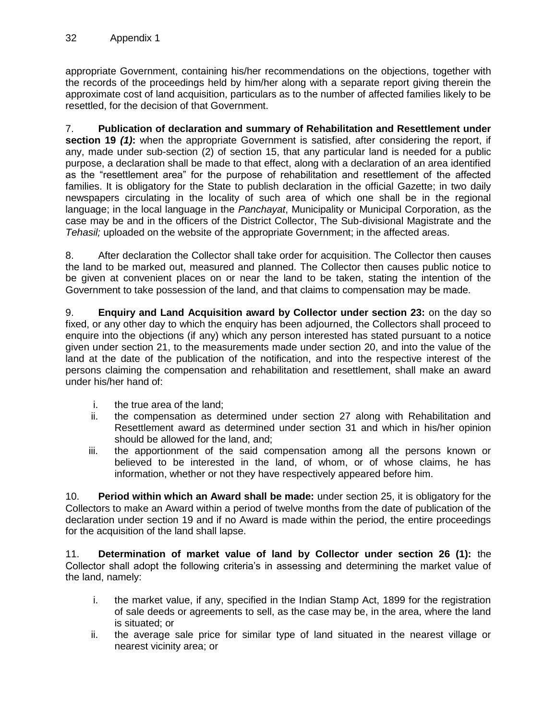appropriate Government, containing his/her recommendations on the objections, together with the records of the proceedings held by him/her along with a separate report giving therein the approximate cost of land acquisition, particulars as to the number of affected families likely to be resettled, for the decision of that Government.

7. **Publication of declaration and summary of Rehabilitation and Resettlement under section 19 (1):** when the appropriate Government is satisfied, after considering the report, if any, made under sub-section (2) of section 15, that any particular land is needed for a public purpose, a declaration shall be made to that effect, along with a declaration of an area identified as the "resettlement area" for the purpose of rehabilitation and resettlement of the affected families. It is obligatory for the State to publish declaration in the official Gazette; in two daily newspapers circulating in the locality of such area of which one shall be in the regional language; in the local language in the *Panchayat*, Municipality or Municipal Corporation, as the case may be and in the officers of the District Collector, The Sub-divisional Magistrate and the *Tehasil;* uploaded on the website of the appropriate Government; in the affected areas.

8. After declaration the Collector shall take order for acquisition. The Collector then causes the land to be marked out, measured and planned. The Collector then causes public notice to be given at convenient places on or near the land to be taken, stating the intention of the Government to take possession of the land, and that claims to compensation may be made.

9. **Enquiry and Land Acquisition award by Collector under section 23:** on the day so fixed, or any other day to which the enquiry has been adjourned, the Collectors shall proceed to enquire into the objections (if any) which any person interested has stated pursuant to a notice given under section 21, to the measurements made under section 20, and into the value of the land at the date of the publication of the notification, and into the respective interest of the persons claiming the compensation and rehabilitation and resettlement, shall make an award under his/her hand of:

- i. the true area of the land;
- ii. the compensation as determined under section 27 along with Rehabilitation and Resettlement award as determined under section 31 and which in his/her opinion should be allowed for the land, and;
- iii. the apportionment of the said compensation among all the persons known or believed to be interested in the land, of whom, or of whose claims, he has information, whether or not they have respectively appeared before him.

10. **Period within which an Award shall be made:** under section 25, it is obligatory for the Collectors to make an Award within a period of twelve months from the date of publication of the declaration under section 19 and if no Award is made within the period, the entire proceedings for the acquisition of the land shall lapse.

11. **Determination of market value of land by Collector under section 26 (1):** the Collector shall adopt the following criteria's in assessing and determining the market value of the land, namely:

- i. the market value, if any, specified in the Indian Stamp Act, 1899 for the registration of sale deeds or agreements to sell, as the case may be, in the area, where the land is situated; or
- ii. the average sale price for similar type of land situated in the nearest village or nearest vicinity area; or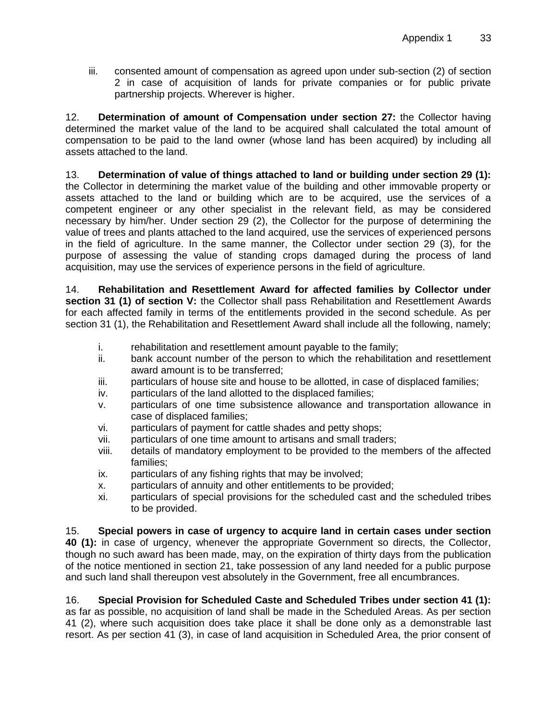iii. consented amount of compensation as agreed upon under sub-section (2) of section 2 in case of acquisition of lands for private companies or for public private partnership projects. Wherever is higher.

12. **Determination of amount of Compensation under section 27:** the Collector having determined the market value of the land to be acquired shall calculated the total amount of compensation to be paid to the land owner (whose land has been acquired) by including all assets attached to the land.

13. **Determination of value of things attached to land or building under section 29 (1):**  the Collector in determining the market value of the building and other immovable property or assets attached to the land or building which are to be acquired, use the services of a competent engineer or any other specialist in the relevant field, as may be considered necessary by him/her. Under section 29 (2), the Collector for the purpose of determining the value of trees and plants attached to the land acquired, use the services of experienced persons in the field of agriculture. In the same manner, the Collector under section 29 (3), for the purpose of assessing the value of standing crops damaged during the process of land acquisition, may use the services of experience persons in the field of agriculture.

14. **Rehabilitation and Resettlement Award for affected families by Collector under section 31 (1) of section V:** the Collector shall pass Rehabilitation and Resettlement Awards for each affected family in terms of the entitlements provided in the second schedule. As per section 31 (1), the Rehabilitation and Resettlement Award shall include all the following, namely;

- $i.$  rehabilitation and resettlement amount payable to the family;
- ii. bank account number of the person to which the rehabilitation and resettlement award amount is to be transferred;
- iii. particulars of house site and house to be allotted, in case of displaced families;
- iv. particulars of the land allotted to the displaced families;
- v. particulars of one time subsistence allowance and transportation allowance in case of displaced families;
- vi. particulars of payment for cattle shades and petty shops;
- vii. particulars of one time amount to artisans and small traders;
- viii. details of mandatory employment to be provided to the members of the affected families;
- ix. particulars of any fishing rights that may be involved;
- x. particulars of annuity and other entitlements to be provided;
- xi. particulars of special provisions for the scheduled cast and the scheduled tribes to be provided.

15. **Special powers in case of urgency to acquire land in certain cases under section** 

**40 (1):** in case of urgency, whenever the appropriate Government so directs, the Collector, though no such award has been made, may, on the expiration of thirty days from the publication of the notice mentioned in section 21, take possession of any land needed for a public purpose and such land shall thereupon vest absolutely in the Government, free all encumbrances.

16. **Special Provision for Scheduled Caste and Scheduled Tribes under section 41 (1):** as far as possible, no acquisition of land shall be made in the Scheduled Areas. As per section 41 (2), where such acquisition does take place it shall be done only as a demonstrable last resort. As per section 41 (3), in case of land acquisition in Scheduled Area, the prior consent of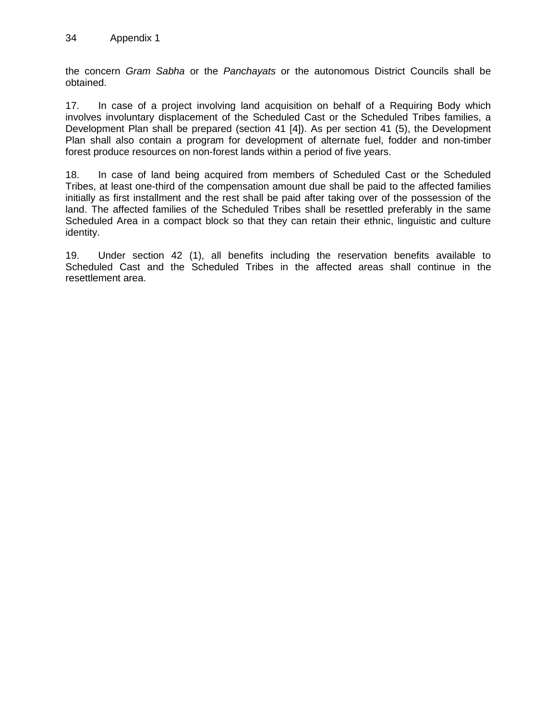the concern *Gram Sabha* or the *Panchayats* or the autonomous District Councils shall be obtained.

17. In case of a project involving land acquisition on behalf of a Requiring Body which involves involuntary displacement of the Scheduled Cast or the Scheduled Tribes families, a Development Plan shall be prepared (section 41 [4]). As per section 41 (5), the Development Plan shall also contain a program for development of alternate fuel, fodder and non-timber forest produce resources on non-forest lands within a period of five years.

18. In case of land being acquired from members of Scheduled Cast or the Scheduled Tribes, at least one-third of the compensation amount due shall be paid to the affected families initially as first installment and the rest shall be paid after taking over of the possession of the land. The affected families of the Scheduled Tribes shall be resettled preferably in the same Scheduled Area in a compact block so that they can retain their ethnic, linguistic and culture identity.

19. Under section 42 (1), all benefits including the reservation benefits available to Scheduled Cast and the Scheduled Tribes in the affected areas shall continue in the resettlement area.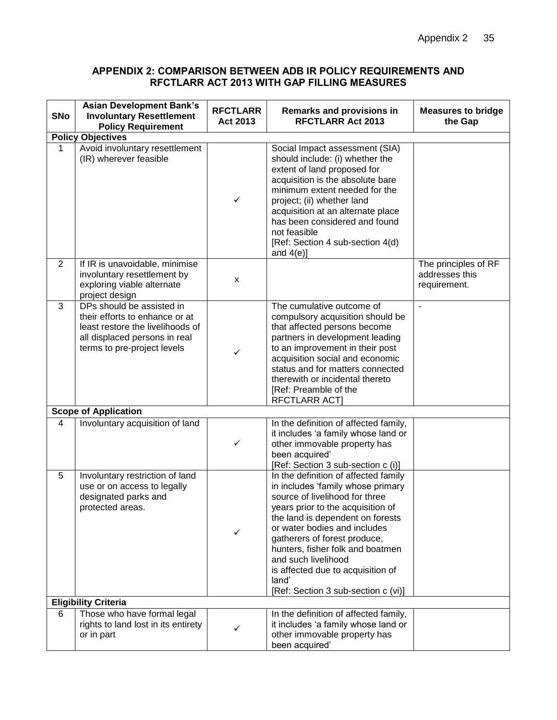#### <span id="page-37-0"></span>**APPENDIX 2: COMPARISON BETWEEN ADB IR POLICY REQUIREMENTS AND RFCTLARR ACT 2013 WITH GAP FILLING MEASURES**

| <b>SNo</b>               | <b>Asian Development Bank's</b><br><b>Involuntary Resettlement</b><br><b>Policy Requirement</b>                                                                 | <b>RFCTLARR</b><br>Act 2013 | <b>Remarks and provisions in</b><br><b>RFCTLARR Act 2013</b>                                                                                                                                                                                                                                                                                                                                         | <b>Measures to bridge</b><br>the Gap                   |  |
|--------------------------|-----------------------------------------------------------------------------------------------------------------------------------------------------------------|-----------------------------|------------------------------------------------------------------------------------------------------------------------------------------------------------------------------------------------------------------------------------------------------------------------------------------------------------------------------------------------------------------------------------------------------|--------------------------------------------------------|--|
| <b>Policy Objectives</b> |                                                                                                                                                                 |                             |                                                                                                                                                                                                                                                                                                                                                                                                      |                                                        |  |
| 1                        | Avoid involuntary resettlement<br>(IR) wherever feasible                                                                                                        | ✓                           | Social Impact assessment (SIA)<br>should include: (i) whether the<br>extent of land proposed for<br>acquisition is the absolute bare<br>minimum extent needed for the<br>project; (ii) whether land<br>acquisition at an alternate place<br>has been considered and found<br>not feasible<br>[Ref: Section 4 sub-section 4(d)<br>and $4(e)$ ]                                                        |                                                        |  |
| $\overline{2}$           | If IR is unavoidable, minimise<br>involuntary resettlement by<br>exploring viable alternate<br>project design                                                   | X                           |                                                                                                                                                                                                                                                                                                                                                                                                      | The principles of RF<br>addresses this<br>requirement. |  |
| 3                        | DPs should be assisted in<br>their efforts to enhance or at<br>least restore the livelihoods of<br>all displaced persons in real<br>terms to pre-project levels | ✓                           | The cumulative outcome of<br>compulsory acquisition should be<br>that affected persons become<br>partners in development leading<br>to an improvement in their post<br>acquisition social and economic<br>status and for matters connected<br>therewith or incidental thereto<br>[Ref: Preamble of the<br><b>RFCTLARR ACT]</b>                                                                       | $\overline{\phantom{a}}$                               |  |
|                          | <b>Scope of Application</b>                                                                                                                                     |                             |                                                                                                                                                                                                                                                                                                                                                                                                      |                                                        |  |
| $\overline{4}$           | Involuntary acquisition of land                                                                                                                                 | ✓                           | In the definition of affected family,<br>it includes 'a family whose land or<br>other immovable property has<br>been acquired'<br>[Ref: Section 3 sub-section c (i)]                                                                                                                                                                                                                                 |                                                        |  |
| 5                        | Involuntary restriction of land<br>use or on access to legally<br>designated parks and<br>protected areas.                                                      | ✓                           | In the definition of affected family<br>in includes 'family whose primary<br>source of livelihood for three<br>years prior to the acquisition of<br>the land is dependent on forests<br>or water bodies and includes<br>gatherers of forest produce,<br>hunters, fisher folk and boatmen<br>and such livelihood<br>is affected due to acquisition of<br>land'<br>[Ref: Section 3 sub-section c (vi)] |                                                        |  |
|                          | <b>Eligibility Criteria</b>                                                                                                                                     |                             |                                                                                                                                                                                                                                                                                                                                                                                                      |                                                        |  |
| 6                        | Those who have formal legal<br>rights to land lost in its entirety<br>or in part                                                                                |                             | In the definition of affected family,<br>it includes 'a family whose land or<br>other immovable property has<br>been acquired'                                                                                                                                                                                                                                                                       |                                                        |  |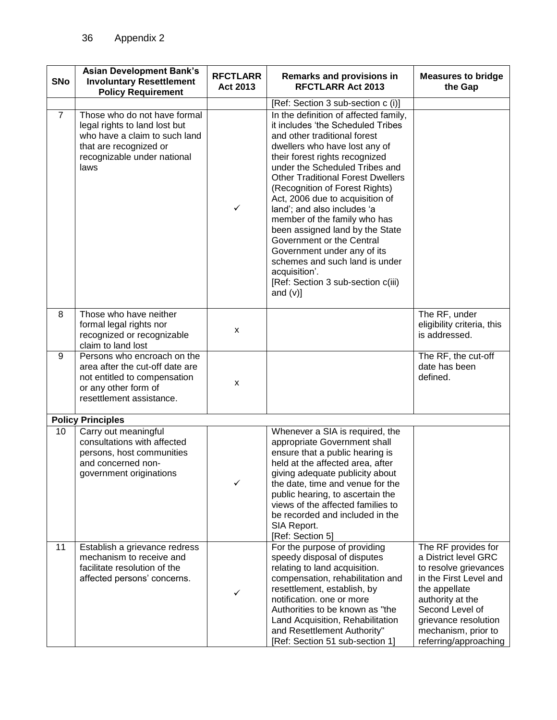| <b>SNo</b>     | <b>Asian Development Bank's</b><br><b>Involuntary Resettlement</b><br><b>Policy Requirement</b>                                                                 | <b>RFCTLARR</b><br>Act 2013 | <b>Remarks and provisions in</b><br><b>RFCTLARR Act 2013</b>                                                                                                                                                                                                                                                                                                                                                                                                                                                                                                                                           | <b>Measures to bridge</b><br>the Gap                                                                                                                                                                                           |
|----------------|-----------------------------------------------------------------------------------------------------------------------------------------------------------------|-----------------------------|--------------------------------------------------------------------------------------------------------------------------------------------------------------------------------------------------------------------------------------------------------------------------------------------------------------------------------------------------------------------------------------------------------------------------------------------------------------------------------------------------------------------------------------------------------------------------------------------------------|--------------------------------------------------------------------------------------------------------------------------------------------------------------------------------------------------------------------------------|
|                |                                                                                                                                                                 |                             | [Ref: Section 3 sub-section c (i)]                                                                                                                                                                                                                                                                                                                                                                                                                                                                                                                                                                     |                                                                                                                                                                                                                                |
| $\overline{7}$ | Those who do not have formal<br>legal rights to land lost but<br>who have a claim to such land<br>that are recognized or<br>recognizable under national<br>laws | $\checkmark$                | In the definition of affected family,<br>it includes 'the Scheduled Tribes<br>and other traditional forest<br>dwellers who have lost any of<br>their forest rights recognized<br>under the Scheduled Tribes and<br><b>Other Traditional Forest Dwellers</b><br>(Recognition of Forest Rights)<br>Act, 2006 due to acquisition of<br>land'; and also includes 'a<br>member of the family who has<br>been assigned land by the State<br>Government or the Central<br>Government under any of its<br>schemes and such land is under<br>acquisition'.<br>[Ref: Section 3 sub-section c(iii)<br>and $(v)$ ] |                                                                                                                                                                                                                                |
| 8              | Those who have neither<br>formal legal rights nor<br>recognized or recognizable<br>claim to land lost                                                           | X                           |                                                                                                                                                                                                                                                                                                                                                                                                                                                                                                                                                                                                        | The RF, under<br>eligibility criteria, this<br>is addressed.                                                                                                                                                                   |
| 9              | Persons who encroach on the<br>area after the cut-off date are<br>not entitled to compensation<br>or any other form of<br>resettlement assistance.              | X                           |                                                                                                                                                                                                                                                                                                                                                                                                                                                                                                                                                                                                        | The RF, the cut-off<br>date has been<br>defined.                                                                                                                                                                               |
|                | <b>Policy Principles</b>                                                                                                                                        |                             |                                                                                                                                                                                                                                                                                                                                                                                                                                                                                                                                                                                                        |                                                                                                                                                                                                                                |
| 10             | Carry out meaningful<br>consultations with affected<br>persons, host communities<br>and concerned non-<br>government originations                               | ✓                           | Whenever a SIA is required, the<br>appropriate Government shall<br>ensure that a public hearing is<br>held at the affected area, after<br>giving adequate publicity about<br>the date, time and venue for the<br>public hearing, to ascertain the<br>views of the affected families to<br>be recorded and included in the<br>SIA Report.<br>[Ref: Section 5]                                                                                                                                                                                                                                           |                                                                                                                                                                                                                                |
| 11             | Establish a grievance redress<br>mechanism to receive and<br>facilitate resolution of the<br>affected persons' concerns.                                        | ✓                           | For the purpose of providing<br>speedy disposal of disputes<br>relating to land acquisition.<br>compensation, rehabilitation and<br>resettlement, establish, by<br>notification. one or more<br>Authorities to be known as "the<br>Land Acquisition, Rehabilitation<br>and Resettlement Authority"<br>[Ref: Section 51 sub-section 1]                                                                                                                                                                                                                                                                  | The RF provides for<br>a District level GRC<br>to resolve grievances<br>in the First Level and<br>the appellate<br>authority at the<br>Second Level of<br>grievance resolution<br>mechanism, prior to<br>referring/approaching |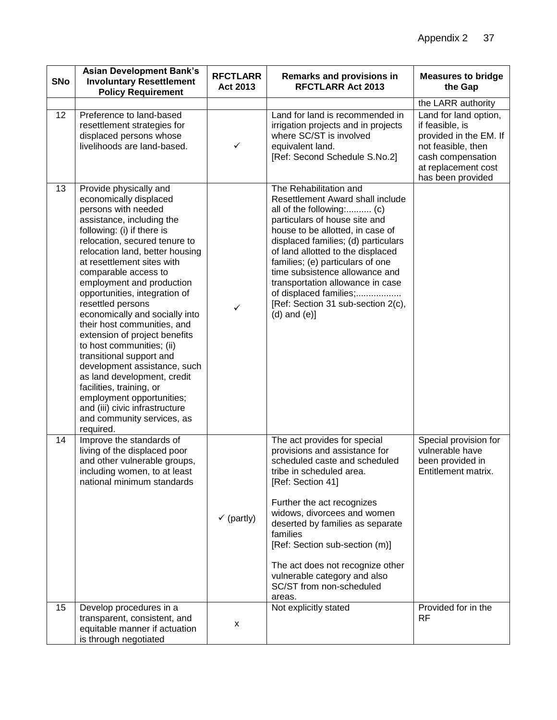| <b>SNo</b> | <b>Asian Development Bank's</b><br><b>Involuntary Resettlement</b><br><b>Policy Requirement</b>                                                                                                                                                                                                                                                                                                                                                                                                                                                                                                                                                                                                                 | <b>RFCTLARR</b><br>Act 2013 | <b>Remarks and provisions in</b><br><b>RFCTLARR Act 2013</b>                                                                                                                                                                                                                                                                                                                                                                            | <b>Measures to bridge</b><br>the Gap                                                                                                                      |
|------------|-----------------------------------------------------------------------------------------------------------------------------------------------------------------------------------------------------------------------------------------------------------------------------------------------------------------------------------------------------------------------------------------------------------------------------------------------------------------------------------------------------------------------------------------------------------------------------------------------------------------------------------------------------------------------------------------------------------------|-----------------------------|-----------------------------------------------------------------------------------------------------------------------------------------------------------------------------------------------------------------------------------------------------------------------------------------------------------------------------------------------------------------------------------------------------------------------------------------|-----------------------------------------------------------------------------------------------------------------------------------------------------------|
|            |                                                                                                                                                                                                                                                                                                                                                                                                                                                                                                                                                                                                                                                                                                                 |                             |                                                                                                                                                                                                                                                                                                                                                                                                                                         | the LARR authority                                                                                                                                        |
| 12         | Preference to land-based<br>resettlement strategies for<br>displaced persons whose<br>livelihoods are land-based.                                                                                                                                                                                                                                                                                                                                                                                                                                                                                                                                                                                               | $\checkmark$                | Land for land is recommended in<br>irrigation projects and in projects<br>where SC/ST is involved<br>equivalent land.<br>[Ref: Second Schedule S.No.2]                                                                                                                                                                                                                                                                                  | Land for land option,<br>if feasible, is<br>provided in the EM. If<br>not feasible, then<br>cash compensation<br>at replacement cost<br>has been provided |
| 13         | Provide physically and<br>economically displaced<br>persons with needed<br>assistance, including the<br>following: (i) if there is<br>relocation, secured tenure to<br>relocation land, better housing<br>at resettlement sites with<br>comparable access to<br>employment and production<br>opportunities, integration of<br>resettled persons<br>economically and socially into<br>their host communities, and<br>extension of project benefits<br>to host communities; (ii)<br>transitional support and<br>development assistance, such<br>as land development, credit<br>facilities, training, or<br>employment opportunities;<br>and (iii) civic infrastructure<br>and community services, as<br>required. | $\checkmark$                | The Rehabilitation and<br>Resettlement Award shall include<br>all of the following: (c)<br>particulars of house site and<br>house to be allotted, in case of<br>displaced families; (d) particulars<br>of land allotted to the displaced<br>families; (e) particulars of one<br>time subsistence allowance and<br>transportation allowance in case<br>of displaced families;<br>[Ref: Section 31 sub-section 2(c),<br>$(d)$ and $(e)$ ] |                                                                                                                                                           |
| 14         | Improve the standards of<br>living of the displaced poor<br>and other vulnerable groups,<br>including women, to at least<br>national minimum standards                                                                                                                                                                                                                                                                                                                                                                                                                                                                                                                                                          | $\checkmark$ (partly)       | The act provides for special<br>provisions and assistance for<br>scheduled caste and scheduled<br>tribe in scheduled area.<br>[Ref: Section 41]<br>Further the act recognizes<br>widows, divorcees and women<br>deserted by families as separate<br>families<br>[Ref: Section sub-section (m)]<br>The act does not recognize other<br>vulnerable category and also<br>SC/ST from non-scheduled<br>areas.                                | Special provision for<br>vulnerable have<br>been provided in<br>Entitlement matrix.                                                                       |
| 15         | Develop procedures in a<br>transparent, consistent, and<br>equitable manner if actuation<br>is through negotiated                                                                                                                                                                                                                                                                                                                                                                                                                                                                                                                                                                                               | X                           | Not explicitly stated                                                                                                                                                                                                                                                                                                                                                                                                                   | Provided for in the<br><b>RF</b>                                                                                                                          |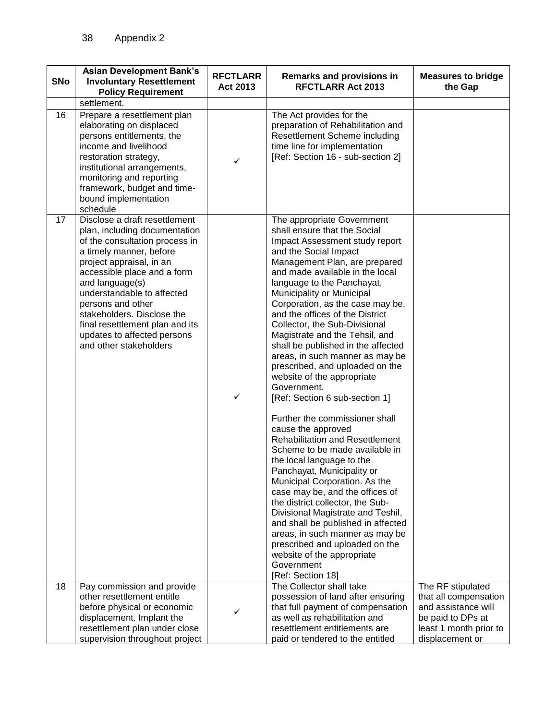| <b>SNo</b> | <b>Asian Development Bank's</b><br><b>Involuntary Resettlement</b><br><b>Policy Requirement</b>                                                                                                                                                                                                                                                                                        | <b>RFCTLARR</b><br>Act 2013 | Remarks and provisions in<br><b>RFCTLARR Act 2013</b>                                                                                                                                                                                                                                                                                                                                                                                                                                                                                                                                                                                                                                                                                                                                                                                                                                                                                                                                                                                                                                                             | <b>Measures to bridge</b><br>the Gap                                                                                                |
|------------|----------------------------------------------------------------------------------------------------------------------------------------------------------------------------------------------------------------------------------------------------------------------------------------------------------------------------------------------------------------------------------------|-----------------------------|-------------------------------------------------------------------------------------------------------------------------------------------------------------------------------------------------------------------------------------------------------------------------------------------------------------------------------------------------------------------------------------------------------------------------------------------------------------------------------------------------------------------------------------------------------------------------------------------------------------------------------------------------------------------------------------------------------------------------------------------------------------------------------------------------------------------------------------------------------------------------------------------------------------------------------------------------------------------------------------------------------------------------------------------------------------------------------------------------------------------|-------------------------------------------------------------------------------------------------------------------------------------|
|            | settlement.                                                                                                                                                                                                                                                                                                                                                                            |                             |                                                                                                                                                                                                                                                                                                                                                                                                                                                                                                                                                                                                                                                                                                                                                                                                                                                                                                                                                                                                                                                                                                                   |                                                                                                                                     |
| 16         | Prepare a resettlement plan<br>elaborating on displaced<br>persons entitlements, the<br>income and livelihood<br>restoration strategy,<br>institutional arrangements,<br>monitoring and reporting<br>framework, budget and time-<br>bound implementation<br>schedule                                                                                                                   | $\checkmark$                | The Act provides for the<br>preparation of Rehabilitation and<br>Resettlement Scheme including<br>time line for implementation<br>[Ref: Section 16 - sub-section 2]                                                                                                                                                                                                                                                                                                                                                                                                                                                                                                                                                                                                                                                                                                                                                                                                                                                                                                                                               |                                                                                                                                     |
| 17         | Disclose a draft resettlement<br>plan, including documentation<br>of the consultation process in<br>a timely manner, before<br>project appraisal, in an<br>accessible place and a form<br>and language(s)<br>understandable to affected<br>persons and other<br>stakeholders. Disclose the<br>final resettlement plan and its<br>updates to affected persons<br>and other stakeholders | $\checkmark$                | The appropriate Government<br>shall ensure that the Social<br>Impact Assessment study report<br>and the Social Impact<br>Management Plan, are prepared<br>and made available in the local<br>language to the Panchayat,<br>Municipality or Municipal<br>Corporation, as the case may be,<br>and the offices of the District<br>Collector, the Sub-Divisional<br>Magistrate and the Tehsil, and<br>shall be published in the affected<br>areas, in such manner as may be<br>prescribed, and uploaded on the<br>website of the appropriate<br>Government.<br>[Ref: Section 6 sub-section 1]<br>Further the commissioner shall<br>cause the approved<br><b>Rehabilitation and Resettlement</b><br>Scheme to be made available in<br>the local language to the<br>Panchayat, Municipality or<br>Municipal Corporation. As the<br>case may be, and the offices of<br>the district collector, the Sub-<br>Divisional Magistrate and Teshil,<br>and shall be published in affected<br>areas, in such manner as may be<br>prescribed and uploaded on the<br>website of the appropriate<br>Government<br>[Ref: Section 18] |                                                                                                                                     |
| 18         | Pay commission and provide<br>other resettlement entitle<br>before physical or economic<br>displacement. Implant the<br>resettlement plan under close<br>supervision throughout project                                                                                                                                                                                                | ✓                           | The Collector shall take<br>possession of land after ensuring<br>that full payment of compensation<br>as well as rehabilitation and<br>resettlement entitlements are<br>paid or tendered to the entitled                                                                                                                                                                                                                                                                                                                                                                                                                                                                                                                                                                                                                                                                                                                                                                                                                                                                                                          | The RF stipulated<br>that all compensation<br>and assistance will<br>be paid to DPs at<br>least 1 month prior to<br>displacement or |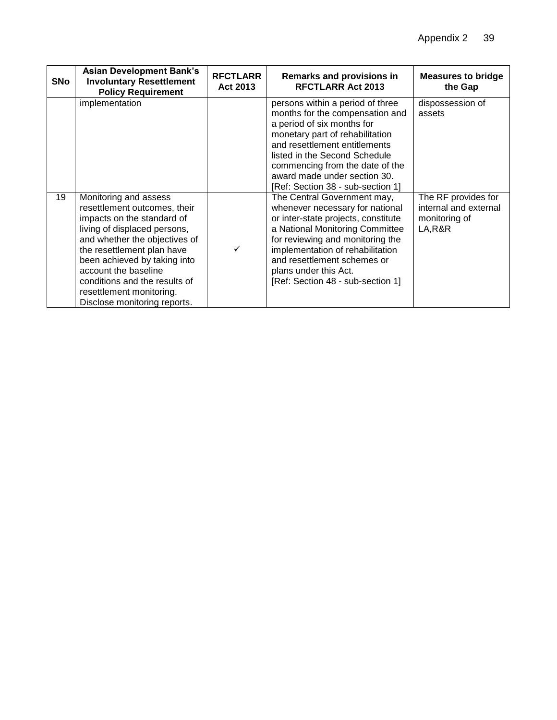| <b>SNo</b> | <b>Asian Development Bank's</b><br><b>Involuntary Resettlement</b><br><b>Policy Requirement</b>                                                                                                                                                                                                                                         | <b>RFCTLARR</b><br>Act 2013 | Remarks and provisions in<br><b>RFCTLARR Act 2013</b>                                                                                                                                                                                                                                                          | <b>Measures to bridge</b><br>the Gap                                     |
|------------|-----------------------------------------------------------------------------------------------------------------------------------------------------------------------------------------------------------------------------------------------------------------------------------------------------------------------------------------|-----------------------------|----------------------------------------------------------------------------------------------------------------------------------------------------------------------------------------------------------------------------------------------------------------------------------------------------------------|--------------------------------------------------------------------------|
|            | implementation                                                                                                                                                                                                                                                                                                                          |                             | persons within a period of three<br>months for the compensation and<br>a period of six months for<br>monetary part of rehabilitation<br>and resettlement entitlements<br>listed in the Second Schedule<br>commencing from the date of the<br>award made under section 30.<br>[Ref: Section 38 - sub-section 1] | dispossession of<br>assets                                               |
| 19         | Monitoring and assess<br>resettlement outcomes, their<br>impacts on the standard of<br>living of displaced persons,<br>and whether the objectives of<br>the resettlement plan have<br>been achieved by taking into<br>account the baseline<br>conditions and the results of<br>resettlement monitoring.<br>Disclose monitoring reports. |                             | The Central Government may,<br>whenever necessary for national<br>or inter-state projects, constitute<br>a National Monitoring Committee<br>for reviewing and monitoring the<br>implementation of rehabilitation<br>and resettlement schemes or<br>plans under this Act.<br>[Ref: Section 48 - sub-section 1]  | The RF provides for<br>internal and external<br>monitoring of<br>LA, R&R |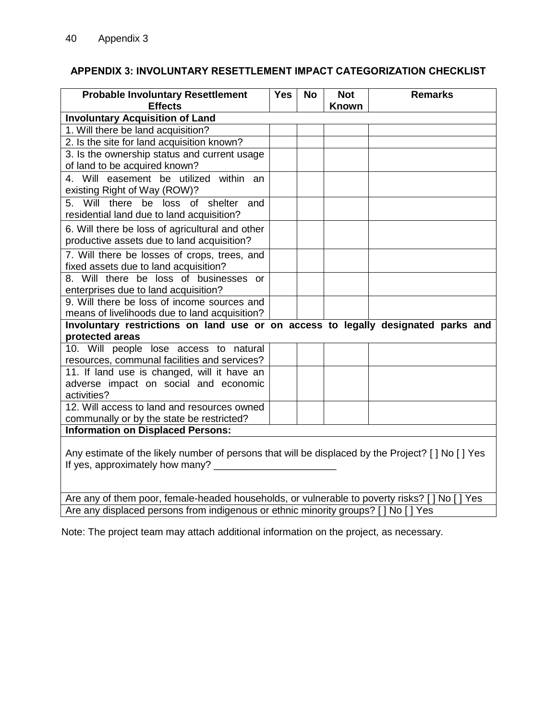## <span id="page-42-0"></span>**APPENDIX 3: INVOLUNTARY RESETTLEMENT IMPACT CATEGORIZATION CHECKLIST**

| <b>Probable Involuntary Resettlement</b><br><b>Effects</b>                                         | <b>Yes</b> | <b>No</b> | <b>Not</b><br><b>Known</b> | <b>Remarks</b> |
|----------------------------------------------------------------------------------------------------|------------|-----------|----------------------------|----------------|
| <b>Involuntary Acquisition of Land</b>                                                             |            |           |                            |                |
| 1. Will there be land acquisition?                                                                 |            |           |                            |                |
| 2. Is the site for land acquisition known?                                                         |            |           |                            |                |
| 3. Is the ownership status and current usage                                                       |            |           |                            |                |
| of land to be acquired known?                                                                      |            |           |                            |                |
| 4. Will easement be utilized within an<br>existing Right of Way (ROW)?                             |            |           |                            |                |
| 5. Will there be loss<br>of shelter<br>and                                                         |            |           |                            |                |
| residential land due to land acquisition?                                                          |            |           |                            |                |
| 6. Will there be loss of agricultural and other                                                    |            |           |                            |                |
| productive assets due to land acquisition?                                                         |            |           |                            |                |
| 7. Will there be losses of crops, trees, and                                                       |            |           |                            |                |
| fixed assets due to land acquisition?                                                              |            |           |                            |                |
| 8. Will there be loss of businesses or                                                             |            |           |                            |                |
| enterprises due to land acquisition?<br>9. Will there be loss of income sources and                |            |           |                            |                |
| means of livelihoods due to land acquisition?                                                      |            |           |                            |                |
| Involuntary restrictions on land use or on access to legally designated parks and                  |            |           |                            |                |
| protected areas                                                                                    |            |           |                            |                |
| 10. Will people lose access to natural                                                             |            |           |                            |                |
| resources, communal facilities and services?                                                       |            |           |                            |                |
| 11. If land use is changed, will it have an                                                        |            |           |                            |                |
| adverse impact on social and economic                                                              |            |           |                            |                |
| activities?                                                                                        |            |           |                            |                |
| 12. Will access to land and resources owned                                                        |            |           |                            |                |
| communally or by the state be restricted?                                                          |            |           |                            |                |
| <b>Information on Displaced Persons:</b>                                                           |            |           |                            |                |
| Any estimate of the likely number of persons that will be displaced by the Project? [ ] No [ ] Yes |            |           |                            |                |
| If yes, approximately how many? _____                                                              |            |           |                            |                |
|                                                                                                    |            |           |                            |                |
|                                                                                                    |            |           |                            |                |
| Are any of them pear, famele bended beyseholde, ary uperable to poverty ricke? [INe [IVer          |            |           |                            |                |

Are any of them poor, female-headed households, or vulnerable to poverty risks? [ ] No [ ] Yes Are any displaced persons from indigenous or ethnic minority groups? [ ] No [ ] Yes

Note: The project team may attach additional information on the project, as necessary.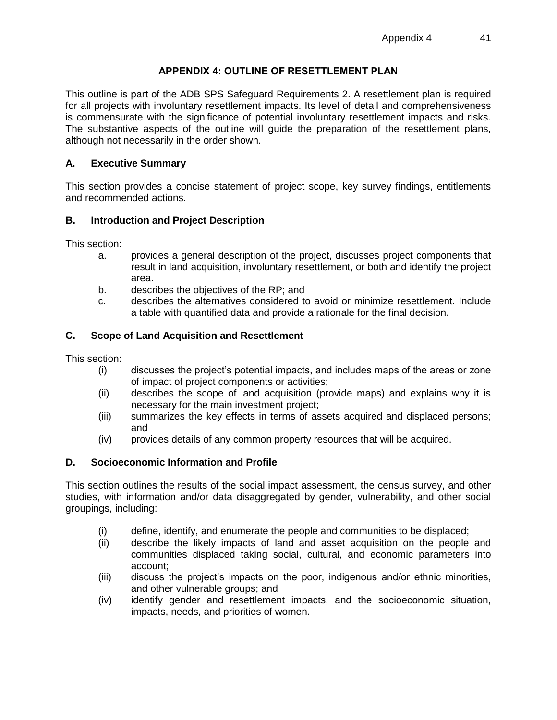## **APPENDIX 4: OUTLINE OF RESETTLEMENT PLAN**

<span id="page-43-0"></span>This outline is part of the ADB SPS Safeguard Requirements 2. A resettlement plan is required for all projects with involuntary resettlement impacts. Its level of detail and comprehensiveness is commensurate with the significance of potential involuntary resettlement impacts and risks. The substantive aspects of the outline will guide the preparation of the resettlement plans, although not necessarily in the order shown.

## **A. Executive Summary**

This section provides a concise statement of project scope, key survey findings, entitlements and recommended actions.

#### **B. Introduction and Project Description**

This section:

- a. provides a general description of the project, discusses project components that result in land acquisition, involuntary resettlement, or both and identify the project area.
- b. describes the objectives of the RP; and
- c. describes the alternatives considered to avoid or minimize resettlement. Include a table with quantified data and provide a rationale for the final decision.

## **C. Scope of Land Acquisition and Resettlement**

This section:

- (i) discusses the project's potential impacts, and includes maps of the areas or zone of impact of project components or activities;
- (ii) describes the scope of land acquisition (provide maps) and explains why it is necessary for the main investment project;
- (iii) summarizes the key effects in terms of assets acquired and displaced persons; and
- (iv) provides details of any common property resources that will be acquired.

#### **D. Socioeconomic Information and Profile**

This section outlines the results of the social impact assessment, the census survey, and other studies, with information and/or data disaggregated by gender, vulnerability, and other social groupings, including:

- (i) define, identify, and enumerate the people and communities to be displaced;
- (ii) describe the likely impacts of land and asset acquisition on the people and communities displaced taking social, cultural, and economic parameters into account;
- (iii) discuss the project's impacts on the poor, indigenous and/or ethnic minorities, and other vulnerable groups; and
- (iv) identify gender and resettlement impacts, and the socioeconomic situation, impacts, needs, and priorities of women.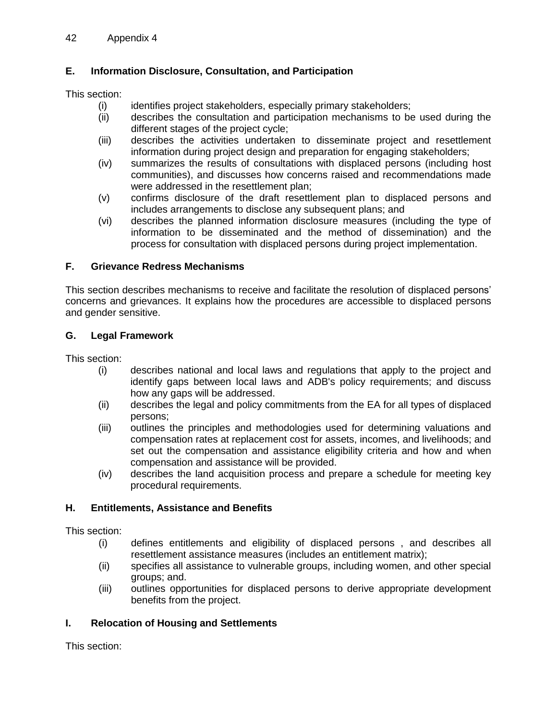# **E. Information Disclosure, Consultation, and Participation**

This section:

- (i) identifies project stakeholders, especially primary stakeholders;
- (ii) describes the consultation and participation mechanisms to be used during the different stages of the project cycle;
- (iii) describes the activities undertaken to disseminate project and resettlement information during project design and preparation for engaging stakeholders;
- (iv) summarizes the results of consultations with displaced persons (including host communities), and discusses how concerns raised and recommendations made were addressed in the resettlement plan;
- (v) confirms disclosure of the draft resettlement plan to displaced persons and includes arrangements to disclose any subsequent plans; and
- (vi) describes the planned information disclosure measures (including the type of information to be disseminated and the method of dissemination) and the process for consultation with displaced persons during project implementation.

# **F. Grievance Redress Mechanisms**

This section describes mechanisms to receive and facilitate the resolution of displaced persons' concerns and grievances. It explains how the procedures are accessible to displaced persons and gender sensitive.

# **G. Legal Framework**

This section:

- (i) describes national and local laws and regulations that apply to the project and identify gaps between local laws and ADB's policy requirements; and discuss how any gaps will be addressed.
- (ii) describes the legal and policy commitments from the EA for all types of displaced persons;
- (iii) outlines the principles and methodologies used for determining valuations and compensation rates at replacement cost for assets, incomes, and livelihoods; and set out the compensation and assistance eligibility criteria and how and when compensation and assistance will be provided.
- (iv) describes the land acquisition process and prepare a schedule for meeting key procedural requirements.

# **H. Entitlements, Assistance and Benefits**

This section:

- (i) defines entitlements and eligibility of displaced persons , and describes all resettlement assistance measures (includes an entitlement matrix);
- (ii) specifies all assistance to vulnerable groups, including women, and other special groups; and.
- (iii) outlines opportunities for displaced persons to derive appropriate development benefits from the project.

# **I. Relocation of Housing and Settlements**

This section: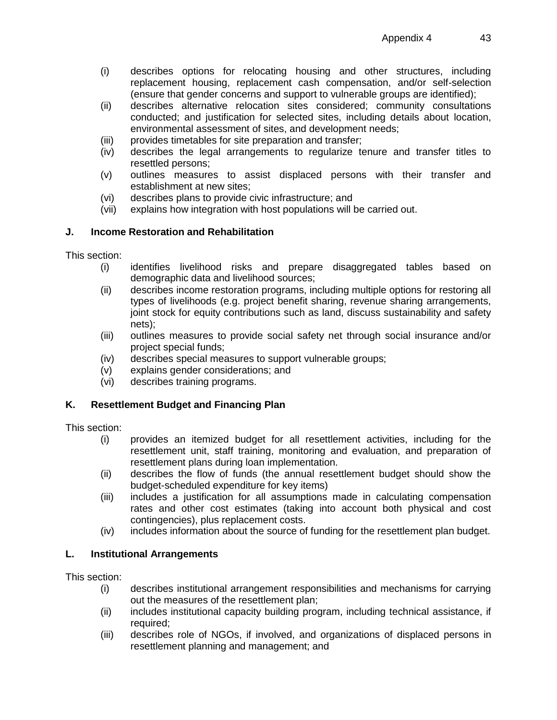- (i) describes options for relocating housing and other structures, including replacement housing, replacement cash compensation, and/or self-selection (ensure that gender concerns and support to vulnerable groups are identified);
- (ii) describes alternative relocation sites considered; community consultations conducted; and justification for selected sites, including details about location, environmental assessment of sites, and development needs;
- (iii) provides timetables for site preparation and transfer;
- (iv) describes the legal arrangements to regularize tenure and transfer titles to resettled persons;
- (v) outlines measures to assist displaced persons with their transfer and establishment at new sites;
- (vi) describes plans to provide civic infrastructure; and
- (vii) explains how integration with host populations will be carried out.

## **J. Income Restoration and Rehabilitation**

This section:

- (i) identifies livelihood risks and prepare disaggregated tables based on demographic data and livelihood sources;
- (ii) describes income restoration programs, including multiple options for restoring all types of livelihoods (e.g. project benefit sharing, revenue sharing arrangements, joint stock for equity contributions such as land, discuss sustainability and safety nets);
- (iii) outlines measures to provide social safety net through social insurance and/or project special funds;
- (iv) describes special measures to support vulnerable groups;
- (v) explains gender considerations; and
- (vi) describes training programs.

#### **K. Resettlement Budget and Financing Plan**

This section:

- (i) provides an itemized budget for all resettlement activities, including for the resettlement unit, staff training, monitoring and evaluation, and preparation of resettlement plans during loan implementation.
- (ii) describes the flow of funds (the annual resettlement budget should show the budget-scheduled expenditure for key items)
- (iii) includes a justification for all assumptions made in calculating compensation rates and other cost estimates (taking into account both physical and cost contingencies), plus replacement costs.
- (iv) includes information about the source of funding for the resettlement plan budget.

#### **L. Institutional Arrangements**

This section:

- (i) describes institutional arrangement responsibilities and mechanisms for carrying out the measures of the resettlement plan;
- (ii) includes institutional capacity building program, including technical assistance, if required:
- (iii) describes role of NGOs, if involved, and organizations of displaced persons in resettlement planning and management; and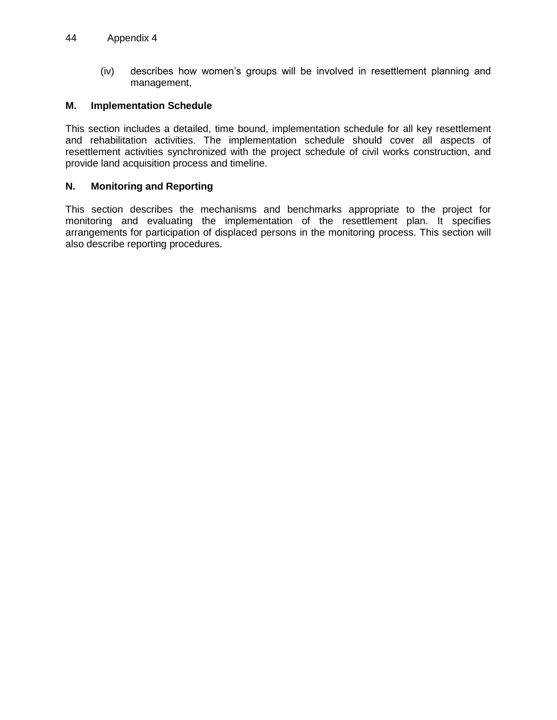(iv) describes how women's groups will be involved in resettlement planning and management,

#### **M. Implementation Schedule**

This section includes a detailed, time bound, implementation schedule for all key resettlement and rehabilitation activities. The implementation schedule should cover all aspects of resettlement activities synchronized with the project schedule of civil works construction, and provide land acquisition process and timeline.

#### **N. Monitoring and Reporting**

This section describes the mechanisms and benchmarks appropriate to the project for monitoring and evaluating the implementation of the resettlement plan. It specifies arrangements for participation of displaced persons in the monitoring process. This section will also describe reporting procedures.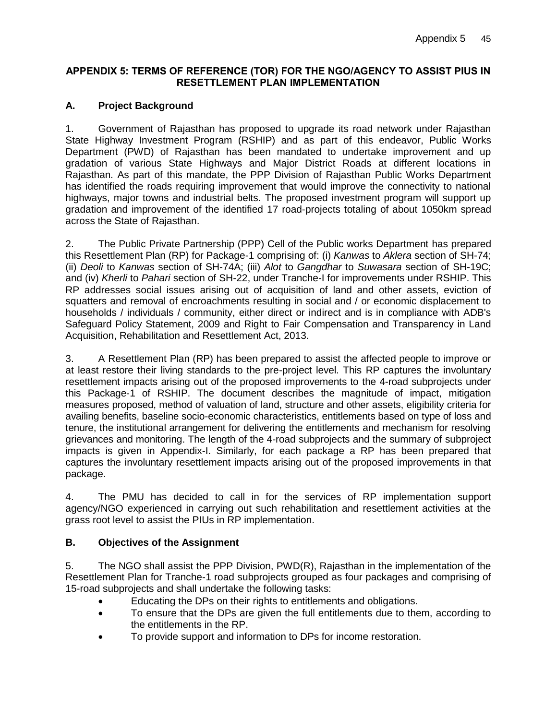#### <span id="page-47-0"></span>**APPENDIX 5: TERMS OF REFERENCE (TOR) FOR THE NGO/AGENCY TO ASSIST PIUS IN RESETTLEMENT PLAN IMPLEMENTATION**

# **A. Project Background**

1. Government of Rajasthan has proposed to upgrade its road network under Rajasthan State Highway Investment Program (RSHIP) and as part of this endeavor, Public Works Department (PWD) of Rajasthan has been mandated to undertake improvement and up gradation of various State Highways and Major District Roads at different locations in Rajasthan. As part of this mandate, the PPP Division of Rajasthan Public Works Department has identified the roads requiring improvement that would improve the connectivity to national highways, major towns and industrial belts. The proposed investment program will support up gradation and improvement of the identified 17 road-projects totaling of about 1050km spread across the State of Rajasthan.

2. The Public Private Partnership (PPP) Cell of the Public works Department has prepared this Resettlement Plan (RP) for Package-1 comprising of: (i) *Kanwas* to *Aklera* section of SH-74; (ii) *Deoli* to *Kanwas* section of SH-74A; (iii) *Alot* to *Gangdhar* to *Suwasara* section of SH-19C; and (iv) *Kherli* to *Pahari* section of SH-22, under Tranche-I for improvements under RSHIP. This RP addresses social issues arising out of acquisition of land and other assets, eviction of squatters and removal of encroachments resulting in social and / or economic displacement to households / individuals / community, either direct or indirect and is in compliance with ADB's Safeguard Policy Statement, 2009 and Right to Fair Compensation and Transparency in Land Acquisition, Rehabilitation and Resettlement Act, 2013.

3. A Resettlement Plan (RP) has been prepared to assist the affected people to improve or at least restore their living standards to the pre-project level. This RP captures the involuntary resettlement impacts arising out of the proposed improvements to the 4-road subprojects under this Package-1 of RSHIP. The document describes the magnitude of impact, mitigation measures proposed, method of valuation of land, structure and other assets, eligibility criteria for availing benefits, baseline socio-economic characteristics, entitlements based on type of loss and tenure, the institutional arrangement for delivering the entitlements and mechanism for resolving grievances and monitoring. The length of the 4-road subprojects and the summary of subproject impacts is given in Appendix-I. Similarly, for each package a RP has been prepared that captures the involuntary resettlement impacts arising out of the proposed improvements in that package.

4. The PMU has decided to call in for the services of RP implementation support agency/NGO experienced in carrying out such rehabilitation and resettlement activities at the grass root level to assist the PIUs in RP implementation.

# **B. Objectives of the Assignment**

5. The NGO shall assist the PPP Division, PWD(R), Rajasthan in the implementation of the Resettlement Plan for Tranche-1 road subprojects grouped as four packages and comprising of 15-road subprojects and shall undertake the following tasks:

- Educating the DPs on their rights to entitlements and obligations.
- To ensure that the DPs are given the full entitlements due to them, according to the entitlements in the RP.
- To provide support and information to DPs for income restoration.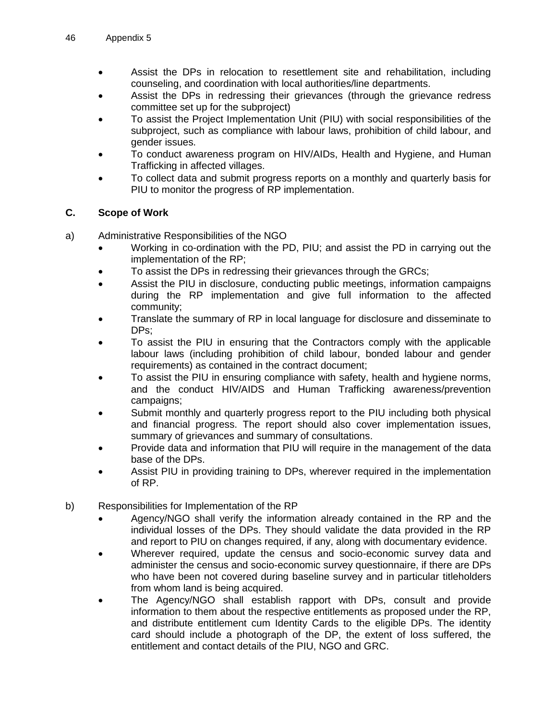- Assist the DPs in relocation to resettlement site and rehabilitation, including counseling, and coordination with local authorities/line departments.
- Assist the DPs in redressing their grievances (through the grievance redress committee set up for the subproject)
- To assist the Project Implementation Unit (PIU) with social responsibilities of the subproject, such as compliance with labour laws, prohibition of child labour, and gender issues.
- To conduct awareness program on HIV/AIDs, Health and Hygiene, and Human Trafficking in affected villages.
- To collect data and submit progress reports on a monthly and quarterly basis for PIU to monitor the progress of RP implementation.

## **C. Scope of Work**

- a) Administrative Responsibilities of the NGO
	- Working in co-ordination with the PD, PIU; and assist the PD in carrying out the implementation of the RP;
	- To assist the DPs in redressing their grievances through the GRCs;
	- Assist the PIU in disclosure, conducting public meetings, information campaigns during the RP implementation and give full information to the affected community;
	- Translate the summary of RP in local language for disclosure and disseminate to DPs;
	- To assist the PIU in ensuring that the Contractors comply with the applicable labour laws (including prohibition of child labour, bonded labour and gender requirements) as contained in the contract document;
	- To assist the PIU in ensuring compliance with safety, health and hygiene norms, and the conduct HIV/AIDS and Human Trafficking awareness/prevention campaigns;
	- Submit monthly and quarterly progress report to the PIU including both physical and financial progress. The report should also cover implementation issues, summary of grievances and summary of consultations.
	- Provide data and information that PIU will require in the management of the data base of the DPs.
	- Assist PIU in providing training to DPs, wherever required in the implementation of RP.
- b) Responsibilities for Implementation of the RP
	- Agency/NGO shall verify the information already contained in the RP and the individual losses of the DPs. They should validate the data provided in the RP and report to PIU on changes required, if any, along with documentary evidence.
	- Wherever required, update the census and socio-economic survey data and administer the census and socio-economic survey questionnaire, if there are DPs who have been not covered during baseline survey and in particular titleholders from whom land is being acquired.
	- The Agency/NGO shall establish rapport with DPs, consult and provide information to them about the respective entitlements as proposed under the RP, and distribute entitlement cum Identity Cards to the eligible DPs. The identity card should include a photograph of the DP, the extent of loss suffered, the entitlement and contact details of the PIU, NGO and GRC.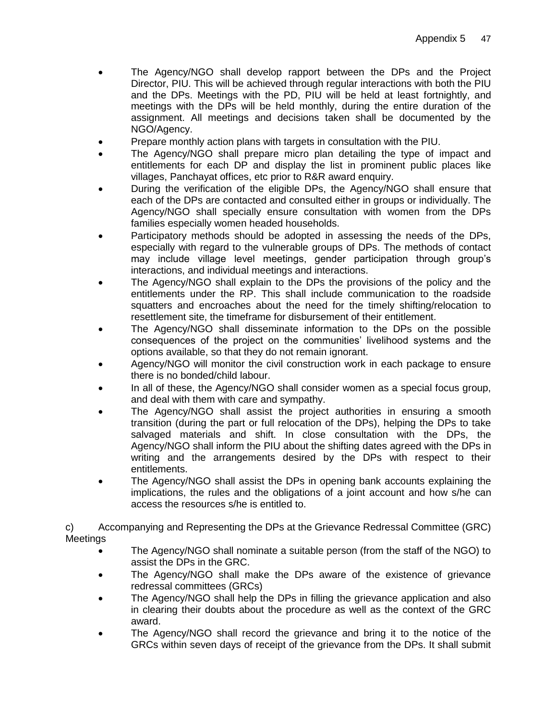- The Agency/NGO shall develop rapport between the DPs and the Project Director, PIU. This will be achieved through regular interactions with both the PIU and the DPs. Meetings with the PD, PIU will be held at least fortnightly, and meetings with the DPs will be held monthly, during the entire duration of the assignment. All meetings and decisions taken shall be documented by the NGO/Agency.
- Prepare monthly action plans with targets in consultation with the PIU.
- The Agency/NGO shall prepare micro plan detailing the type of impact and entitlements for each DP and display the list in prominent public places like villages, Panchayat offices, etc prior to R&R award enquiry.
- During the verification of the eligible DPs, the Agency/NGO shall ensure that each of the DPs are contacted and consulted either in groups or individually. The Agency/NGO shall specially ensure consultation with women from the DPs families especially women headed households.
- Participatory methods should be adopted in assessing the needs of the DPs, especially with regard to the vulnerable groups of DPs. The methods of contact may include village level meetings, gender participation through group's interactions, and individual meetings and interactions.
- The Agency/NGO shall explain to the DPs the provisions of the policy and the entitlements under the RP. This shall include communication to the roadside squatters and encroaches about the need for the timely shifting/relocation to resettlement site, the timeframe for disbursement of their entitlement.
- The Agency/NGO shall disseminate information to the DPs on the possible consequences of the project on the communities' livelihood systems and the options available, so that they do not remain ignorant.
- Agency/NGO will monitor the civil construction work in each package to ensure there is no bonded/child labour.
- In all of these, the Agency/NGO shall consider women as a special focus group, and deal with them with care and sympathy.
- The Agency/NGO shall assist the project authorities in ensuring a smooth transition (during the part or full relocation of the DPs), helping the DPs to take salvaged materials and shift. In close consultation with the DPs, the Agency/NGO shall inform the PIU about the shifting dates agreed with the DPs in writing and the arrangements desired by the DPs with respect to their entitlements.
- The Agency/NGO shall assist the DPs in opening bank accounts explaining the implications, the rules and the obligations of a joint account and how s/he can access the resources s/he is entitled to.

c) Accompanying and Representing the DPs at the Grievance Redressal Committee (GRC) Meetings

- The Agency/NGO shall nominate a suitable person (from the staff of the NGO) to assist the DPs in the GRC.
- The Agency/NGO shall make the DPs aware of the existence of grievance redressal committees (GRCs)
- The Agency/NGO shall help the DPs in filling the grievance application and also in clearing their doubts about the procedure as well as the context of the GRC award.
- The Agency/NGO shall record the grievance and bring it to the notice of the GRCs within seven days of receipt of the grievance from the DPs. It shall submit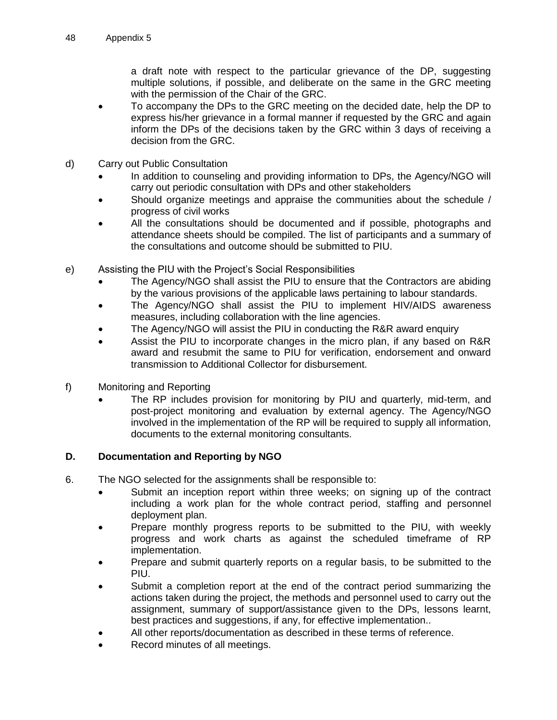a draft note with respect to the particular grievance of the DP, suggesting multiple solutions, if possible, and deliberate on the same in the GRC meeting with the permission of the Chair of the GRC.

- To accompany the DPs to the GRC meeting on the decided date, help the DP to express his/her grievance in a formal manner if requested by the GRC and again inform the DPs of the decisions taken by the GRC within 3 days of receiving a decision from the GRC.
- d) Carry out Public Consultation
	- In addition to counseling and providing information to DPs, the Agency/NGO will carry out periodic consultation with DPs and other stakeholders
	- Should organize meetings and appraise the communities about the schedule / progress of civil works
	- All the consultations should be documented and if possible, photographs and attendance sheets should be compiled. The list of participants and a summary of the consultations and outcome should be submitted to PIU.
- e) Assisting the PIU with the Project's Social Responsibilities
	- The Agency/NGO shall assist the PIU to ensure that the Contractors are abiding by the various provisions of the applicable laws pertaining to labour standards.
	- The Agency/NGO shall assist the PIU to implement HIV/AIDS awareness measures, including collaboration with the line agencies.
	- The Agency/NGO will assist the PIU in conducting the R&R award enquiry
	- Assist the PIU to incorporate changes in the micro plan, if any based on R&R award and resubmit the same to PIU for verification, endorsement and onward transmission to Additional Collector for disbursement.
- f) Monitoring and Reporting
	- The RP includes provision for monitoring by PIU and quarterly, mid-term, and post-project monitoring and evaluation by external agency. The Agency/NGO involved in the implementation of the RP will be required to supply all information, documents to the external monitoring consultants.

# **D. Documentation and Reporting by NGO**

- 6. The NGO selected for the assignments shall be responsible to:
	- Submit an inception report within three weeks; on signing up of the contract including a work plan for the whole contract period, staffing and personnel deployment plan.
	- Prepare monthly progress reports to be submitted to the PIU, with weekly progress and work charts as against the scheduled timeframe of RP implementation.
	- Prepare and submit quarterly reports on a regular basis, to be submitted to the PIU.
	- Submit a completion report at the end of the contract period summarizing the actions taken during the project, the methods and personnel used to carry out the assignment, summary of support/assistance given to the DPs, lessons learnt, best practices and suggestions, if any, for effective implementation..
	- All other reports/documentation as described in these terms of reference.
	- Record minutes of all meetings.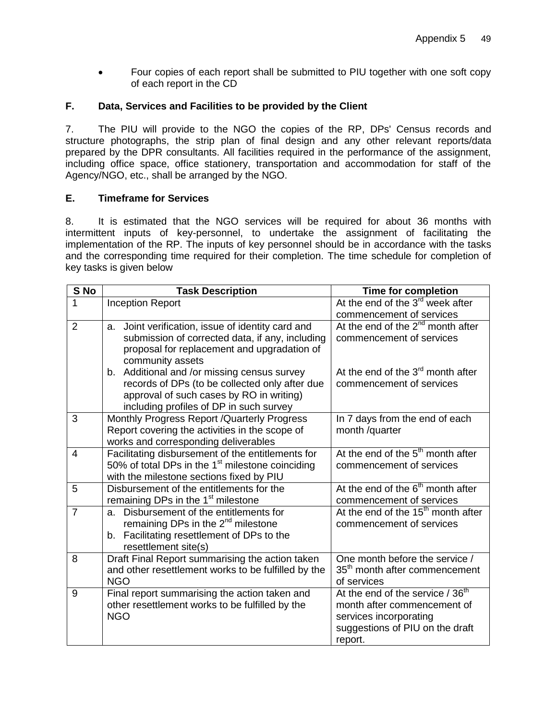• Four copies of each report shall be submitted to PIU together with one soft copy of each report in the CD

## **F. Data, Services and Facilities to be provided by the Client**

7. The PIU will provide to the NGO the copies of the RP, DPs' Census records and structure photographs, the strip plan of final design and any other relevant reports/data prepared by the DPR consultants. All facilities required in the performance of the assignment, including office space, office stationery, transportation and accommodation for staff of the Agency/NGO, etc., shall be arranged by the NGO.

#### **E. Timeframe for Services**

8. It is estimated that the NGO services will be required for about 36 months with intermittent inputs of key-personnel, to undertake the assignment of facilitating the implementation of the RP. The inputs of key personnel should be in accordance with the tasks and the corresponding time required for their completion. The time schedule for completion of key tasks is given below

| S No           | <b>Task Description</b>                             | <b>Time for completion</b>                     |
|----------------|-----------------------------------------------------|------------------------------------------------|
| 1              | <b>Inception Report</b>                             | At the end of the 3 <sup>rd</sup> week after   |
|                |                                                     | commencement of services                       |
| $\overline{2}$ | a. Joint verification, issue of identity card and   | At the end of the $2^{nd}$ month after         |
|                | submission of corrected data, if any, including     | commencement of services                       |
|                | proposal for replacement and upgradation of         |                                                |
|                | community assets                                    |                                                |
|                | b. Additional and /or missing census survey         | At the end of the $3rd$ month after            |
|                | records of DPs (to be collected only after due      | commencement of services                       |
|                | approval of such cases by RO in writing)            |                                                |
|                | including profiles of DP in such survey             |                                                |
| 3              | Monthly Progress Report / Quarterly Progress        | In 7 days from the end of each                 |
|                | Report covering the activities in the scope of      | month /quarter                                 |
|                | works and corresponding deliverables                |                                                |
| $\overline{4}$ | Facilitating disbursement of the entitlements for   | At the end of the $5th$ month after            |
|                | 50% of total DPs in the $1st$ milestone coinciding  | commencement of services                       |
|                | with the milestone sections fixed by PIU            |                                                |
| 5              | Disbursement of the entitlements for the            | At the end of the 6 <sup>th</sup> month after  |
|                | remaining DPs in the 1 <sup>st</sup> milestone      | commencement of services                       |
| $\overline{7}$ | Disbursement of the entitlements for<br>a.          | At the end of the 15 <sup>th</sup> month after |
|                | remaining DPs in the $2^{nd}$ milestone             | commencement of services                       |
|                | b. Facilitating resettlement of DPs to the          |                                                |
|                | resettlement site(s)                                |                                                |
| 8              | Draft Final Report summarising the action taken     | One month before the service /                 |
|                | and other resettlement works to be fulfilled by the | 35 <sup>th</sup> month after commencement      |
|                | <b>NGO</b>                                          | of services                                    |
| 9              | Final report summarising the action taken and       | At the end of the service / 36 <sup>th</sup>   |
|                | other resettlement works to be fulfilled by the     | month after commencement of                    |
|                | <b>NGO</b>                                          | services incorporating                         |
|                |                                                     | suggestions of PIU on the draft                |
|                |                                                     | report.                                        |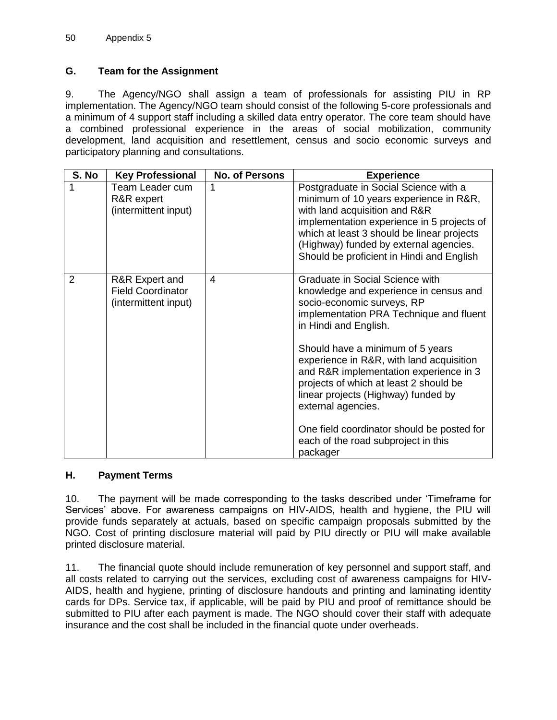## **G. Team for the Assignment**

9. The Agency/NGO shall assign a team of professionals for assisting PIU in RP implementation. The Agency/NGO team should consist of the following 5-core professionals and a minimum of 4 support staff including a skilled data entry operator. The core team should have a combined professional experience in the areas of social mobilization, community development, land acquisition and resettlement, census and socio economic surveys and participatory planning and consultations.

| S. No          | <b>Key Professional</b>                                            | <b>No. of Persons</b> | <b>Experience</b>                                                                                                                                                                                                                                                                                   |
|----------------|--------------------------------------------------------------------|-----------------------|-----------------------------------------------------------------------------------------------------------------------------------------------------------------------------------------------------------------------------------------------------------------------------------------------------|
| 1              | Team Leader cum<br>R&R expert<br>(intermittent input)              | 1                     | Postgraduate in Social Science with a<br>minimum of 10 years experience in R&R,<br>with land acquisition and R&R<br>implementation experience in 5 projects of<br>which at least 3 should be linear projects<br>(Highway) funded by external agencies.<br>Should be proficient in Hindi and English |
| $\overline{2}$ | R&R Expert and<br><b>Field Coordinator</b><br>(intermittent input) | 4                     | Graduate in Social Science with<br>knowledge and experience in census and<br>socio-economic surveys, RP<br>implementation PRA Technique and fluent<br>in Hindi and English.                                                                                                                         |
|                |                                                                    |                       | Should have a minimum of 5 years<br>experience in R&R, with land acquisition<br>and R&R implementation experience in 3<br>projects of which at least 2 should be<br>linear projects (Highway) funded by<br>external agencies.                                                                       |
|                |                                                                    |                       | One field coordinator should be posted for<br>each of the road subproject in this<br>packager                                                                                                                                                                                                       |

#### **H. Payment Terms**

10. The payment will be made corresponding to the tasks described under 'Timeframe for Services' above. For awareness campaigns on HIV-AIDS, health and hygiene, the PIU will provide funds separately at actuals, based on specific campaign proposals submitted by the NGO. Cost of printing disclosure material will paid by PIU directly or PIU will make available printed disclosure material.

11. The financial quote should include remuneration of key personnel and support staff, and all costs related to carrying out the services, excluding cost of awareness campaigns for HIV-AIDS, health and hygiene, printing of disclosure handouts and printing and laminating identity cards for DPs. Service tax, if applicable, will be paid by PIU and proof of remittance should be submitted to PIU after each payment is made. The NGO should cover their staff with adequate insurance and the cost shall be included in the financial quote under overheads.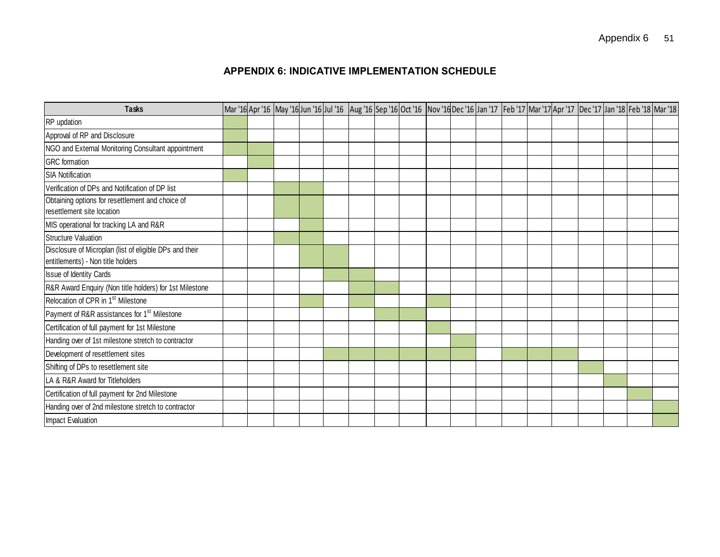# **APPENDIX 6: INDICATIVE IMPLEMENTATION SCHEDULE**

<span id="page-53-0"></span>

| <b>Tasks</b>                                                                                 |  |  |  |  |  |  | Mar '16 Apr '16  May '16 Jun '16 Jul '16  Aug '16 Sep '16 Oct '16  Nov '16 Dec '16 Jan '17  Feb '17 Mar '17 Apr '17  Dec '17 Jan '18 Feb '18 Mar '18 |  |  |
|----------------------------------------------------------------------------------------------|--|--|--|--|--|--|------------------------------------------------------------------------------------------------------------------------------------------------------|--|--|
| RP updation                                                                                  |  |  |  |  |  |  |                                                                                                                                                      |  |  |
| Approval of RP and Disclosure                                                                |  |  |  |  |  |  |                                                                                                                                                      |  |  |
| NGO and External Monitoring Consultant appointment                                           |  |  |  |  |  |  |                                                                                                                                                      |  |  |
| <b>GRC</b> formation                                                                         |  |  |  |  |  |  |                                                                                                                                                      |  |  |
| <b>SIA Notification</b>                                                                      |  |  |  |  |  |  |                                                                                                                                                      |  |  |
| Verification of DPs and Notification of DP list                                              |  |  |  |  |  |  |                                                                                                                                                      |  |  |
| Obtaining options for resettlement and choice of                                             |  |  |  |  |  |  |                                                                                                                                                      |  |  |
| resettlement site location                                                                   |  |  |  |  |  |  |                                                                                                                                                      |  |  |
| MIS operational for tracking LA and R&R                                                      |  |  |  |  |  |  |                                                                                                                                                      |  |  |
| <b>Structure Valuation</b>                                                                   |  |  |  |  |  |  |                                                                                                                                                      |  |  |
| Disclosure of Microplan (list of eligible DPs and their<br>entitlements) - Non title holders |  |  |  |  |  |  |                                                                                                                                                      |  |  |
| Issue of Identity Cards                                                                      |  |  |  |  |  |  |                                                                                                                                                      |  |  |
| R&R Award Enquiry (Non title holders) for 1st Milestone                                      |  |  |  |  |  |  |                                                                                                                                                      |  |  |
| Relocation of CPR in 1 <sup>st</sup> Milestone                                               |  |  |  |  |  |  |                                                                                                                                                      |  |  |
| Payment of R&R assistances for 1 <sup>st</sup> Milestone                                     |  |  |  |  |  |  |                                                                                                                                                      |  |  |
| Certification of full payment for 1st Milestone                                              |  |  |  |  |  |  |                                                                                                                                                      |  |  |
| Handing over of 1st milestone stretch to contractor                                          |  |  |  |  |  |  |                                                                                                                                                      |  |  |
| Development of resettlement sites                                                            |  |  |  |  |  |  |                                                                                                                                                      |  |  |
| Shifting of DPs to resettlement site                                                         |  |  |  |  |  |  |                                                                                                                                                      |  |  |
| LA & R&R Award for Titleholders                                                              |  |  |  |  |  |  |                                                                                                                                                      |  |  |
| Certification of full payment for 2nd Milestone                                              |  |  |  |  |  |  |                                                                                                                                                      |  |  |
| Handing over of 2nd milestone stretch to contractor                                          |  |  |  |  |  |  |                                                                                                                                                      |  |  |
| <b>Impact Evaluation</b>                                                                     |  |  |  |  |  |  |                                                                                                                                                      |  |  |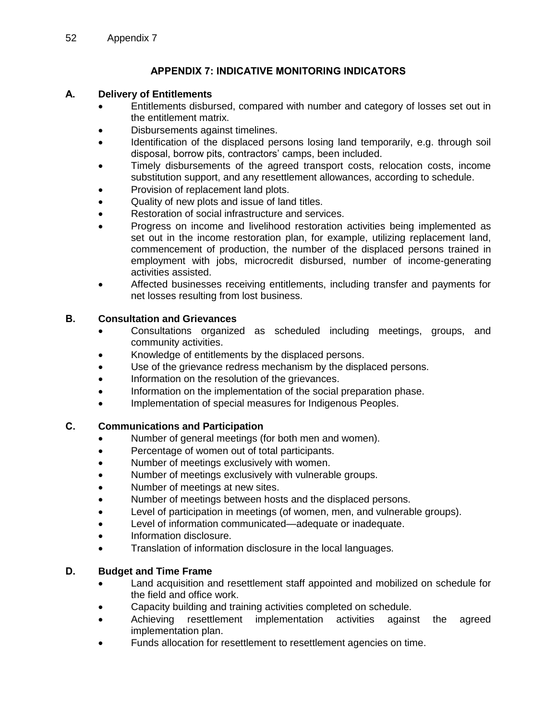# **APPENDIX 7: INDICATIVE MONITORING INDICATORS**

# <span id="page-54-0"></span>**A. Delivery of Entitlements**

- Entitlements disbursed, compared with number and category of losses set out in the entitlement matrix.
- Disbursements against timelines.
- Identification of the displaced persons losing land temporarily, e.g. through soil disposal, borrow pits, contractors' camps, been included.
- Timely disbursements of the agreed transport costs, relocation costs, income substitution support, and any resettlement allowances, according to schedule.
- Provision of replacement land plots.
- Quality of new plots and issue of land titles.
- Restoration of social infrastructure and services.
- Progress on income and livelihood restoration activities being implemented as set out in the income restoration plan, for example, utilizing replacement land, commencement of production, the number of the displaced persons trained in employment with jobs, microcredit disbursed, number of income-generating activities assisted.
- Affected businesses receiving entitlements, including transfer and payments for net losses resulting from lost business.

#### **B. Consultation and Grievances**

- Consultations organized as scheduled including meetings, groups, and community activities.
- Knowledge of entitlements by the displaced persons.
- Use of the grievance redress mechanism by the displaced persons.
- Information on the resolution of the grievances.
- Information on the implementation of the social preparation phase.
- Implementation of special measures for Indigenous Peoples.

#### **C. Communications and Participation**

- Number of general meetings (for both men and women).
- Percentage of women out of total participants.
- Number of meetings exclusively with women.
- Number of meetings exclusively with vulnerable groups.
- Number of meetings at new sites.
- Number of meetings between hosts and the displaced persons.
- Level of participation in meetings (of women, men, and vulnerable groups).
- Level of information communicated—adequate or inadequate.
- Information disclosure.
- Translation of information disclosure in the local languages.

#### **D. Budget and Time Frame**

- Land acquisition and resettlement staff appointed and mobilized on schedule for the field and office work.
- Capacity building and training activities completed on schedule.
- Achieving resettlement implementation activities against the agreed implementation plan.
- Funds allocation for resettlement to resettlement agencies on time.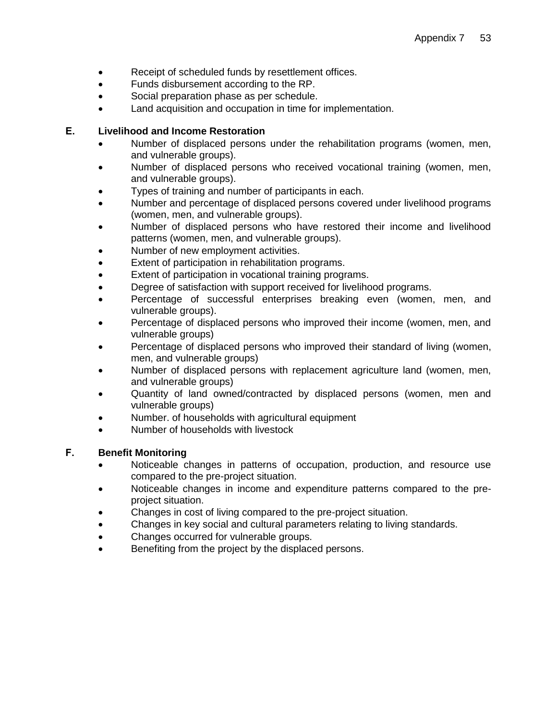- Receipt of scheduled funds by resettlement offices.
- Funds disbursement according to the RP.
- Social preparation phase as per schedule.
- Land acquisition and occupation in time for implementation.

#### **E. Livelihood and Income Restoration**

- Number of displaced persons under the rehabilitation programs (women, men, and vulnerable groups).
- Number of displaced persons who received vocational training (women, men, and vulnerable groups).
- Types of training and number of participants in each.
- Number and percentage of displaced persons covered under livelihood programs (women, men, and vulnerable groups).
- Number of displaced persons who have restored their income and livelihood patterns (women, men, and vulnerable groups).
- Number of new employment activities.
- Extent of participation in rehabilitation programs.
- Extent of participation in vocational training programs.
- Degree of satisfaction with support received for livelihood programs.
- Percentage of successful enterprises breaking even (women, men, and vulnerable groups).
- Percentage of displaced persons who improved their income (women, men, and vulnerable groups)
- Percentage of displaced persons who improved their standard of living (women, men, and vulnerable groups)
- Number of displaced persons with replacement agriculture land (women, men, and vulnerable groups)
- Quantity of land owned/contracted by displaced persons (women, men and vulnerable groups)
- Number. of households with agricultural equipment
- Number of households with livestock

#### **F. Benefit Monitoring**

- Noticeable changes in patterns of occupation, production, and resource use compared to the pre-project situation.
- Noticeable changes in income and expenditure patterns compared to the preproject situation.
- Changes in cost of living compared to the pre-project situation.
- Changes in key social and cultural parameters relating to living standards.
- Changes occurred for vulnerable groups.
- Benefiting from the project by the displaced persons.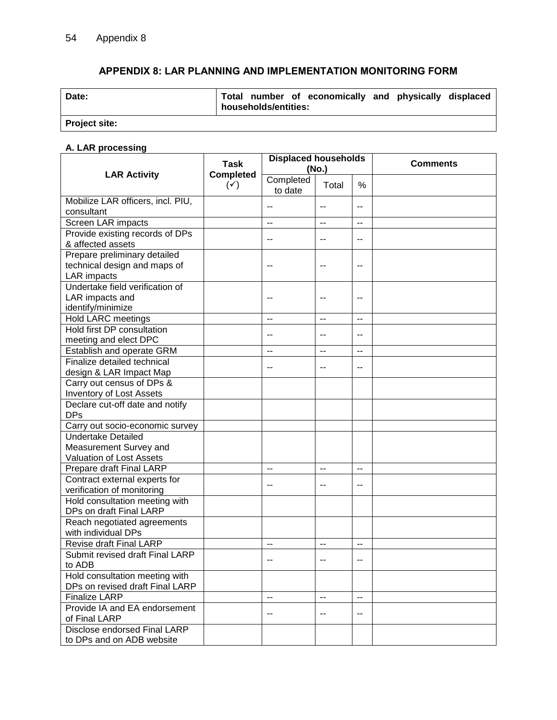# **APPENDIX 8: LAR PLANNING AND IMPLEMENTATION MONITORING FORM**

<span id="page-56-0"></span>

| Date:                | Total number of economically and physically displaced<br>households/entities: |
|----------------------|-------------------------------------------------------------------------------|
| <b>Project site:</b> |                                                                               |

# **A. LAR processing**

|                                                                                 | <b>Task</b>                        | <b>Displaced households</b> | (No.)                    |                          | <b>Comments</b> |  |  |
|---------------------------------------------------------------------------------|------------------------------------|-----------------------------|--------------------------|--------------------------|-----------------|--|--|
| <b>LAR Activity</b>                                                             | <b>Completed</b><br>$(\checkmark)$ | Completed<br>to date        | Total                    | %                        |                 |  |  |
| Mobilize LAR officers, incl. PIU,<br>consultant                                 |                                    | --                          | $-$                      | --                       |                 |  |  |
| Screen LAR impacts                                                              |                                    | $\overline{a}$              | $\overline{\phantom{a}}$ | $\overline{\phantom{a}}$ |                 |  |  |
| Provide existing records of DPs<br>& affected assets                            |                                    | $-$                         | $-$                      | $-$                      |                 |  |  |
| Prepare preliminary detailed<br>technical design and maps of<br>LAR impacts     |                                    | --                          | --                       | --                       |                 |  |  |
| Undertake field verification of<br>LAR impacts and<br>identify/minimize         |                                    | --                          |                          | --                       |                 |  |  |
| <b>Hold LARC meetings</b>                                                       |                                    | --                          | $-$                      | $\overline{\phantom{a}}$ |                 |  |  |
| Hold first DP consultation<br>meeting and elect DPC                             |                                    | --                          | --                       | --                       |                 |  |  |
| Establish and operate GRM                                                       |                                    | $-$                         | $\overline{a}$           | $\overline{a}$           |                 |  |  |
| Finalize detailed technical<br>design & LAR Impact Map                          |                                    | --                          | $\sim$                   | --                       |                 |  |  |
| Carry out census of DPs &<br><b>Inventory of Lost Assets</b>                    |                                    |                             |                          |                          |                 |  |  |
| Declare cut-off date and notify<br><b>DPs</b>                                   |                                    |                             |                          |                          |                 |  |  |
| Carry out socio-economic survey                                                 |                                    |                             |                          |                          |                 |  |  |
| <b>Undertake Detailed</b><br>Measurement Survey and<br>Valuation of Lost Assets |                                    |                             |                          |                          |                 |  |  |
| Prepare draft Final LARP                                                        |                                    | $\overline{\phantom{a}}$    | $\overline{\phantom{a}}$ | $\overline{a}$           |                 |  |  |
| Contract external experts for<br>verification of monitoring                     |                                    | --                          | --                       | --                       |                 |  |  |
| Hold consultation meeting with<br>DPs on draft Final LARP                       |                                    |                             |                          |                          |                 |  |  |
| Reach negotiated agreements<br>with individual DPs                              |                                    |                             |                          |                          |                 |  |  |
| <b>Revise draft Final LARP</b>                                                  |                                    | --                          | $\sim$ –                 | $-$                      |                 |  |  |
| Submit revised draft Final LARP<br>to ADB                                       |                                    | --                          | --                       | $-$                      |                 |  |  |
| Hold consultation meeting with<br>DPs on revised draft Final LARP               |                                    |                             |                          |                          |                 |  |  |
| <b>Finalize LARP</b>                                                            |                                    | --                          | $\overline{\phantom{a}}$ | $\overline{a}$           |                 |  |  |
| Provide IA and EA endorsement<br>of Final LARP                                  |                                    |                             | $-$                      | $-$                      |                 |  |  |
| Disclose endorsed Final LARP<br>to DPs and on ADB website                       |                                    |                             |                          |                          |                 |  |  |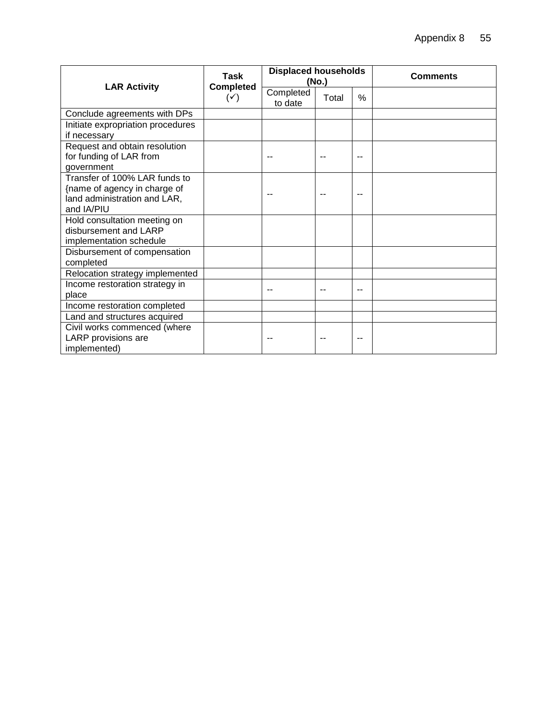|                                                                                                             | Task                               | <b>Displaced households</b> | (No.) |               | Comments |
|-------------------------------------------------------------------------------------------------------------|------------------------------------|-----------------------------|-------|---------------|----------|
| <b>LAR Activity</b>                                                                                         | <b>Completed</b><br>$(\checkmark)$ | Completed<br>to date        | Total | $\frac{0}{0}$ |          |
| Conclude agreements with DPs                                                                                |                                    |                             |       |               |          |
| Initiate expropriation procedures<br>if necessary                                                           |                                    |                             |       |               |          |
| Request and obtain resolution<br>for funding of LAR from<br>government                                      |                                    |                             |       |               |          |
| Transfer of 100% LAR funds to<br>{name of agency in charge of<br>land administration and LAR,<br>and IA/PIU |                                    |                             |       | --            |          |
| Hold consultation meeting on<br>disbursement and LARP<br>implementation schedule                            |                                    |                             |       |               |          |
| Disbursement of compensation<br>completed                                                                   |                                    |                             |       |               |          |
| Relocation strategy implemented                                                                             |                                    |                             |       |               |          |
| Income restoration strategy in<br>place                                                                     |                                    |                             |       | --            |          |
| Income restoration completed                                                                                |                                    |                             |       |               |          |
| Land and structures acquired                                                                                |                                    |                             |       |               |          |
| Civil works commenced (where<br>LARP provisions are<br>implemented)                                         |                                    |                             |       |               |          |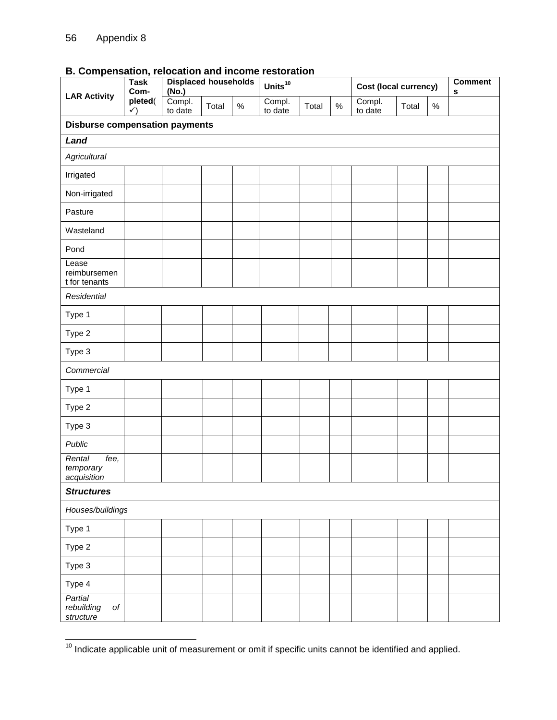|                                                 | <b>Displaced households</b><br><b>Task</b><br>Com-<br>(No.)<br><b>LAR Activity</b> |                   |       |      |                   |       |      | Cost (local currency) | <b>Comment</b><br>s |      |  |  |  |
|-------------------------------------------------|------------------------------------------------------------------------------------|-------------------|-------|------|-------------------|-------|------|-----------------------|---------------------|------|--|--|--|
|                                                 | pleted(<br>$\checkmark$                                                            | Compl.<br>to date | Total | $\%$ | Compl.<br>to date | Total | $\%$ | Compl.<br>to date     | Total               | $\%$ |  |  |  |
|                                                 | <b>Disburse compensation payments</b>                                              |                   |       |      |                   |       |      |                       |                     |      |  |  |  |
| Land                                            |                                                                                    |                   |       |      |                   |       |      |                       |                     |      |  |  |  |
| Agricultural                                    |                                                                                    |                   |       |      |                   |       |      |                       |                     |      |  |  |  |
| Irrigated                                       |                                                                                    |                   |       |      |                   |       |      |                       |                     |      |  |  |  |
| Non-irrigated                                   |                                                                                    |                   |       |      |                   |       |      |                       |                     |      |  |  |  |
| Pasture                                         |                                                                                    |                   |       |      |                   |       |      |                       |                     |      |  |  |  |
| Wasteland                                       |                                                                                    |                   |       |      |                   |       |      |                       |                     |      |  |  |  |
| Pond                                            |                                                                                    |                   |       |      |                   |       |      |                       |                     |      |  |  |  |
| Lease<br>reimbursemen<br>t for tenants          |                                                                                    |                   |       |      |                   |       |      |                       |                     |      |  |  |  |
| Residential                                     |                                                                                    |                   |       |      |                   |       |      |                       |                     |      |  |  |  |
| Type 1                                          |                                                                                    |                   |       |      |                   |       |      |                       |                     |      |  |  |  |
| Type 2                                          |                                                                                    |                   |       |      |                   |       |      |                       |                     |      |  |  |  |
| Type 3                                          |                                                                                    |                   |       |      |                   |       |      |                       |                     |      |  |  |  |
| Commercial                                      |                                                                                    |                   |       |      |                   |       |      |                       |                     |      |  |  |  |
| Type 1                                          |                                                                                    |                   |       |      |                   |       |      |                       |                     |      |  |  |  |
| Type 2                                          |                                                                                    |                   |       |      |                   |       |      |                       |                     |      |  |  |  |
| Type 3                                          |                                                                                    |                   |       |      |                   |       |      |                       |                     |      |  |  |  |
| Public                                          |                                                                                    |                   |       |      |                   |       |      |                       |                     |      |  |  |  |
| $fee$ ,<br>Rental<br>temporary<br>acquisition   |                                                                                    |                   |       |      |                   |       |      |                       |                     |      |  |  |  |
| <b>Structures</b>                               |                                                                                    |                   |       |      |                   |       |      |                       |                     |      |  |  |  |
| Houses/buildings                                |                                                                                    |                   |       |      |                   |       |      |                       |                     |      |  |  |  |
| Type 1                                          |                                                                                    |                   |       |      |                   |       |      |                       |                     |      |  |  |  |
| Type 2                                          |                                                                                    |                   |       |      |                   |       |      |                       |                     |      |  |  |  |
| Type 3                                          |                                                                                    |                   |       |      |                   |       |      |                       |                     |      |  |  |  |
| Type 4                                          |                                                                                    |                   |       |      |                   |       |      |                       |                     |      |  |  |  |
| Partial<br>rebuilding<br>$\it{of}$<br>structure |                                                                                    |                   |       |      |                   |       |      |                       |                     |      |  |  |  |

# **B. Compensation, relocation and income restoration**

  $10$  Indicate applicable unit of measurement or omit if specific units cannot be identified and applied.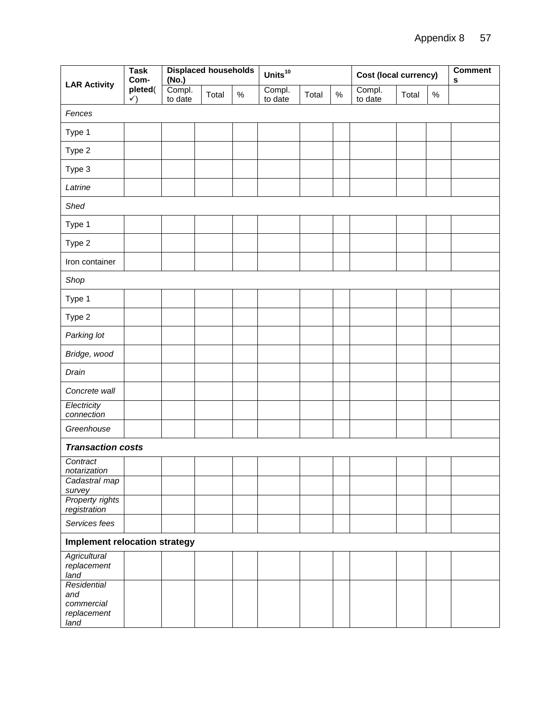| <b>LAR Activity</b>                                     | <b>Task</b><br>Com-     | <b>Displaced households</b><br>(No.) |       |      | Units $^{10}$     |       |      | Cost (local currency) | <b>Comment</b><br>s |      |  |
|---------------------------------------------------------|-------------------------|--------------------------------------|-------|------|-------------------|-------|------|-----------------------|---------------------|------|--|
|                                                         | pleted(<br>$\checkmark$ | Compl.<br>to date                    | Total | $\%$ | Compl.<br>to date | Total | $\%$ | Compl.<br>to date     | Total               | $\%$ |  |
| Fences                                                  |                         |                                      |       |      |                   |       |      |                       |                     |      |  |
| Type 1                                                  |                         |                                      |       |      |                   |       |      |                       |                     |      |  |
| Type 2                                                  |                         |                                      |       |      |                   |       |      |                       |                     |      |  |
| Type 3                                                  |                         |                                      |       |      |                   |       |      |                       |                     |      |  |
| Latrine                                                 |                         |                                      |       |      |                   |       |      |                       |                     |      |  |
| Shed                                                    |                         |                                      |       |      |                   |       |      |                       |                     |      |  |
| Type 1                                                  |                         |                                      |       |      |                   |       |      |                       |                     |      |  |
| Type 2                                                  |                         |                                      |       |      |                   |       |      |                       |                     |      |  |
| Iron container                                          |                         |                                      |       |      |                   |       |      |                       |                     |      |  |
| Shop                                                    |                         |                                      |       |      |                   |       |      |                       |                     |      |  |
| Type 1                                                  |                         |                                      |       |      |                   |       |      |                       |                     |      |  |
| Type 2                                                  |                         |                                      |       |      |                   |       |      |                       |                     |      |  |
| Parking lot                                             |                         |                                      |       |      |                   |       |      |                       |                     |      |  |
| Bridge, wood                                            |                         |                                      |       |      |                   |       |      |                       |                     |      |  |
| Drain                                                   |                         |                                      |       |      |                   |       |      |                       |                     |      |  |
| Concrete wall                                           |                         |                                      |       |      |                   |       |      |                       |                     |      |  |
| Electricity<br>connection                               |                         |                                      |       |      |                   |       |      |                       |                     |      |  |
| Greenhouse                                              |                         |                                      |       |      |                   |       |      |                       |                     |      |  |
| <b>Transaction costs</b>                                |                         |                                      |       |      |                   |       |      |                       |                     |      |  |
| Contract<br>notarization                                |                         |                                      |       |      |                   |       |      |                       |                     |      |  |
| Cadastral map<br>survey                                 |                         |                                      |       |      |                   |       |      |                       |                     |      |  |
| Property rights<br>registration                         |                         |                                      |       |      |                   |       |      |                       |                     |      |  |
| Services fees                                           |                         |                                      |       |      |                   |       |      |                       |                     |      |  |
| <b>Implement relocation strategy</b>                    |                         |                                      |       |      |                   |       |      |                       |                     |      |  |
| <b>Agricultural</b><br>replacement<br>land              |                         |                                      |       |      |                   |       |      |                       |                     |      |  |
| Residential<br>and<br>commercial<br>replacement<br>land |                         |                                      |       |      |                   |       |      |                       |                     |      |  |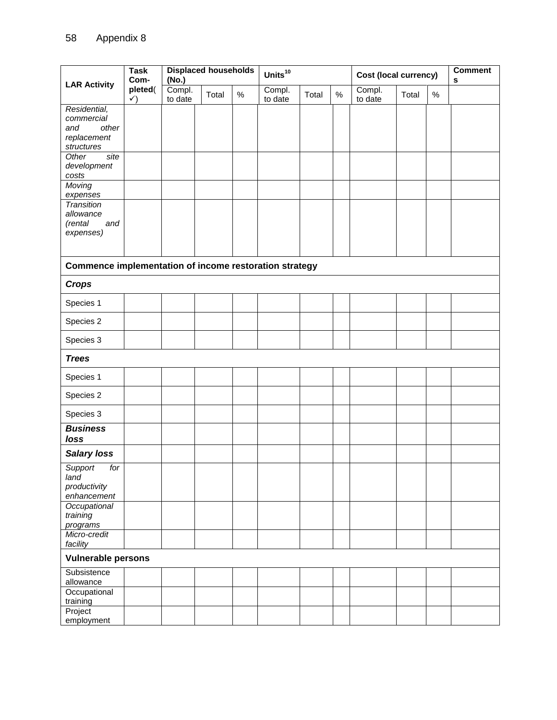|                                                                         | <b>Displaced households</b><br><b>Task</b><br>Com-<br>(No.)<br><b>LAR Activity</b> |                   |       |      |                   |       |      | Cost (local currency) | <b>Comment</b><br>s |      |  |
|-------------------------------------------------------------------------|------------------------------------------------------------------------------------|-------------------|-------|------|-------------------|-------|------|-----------------------|---------------------|------|--|
|                                                                         | pleted(<br>$\checkmark$                                                            | Compl.<br>to date | Total | $\%$ | Compl.<br>to date | Total | $\%$ | Compl.<br>to date     | Total               | $\%$ |  |
| Residential,<br>commercial<br>and<br>other<br>replacement<br>structures |                                                                                    |                   |       |      |                   |       |      |                       |                     |      |  |
| Other<br>site<br>development<br>costs                                   |                                                                                    |                   |       |      |                   |       |      |                       |                     |      |  |
| Moving<br>expenses                                                      |                                                                                    |                   |       |      |                   |       |      |                       |                     |      |  |
| <b>Transition</b><br>allowance<br>(rental<br>and<br>expenses)           |                                                                                    |                   |       |      |                   |       |      |                       |                     |      |  |
| Commence implementation of income restoration strategy                  |                                                                                    |                   |       |      |                   |       |      |                       |                     |      |  |
| <b>Crops</b>                                                            |                                                                                    |                   |       |      |                   |       |      |                       |                     |      |  |
| Species 1                                                               |                                                                                    |                   |       |      |                   |       |      |                       |                     |      |  |
| Species 2                                                               |                                                                                    |                   |       |      |                   |       |      |                       |                     |      |  |
| Species 3                                                               |                                                                                    |                   |       |      |                   |       |      |                       |                     |      |  |
| <b>Trees</b>                                                            |                                                                                    |                   |       |      |                   |       |      |                       |                     |      |  |
| Species 1                                                               |                                                                                    |                   |       |      |                   |       |      |                       |                     |      |  |
| Species 2                                                               |                                                                                    |                   |       |      |                   |       |      |                       |                     |      |  |
| Species 3                                                               |                                                                                    |                   |       |      |                   |       |      |                       |                     |      |  |
| <b>Business</b><br>loss                                                 |                                                                                    |                   |       |      |                   |       |      |                       |                     |      |  |
| <b>Salary loss</b>                                                      |                                                                                    |                   |       |      |                   |       |      |                       |                     |      |  |
| Support<br>for<br>land<br>productivity<br>enhancement                   |                                                                                    |                   |       |      |                   |       |      |                       |                     |      |  |
| Occupational<br>training<br>programs                                    |                                                                                    |                   |       |      |                   |       |      |                       |                     |      |  |
| Micro-credit<br>facility                                                |                                                                                    |                   |       |      |                   |       |      |                       |                     |      |  |
| <b>Vulnerable persons</b>                                               |                                                                                    |                   |       |      |                   |       |      |                       |                     |      |  |
| Subsistence<br>allowance                                                |                                                                                    |                   |       |      |                   |       |      |                       |                     |      |  |
| Occupational<br>training                                                |                                                                                    |                   |       |      |                   |       |      |                       |                     |      |  |
| Project<br>employment                                                   |                                                                                    |                   |       |      |                   |       |      |                       |                     |      |  |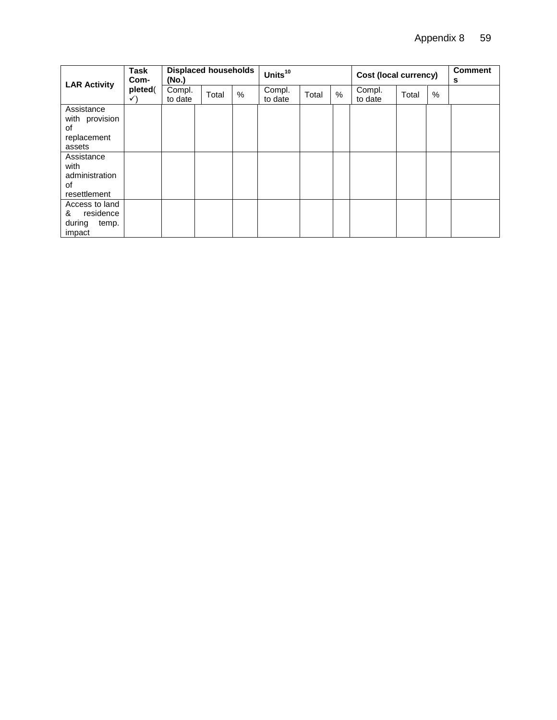| <b>LAR Activity</b>                                           | <b>Task</b><br>Com-     | (No.)             | <b>Displaced households</b> |   | Units <sup>10</sup> |       |   | <b>Cost (local currency)</b> |       |   | <b>Comment</b><br>s |
|---------------------------------------------------------------|-------------------------|-------------------|-----------------------------|---|---------------------|-------|---|------------------------------|-------|---|---------------------|
|                                                               | pleted(<br>$\checkmark$ | Compl.<br>to date | Total                       | % | Compl.<br>to date   | Total | % | Compl.<br>to date            | Total | % |                     |
| Assistance<br>with provision<br>0f<br>replacement<br>assets   |                         |                   |                             |   |                     |       |   |                              |       |   |                     |
| Assistance<br>with<br>administration<br>οf<br>resettlement    |                         |                   |                             |   |                     |       |   |                              |       |   |                     |
| Access to land<br>residence<br>&<br>during<br>temp.<br>impact |                         |                   |                             |   |                     |       |   |                              |       |   |                     |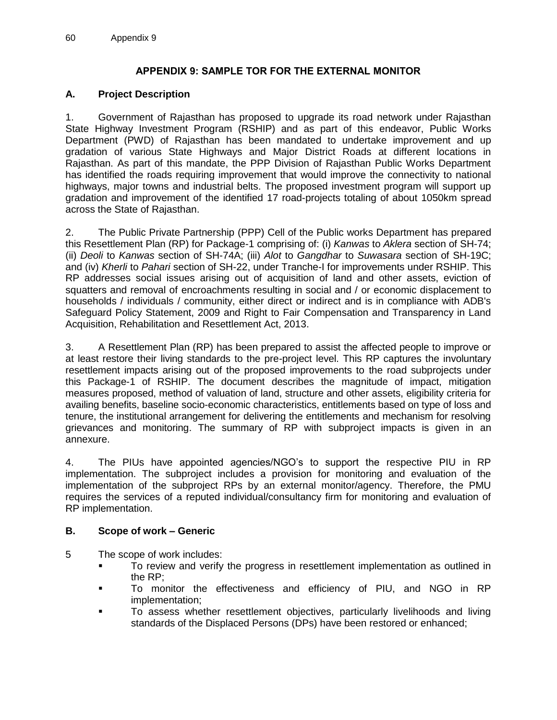## **APPENDIX 9: SAMPLE TOR FOR THE EXTERNAL MONITOR**

### <span id="page-62-0"></span>**A. Project Description**

1. Government of Rajasthan has proposed to upgrade its road network under Rajasthan State Highway Investment Program (RSHIP) and as part of this endeavor, Public Works Department (PWD) of Rajasthan has been mandated to undertake improvement and up gradation of various State Highways and Major District Roads at different locations in Rajasthan. As part of this mandate, the PPP Division of Rajasthan Public Works Department has identified the roads requiring improvement that would improve the connectivity to national highways, major towns and industrial belts. The proposed investment program will support up gradation and improvement of the identified 17 road-projects totaling of about 1050km spread across the State of Rajasthan.

2. The Public Private Partnership (PPP) Cell of the Public works Department has prepared this Resettlement Plan (RP) for Package-1 comprising of: (i) *Kanwas* to *Aklera* section of SH-74; (ii) *Deoli* to *Kanwas* section of SH-74A; (iii) *Alot* to *Gangdhar* to *Suwasara* section of SH-19C; and (iv) *Kherli* to *Pahari* section of SH-22, under Tranche-I for improvements under RSHIP. This RP addresses social issues arising out of acquisition of land and other assets, eviction of squatters and removal of encroachments resulting in social and / or economic displacement to households / individuals / community, either direct or indirect and is in compliance with ADB's Safeguard Policy Statement, 2009 and Right to Fair Compensation and Transparency in Land Acquisition, Rehabilitation and Resettlement Act, 2013.

3. A Resettlement Plan (RP) has been prepared to assist the affected people to improve or at least restore their living standards to the pre-project level. This RP captures the involuntary resettlement impacts arising out of the proposed improvements to the road subprojects under this Package-1 of RSHIP. The document describes the magnitude of impact, mitigation measures proposed, method of valuation of land, structure and other assets, eligibility criteria for availing benefits, baseline socio-economic characteristics, entitlements based on type of loss and tenure, the institutional arrangement for delivering the entitlements and mechanism for resolving grievances and monitoring. The summary of RP with subproject impacts is given in an annexure.

4. The PIUs have appointed agencies/NGO's to support the respective PIU in RP implementation. The subproject includes a provision for monitoring and evaluation of the implementation of the subproject RPs by an external monitor/agency. Therefore, the PMU requires the services of a reputed individual/consultancy firm for monitoring and evaluation of RP implementation.

#### **B. Scope of work – Generic**

- 5 The scope of work includes:
	- To review and verify the progress in resettlement implementation as outlined in the RP;
	- To monitor the effectiveness and efficiency of PIU, and NGO in RP implementation;
	- **To assess whether resettlement objectives, particularly livelihoods and living** standards of the Displaced Persons (DPs) have been restored or enhanced;